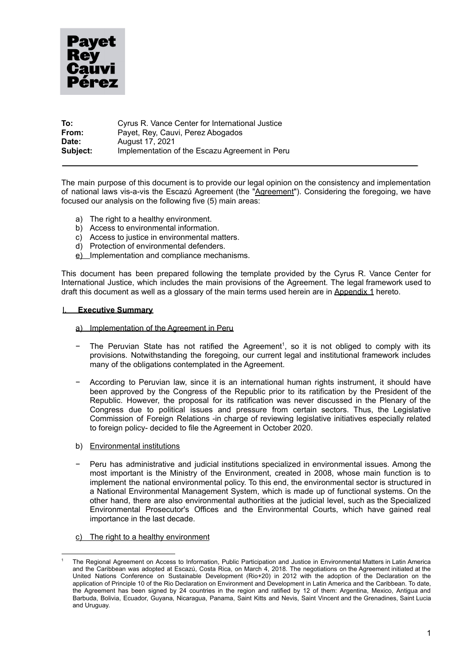

| To:      | Cyrus R. Vance Center for International Justice |
|----------|-------------------------------------------------|
| From:    | Payet, Rey, Cauvi, Perez Abogados               |
| Date:    | August 17, 2021                                 |
| Subject: | Implementation of the Escazu Agreement in Peru  |

The main purpose of this document is to provide our legal opinion on the consistency and implementation of national laws vis-a-vis the Escazú Agreement (the "Agreement"). Considering the foregoing, we have focused our analysis on the following five (5) main areas:

- a) The right to a healthy environment.
- b) Access to environmental information.
- c) Access to justice in environmental matters.
- d) Protection of environmental defenders.
- e) Implementation and compliance mechanisms.

This document has been prepared following the template provided by the Cyrus R. Vance Center for International Justice, which includes the main provisions of the Agreement. The legal framework used to draft this document as well as a glossary of the main terms used herein are in Appendix 1 hereto.

### I. **Executive Summary**

### a) Implementation of the Agreement in Peru

- − The Peruvian State has not ratified the Agreement<sup>1</sup>, so it is not obliged to comply with its provisions. Notwithstanding the foregoing, our current legal and institutional framework includes many of the obligations contemplated in the Agreement.
- − According to Peruvian law, since it is an international human rights instrument, it should have been approved by the Congress of the Republic prior to its ratification by the President of the Republic. However, the proposal for its ratification was never discussed in the Plenary of the Congress due to political issues and pressure from certain sectors. Thus, the Legislative Commission of Foreign Relations -in charge of reviewing legislative initiatives especially related to foreign policy- decided to file the Agreement in October 2020.
- b) Environmental institutions
- − Peru has administrative and judicial institutions specialized in environmental issues. Among the most important is the Ministry of the Environment, created in 2008, whose main function is to implement the national environmental policy. To this end, the environmental sector is structured in a National Environmental Management System, which is made up of functional systems. On the other hand, there are also environmental authorities at the judicial level, such as the Specialized Environmental Prosecutor's Offices and the Environmental Courts, which have gained real importance in the last decade.
- c) The right to a healthy environment

<sup>1</sup> The Regional Agreement on Access to Information, Public Participation and Justice in Environmental Matters in Latin America and the Caribbean was adopted at Escazú, Costa Rica, on March 4, 2018. The negotiations on the Agreement initiated at the United Nations Conference on Sustainable Development (Rio+20) in 2012 with the adoption of the Declaration on the application of Principle 10 of the Rio Declaration on Environment and Development in Latin America and the Caribbean. To date, the Agreement has been signed by 24 countries in the region and ratified by 12 of them: Argentina, Mexico, Antigua and Barbuda, Bolivia, Ecuador, Guyana, Nicaragua, Panama, Saint Kitts and Nevis, Saint Vincent and the Grenadines, Saint Lucia and Uruguay.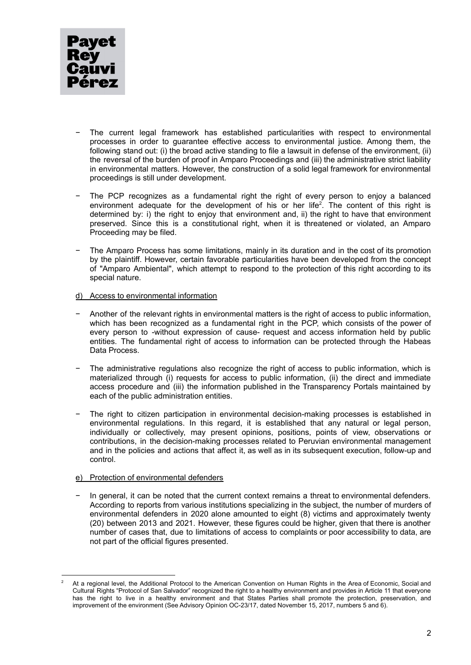

- The current legal framework has established particularities with respect to environmental processes in order to guarantee effective access to environmental justice. Among them, the following stand out: (i) the broad active standing to file a lawsuit in defense of the environment, (ii) the reversal of the burden of proof in Amparo Proceedings and (iii) the administrative strict liability in environmental matters. However, the construction of a solid legal framework for environmental proceedings is still under development.
- The PCP recognizes as a fundamental right the right of every person to enjoy a balanced environment adequate for the development of his or her life<sup>2</sup>. The content of this right is determined by: i) the right to enjoy that environment and, ii) the right to have that environment preserved. Since this is a constitutional right, when it is threatened or violated, an Amparo Proceeding may be filed.
- The Amparo Process has some limitations, mainly in its duration and in the cost of its promotion by the plaintiff. However, certain favorable particularities have been developed from the concept of "Amparo Ambiental", which attempt to respond to the protection of this right according to its special nature.

# d) Access to environmental information

- − Another of the relevant rights in environmental matters is the right of access to public information, which has been recognized as a fundamental right in the PCP, which consists of the power of every person to -without expression of cause- request and access information held by public entities. The fundamental right of access to information can be protected through the Habeas Data Process.
- The administrative regulations also recognize the right of access to public information, which is materialized through (i) requests for access to public information, (ii) the direct and immediate access procedure and (iii) the information published in the Transparency Portals maintained by each of the public administration entities.
- The right to citizen participation in environmental decision-making processes is established in environmental regulations. In this regard, it is established that any natural or legal person, individually or collectively, may present opinions, positions, points of view, observations or contributions, in the decision-making processes related to Peruvian environmental management and in the policies and actions that affect it, as well as in its subsequent execution, follow-up and control.

### e) Protection of environmental defenders

In general, it can be noted that the current context remains a threat to environmental defenders. According to reports from various institutions specializing in the subject, the number of murders of environmental defenders in 2020 alone amounted to eight (8) victims and approximately twenty (20) between 2013 and 2021. However, these figures could be higher, given that there is another number of cases that, due to limitations of access to complaints or poor accessibility to data, are not part of the official figures presented.

<sup>2</sup> At a regional level, the Additional Protocol to the American Convention on Human Rights in the Area of Economic, Social and Cultural Rights "Protocol of San Salvador" recognized the right to a healthy environment and provides in Article 11 that everyone has the right to live in a healthy environment and that States Parties shall promote the protection, preservation, and improvement of the environment (See Advisory Opinion OC-23/17, dated November 15, 2017, numbers 5 and 6).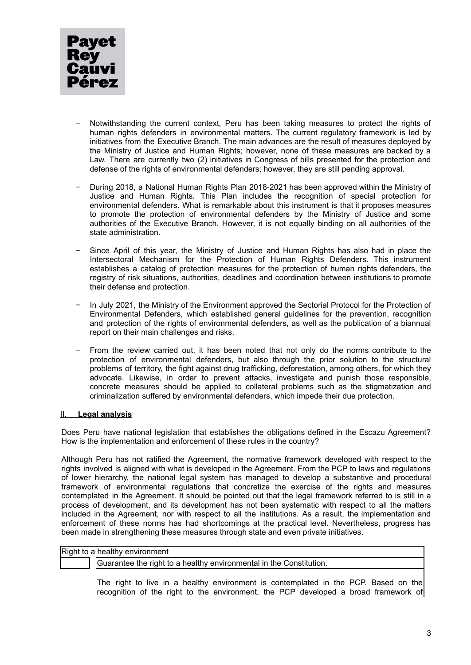

- Notwithstanding the current context, Peru has been taking measures to protect the rights of human rights defenders in environmental matters. The current regulatory framework is led by initiatives from the Executive Branch. The main advances are the result of measures deployed by the Ministry of Justice and Human Rights; however, none of these measures are backed by a Law. There are currently two (2) initiatives in Congress of bills presented for the protection and defense of the rights of environmental defenders; however, they are still pending approval.
- − During 2018, a National Human Rights Plan 2018-2021 has been approved within the Ministry of Justice and Human Rights. This Plan includes the recognition of special protection for environmental defenders. What is remarkable about this instrument is that it proposes measures to promote the protection of environmental defenders by the Ministry of Justice and some authorities of the Executive Branch. However, it is not equally binding on all authorities of the state administration.
- Since April of this year, the Ministry of Justice and Human Rights has also had in place the Intersectoral Mechanism for the Protection of Human Rights Defenders. This instrument establishes a catalog of protection measures for the protection of human rights defenders, the registry of risk situations, authorities, deadlines and coordination between institutions to promote their defense and protection.
- In July 2021, the Ministry of the Environment approved the Sectorial Protocol for the Protection of Environmental Defenders, which established general guidelines for the prevention, recognition and protection of the rights of environmental defenders, as well as the publication of a biannual report on their main challenges and risks.
- From the review carried out, it has been noted that not only do the norms contribute to the protection of environmental defenders, but also through the prior solution to the structural problems of territory, the fight against drug trafficking, deforestation, among others, for which they advocate. Likewise, in order to prevent attacks, investigate and punish those responsible, concrete measures should be applied to collateral problems such as the stigmatization and criminalization suffered by environmental defenders, which impede their due protection.

# II. **Legal analysis**

Does Peru have national legislation that establishes the obligations defined in the Escazu Agreement? How is the implementation and enforcement of these rules in the country?

Although Peru has not ratified the Agreement, the normative framework developed with respect to the rights involved is aligned with what is developed in the Agreement. From the PCP to laws and regulations of lower hierarchy, the national legal system has managed to develop a substantive and procedural framework of environmental regulations that concretize the exercise of the rights and measures contemplated in the Agreement. It should be pointed out that the legal framework referred to is still in a process of development, and its development has not been systematic with respect to all the matters included in the Agreement, nor with respect to all the institutions. As a result, the implementation and enforcement of these norms has had shortcomings at the practical level. Nevertheless, progress has been made in strengthening these measures through state and even private initiatives.

| Right to a healthy environment                                                                                                                                             |
|----------------------------------------------------------------------------------------------------------------------------------------------------------------------------|
| Guarantee the right to a healthy environmental in the Constitution.                                                                                                        |
| The right to live in a healthy environment is contemplated in the PCP. Based on the<br>recognition of the right to the environment, the PCP developed a broad framework of |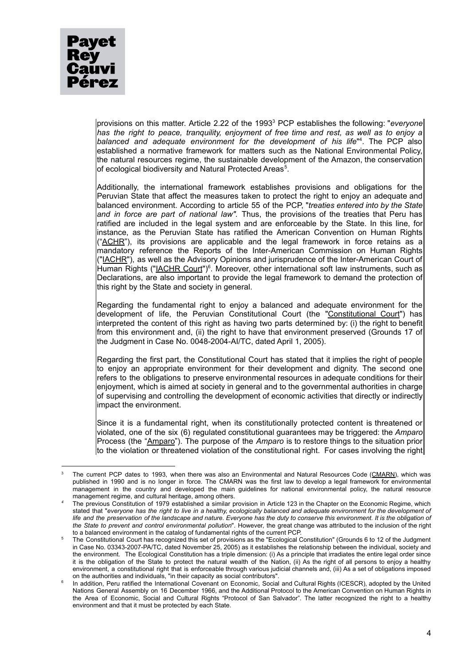provisions on this matter. Article 2.22 of the 1993 <sup>3</sup> PCP establishes the following: "*everyone has the right to peace, tranquility, enjoyment of free time and rest, as well as to enjoy a balanced and adequate environment for the development of his life*" 4 . The PCP also established a normative framework for matters such as the National Environmental Policy, the natural resources regime, the sustainable development of the Amazon, the conservation of ecological biodiversity and Natural Protected Areas<sup>5</sup>.

Additionally, the international framework establishes provisions and obligations for the Peruvian State that affect the measures taken to protect the right to enjoy an adequate and balanced environment. According to article 55 of the PCP, "*treaties entered into by the State and in force are part of national law".* Thus, the provisions of the treaties that Peru has ratified are included in the legal system and are enforceable by the State. In this line, for instance, as the Peruvian State has ratified the American Convention on Human Rights ("ACHR"), its provisions are applicable and the legal framework in force retains as a mandatory reference the Reports of the Inter-American Commission on Human Rights ("IACHR"), as well as the Advisory Opinions and jurisprudence of the Inter-American Court of Human Rights ("LACHR Court")<sup>6</sup>. Moreover, other international soft law instruments, such as Declarations, are also important to provide the legal framework to demand the protection of this right by the State and society in general.

Regarding the fundamental right to enjoy a balanced and adequate environment for the development of life, the Peruvian Constitutional Court (the "Constitutional Court") has interpreted the content of this right as having two parts determined by: (i) the right to benefit from this environment and, (ii) the right to have that environment preserved (Grounds 17 of the Judgment in Case No. 0048-2004-AI/TC, dated April 1, 2005).

Regarding the first part, the Constitutional Court has stated that it implies the right of people to enjoy an appropriate environment for their development and dignity. The second one refers to the obligations to preserve environmental resources in adequate conditions for their enjoyment, which is aimed at society in general and to the governmental authorities in charge of supervising and controlling the development of economic activities that directly or indirectly impact the environment.

Since it is a fundamental right, when its constitutionally protected content is threatened or violated, one of the six (6) regulated constitutional guarantees may be triggered: the *Amparo* Process (the "Amparo"). The purpose of the *Amparo* is to restore things to the situation prior to the violation or threatened violation of the constitutional right. For cases involving the right

<sup>&</sup>lt;sup>3</sup> The current PCP dates to 1993, when there was also an Environmental and Natural Resources Code (CMARN), which was published in 1990 and is no longer in force. The CMARN was the first law to develop a legal framework for environmental management in the country and developed the main guidelines for national environmental policy, the natural resource management regime, and cultural heritage, among others.

*<sup>4</sup>* The previous Constitution of 1979 established a similar provision in Article 123 in the Chapter on the Economic Regime, which stated that "everyone has the right to live in a healthy, ecologically balanced and adequate environment for the development of life and the preservation of the landscape and nature. Everyone has the duty to conserve this environment. It is the obligation of *the State to prevent and control environmental pollution*". However, the great change was attributed to the inclusion of the right to a balanced environment in the catalog of fundamental rights of the current PCP.

<sup>5</sup> The Constitutional Court has recognized this set of provisions as the "Ecological Constitution" (Grounds 6 to 12 of the Judgment in Case No. 03343-2007-PA/TC, dated November 25, 2005) as it establishes the relationship between the individual, society and the environment. The Ecological Constitution has a triple dimension: (i) As a principle that irradiates the entire legal order since it is the obligation of the State to protect the natural wealth of the Nation, (ii) As the right of all persons to enjoy a healthy environment, a constitutional right that is enforceable through various judicial channels and, (iii) As a set of obligations imposed on the authorities and individuals, "in their capacity as social contributors".

<sup>6</sup> In addition, Peru ratified the International Covenant on Economic, Social and Cultural Rights (ICESCR), adopted by the United Nations General Assembly on 16 December 1966, and the Additional Protocol to the American Convention on Human Rights in the Area of Economic, Social and Cultural Rights "Protocol of San Salvador". The latter recognized the right to a healthy environment and that it must be protected by each State.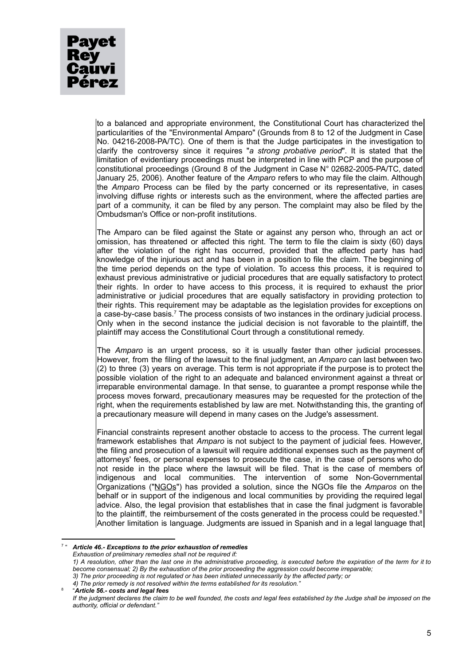to a balanced and appropriate environment, the Constitutional Court has characterized the particularities of the "Environmental Amparo" (Grounds from 8 to 12 of the Judgment in Case No. 04216-2008-PA/TC). One of them is that the Judge participates in the investigation to clarify the controversy since it requires "*a strong probative period*". It is stated that the limitation of evidentiary proceedings must be interpreted in line with PCP and the purpose of constitutional proceedings (Ground 8 of the Judgment in Case N° 02682-2005-PA/TC, dated January 25, 2006). Another feature of the *Amparo* refers to who may file the claim. Although the *Amparo* Process can be filed by the party concerned or its representative, in cases involving diffuse rights or interests such as the environment, where the affected parties are part of a community, it can be filed by any person. The complaint may also be filed by the Ombudsman's Office or non-profit institutions.

The Amparo can be filed against the State or against any person who, through an act or omission, has threatened or affected this right. The term to file the claim is sixty (60) days after the violation of the right has occurred, provided that the affected party has had knowledge of the injurious act and has been in a position to file the claim. The beginning of the time period depends on the type of violation. To access this process, it is required to exhaust previous administrative or judicial procedures that are equally satisfactory to protect their rights. In order to have access to this process, it is required to exhaust the prior administrative or judicial procedures that are equally satisfactory in providing protection to their rights. This requirement may be adaptable as the legislation provides for exceptions on a case-by-case basis.<sup>7</sup> The process consists of two instances in the ordinary judicial process. Only when in the second instance the judicial decision is not favorable to the plaintiff, the plaintiff may access the Constitutional Court through a constitutional remedy.

The *Amparo* is an urgent process, so it is usually faster than other judicial processes. However, from the filing of the lawsuit to the final judgment, an *Amparo* can last between two (2) to three (3) years on average. This term is not appropriate if the purpose is to protect the possible violation of the right to an adequate and balanced environment against a threat or irreparable environmental damage. In that sense, to guarantee a prompt response while the process moves forward, precautionary measures may be requested for the protection of the right, when the requirements established by law are met. Notwithstanding this, the granting of a precautionary measure will depend in many cases on the Judge's assessment.

Financial constraints represent another obstacle to access to the process. The current legal framework establishes that *Amparo* is not subject to the payment of judicial fees. However, the filing and prosecution of a lawsuit will require additional expenses such as the payment of attorneys' fees, or personal expenses to prosecute the case, in the case of persons who do not reside in the place where the lawsuit will be filed. That is the case of members of indigenous and local communities. The intervention of some Non-Governmental Organizations ("NGOs") has provided a solution, since the NGOs file the *Amparos* on the behalf or in support of the indigenous and local communities by providing the required legal advice. Also, the legal provision that establishes that in case the final judgment is favorable to the plaintiff, the reimbursement of the costs generated in the process could be requested. $8$ Another limitation is language. Judgments are issued in Spanish and in a legal language that

7 " *Article 46.- Exceptions to the prior exhaustion of remedies*

*Exhaustion of preliminary remedies shall not be required if:*

8

"*Article 56.- costs and legal fees 4) The prior remedy is not resolved within the terms established for its resolution."*

<sup>1)</sup> A resolution, other than the last one in the administrative proceeding, is executed before the expiration of the term for it to *become consensual; 2) By the exhaustion of the prior proceeding the aggression could become irreparable; 3) The prior proceeding is not regulated or has been initiated unnecessarily by the affected party; or*

If the judgment declares the claim to be well founded, the costs and legal fees established by the Judge shall be imposed on the *authority, official or defendant."*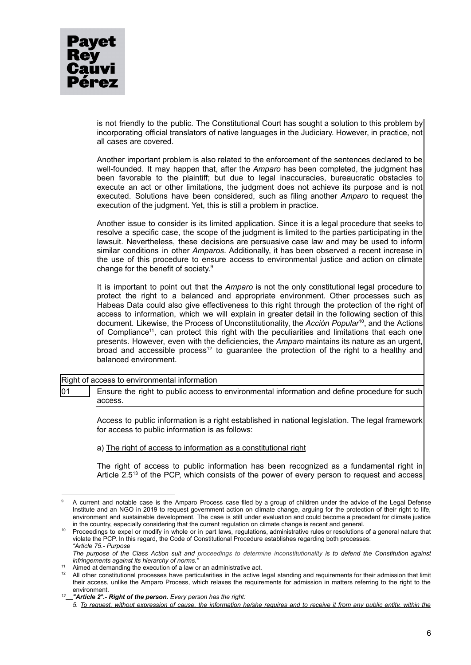

is not friendly to the public. The Constitutional Court has sought a solution to this problem by incorporating official translators of native languages in the Judiciary. However, in practice, not all cases are covered.

Another important problem is also related to the enforcement of the sentences declared to be well-founded. It may happen that, after the *Amparo* has been completed, the judgment has been favorable to the plaintiff; but due to legal inaccuracies, bureaucratic obstacles to execute an act or other limitations, the judgment does not achieve its purpose and is not executed. Solutions have been considered, such as filing another *Amparo* to request the execution of the judgment. Yet, this is still a problem in practice.

Another issue to consider is its limited application. Since it is a legal procedure that seeks to resolve a specific case, the scope of the judgment is limited to the parties participating in the lawsuit. Nevertheless, these decisions are persuasive case law and may be used to inform similar conditions in other *Amparos*. Additionally, it has been observed a recent increase in the use of this procedure to ensure access to environmental justice and action on climate change for the benefit of society. 9

It is important to point out that the *Amparo* is not the only constitutional legal procedure to protect the right to a balanced and appropriate environment. Other processes such as Habeas Data could also give effectiveness to this right through the protection of the right of access to information, which we will explain in greater detail in the following section of this document. Likewise, the Process of Unconstitutionality, the *Acción Popular* 10 , and the Actions of Compliance<sup>11</sup>, can protect this right with the peculiarities and limitations that each one presents. However, even with the deficiencies, the *Amparo* maintains its nature as an urgent, broad and accessible process<sup>12</sup> to guarantee the protection of the right to a healthy and balanced environment.

# Right of access to environmental information

01 Ensure the right to public access to environmental information and define procedure for such access.

Access to public information is a right established in national legislation. The legal framework for access to public information is as follows:

a) The right of access to information as a constitutional right

The right of access to public information has been recognized as a fundamental right in Article 2.5<sup>13</sup> of the PCP, which consists of the power of every person to request and access

*<sup>13</sup> "Article 2°.- Right of the person. Every person has the right:*

<sup>&</sup>lt;sup>9</sup> A current and notable case is the Amparo Process case filed by a group of children under the advice of the Legal Defense Institute and an NGO in 2019 to request government action on climate change, arguing for the protection of their right to life, environment and sustainable development. The case is still under evaluation and could become a precedent for climate justice in the country, especially considering that the current regulation on climate change is recent and general.

Proceedings to expel or modify in whole or in part laws, regulations, administrative rules or resolutions of a general nature that violate the PCP. In this regard, the Code of Constitutional Procedure establishes regarding both processes: *"Article 75.- Purpose*

The purpose of the Class Action suit and proceedings to determine inconstitutionality is to defend the Constitution against *infringements against its hierarchy of norms."*

Aimed at demanding the execution of a law or an administrative act.

<sup>&</sup>lt;sup>12</sup> All other constitutional processes have particularities in the active legal standing and requirements for their admission that limit their access, unlike the Amparo Process, which relaxes the requirements for admission in matters referring to the right to the environment.

<sup>5.</sup> To request, without expression of cause, the information he/she requires and to receive it from any public entity, within the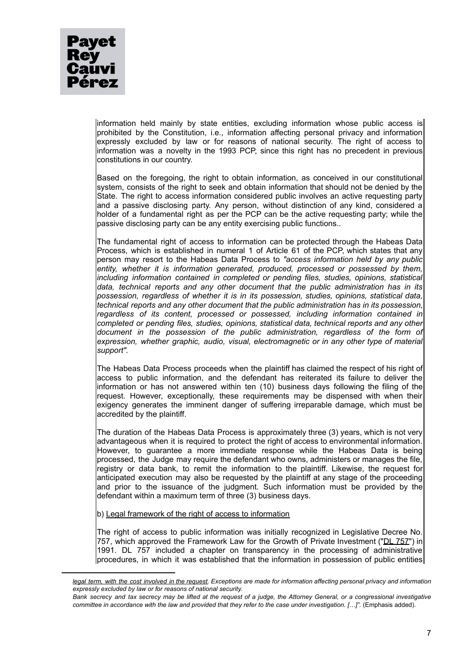information held mainly by state entities, excluding information whose public access is prohibited by the Constitution, i.e., information affecting personal privacy and information expressly excluded by law or for reasons of national security. The right of access to information was a novelty in the 1993 PCP, since this right has no precedent in previous constitutions in our country.

Based on the foregoing, the right to obtain information, as conceived in our constitutional system, consists of the right to seek and obtain information that should not be denied by the State. The right to access information considered public involves an active requesting party and a passive disclosing party. Any person, without distinction of any kind, considered a holder of a fundamental right as per the PCP can be the active requesting party; while the passive disclosing party can be any entity exercising public functions..

The fundamental right of access to information can be protected through the Habeas Data Process, which is established in numeral 1 of Article 61 of the PCP, which states that any person may resort to the Habeas Data Process to *"access information held by any public entity, whether it is information generated, produced, processed or possessed by them, including information contained in completed or pending files, studies, opinions, statistical data, technical reports and any other document that the public administration has in its possession, regardless of whether it is in its possession, studies, opinions, statistical data, technical reports and any other document that the public administration has in its possession, regardless of its content, processed or possessed, including information contained in completed or pending files, studies, opinions, statistical data, technical reports and any other document in the possession of the public administration, regardless of the form of expression, whether graphic, audio, visual, electromagnetic or in any other type of material support".*

The Habeas Data Process proceeds when the plaintiff has claimed the respect of his right of access to public information, and the defendant has reiterated its failure to deliver the information or has not answered within ten (10) business days following the filing of the request. However, exceptionally, these requirements may be dispensed with when their exigency generates the imminent danger of suffering irreparable damage, which must be accredited by the plaintiff.

The duration of the Habeas Data Process is approximately three (3) years, which is not very advantageous when it is required to protect the right of access to environmental information. However, to guarantee a more immediate response while the Habeas Data is being processed, the Judge may require the defendant who owns, administers or manages the file, registry or data bank, to remit the information to the plaintiff. Likewise, the request for anticipated execution may also be requested by the plaintiff at any stage of the proceeding and prior to the issuance of the judgment. Such information must be provided by the defendant within a maximum term of three (3) business days.

b) Legal framework of the right of access to information

The right of access to public information was initially recognized in Legislative Decree No. 757, which approved the Framework Law for the Growth of Private Investment ("DL 757") in 1991. DL 757 included a chapter on transparency in the processing of administrative procedures, in which it was established that the information in possession of public entities

legal term, with the cost involved in the request. Exceptions are made for information affecting personal privacy and information *expressly excluded by law or for reasons of national security.*

Bank secrecy and tax secrecy may be lifted at the request of a judge, the Attorney General, or a congressional investigative committee in accordance with the law and provided that they refer to the case under investigation. [...]". (Emphasis added).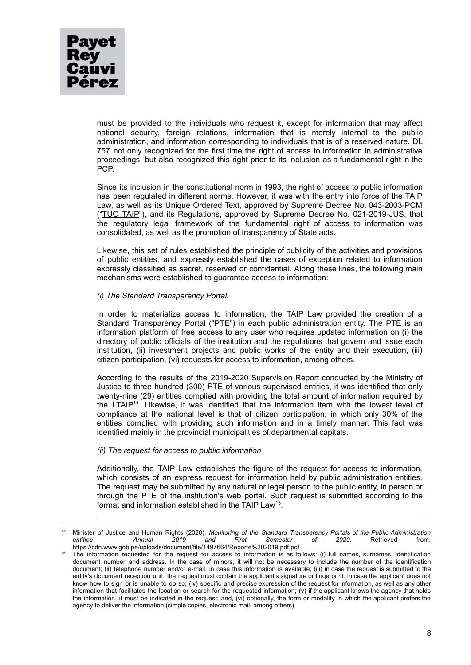

must be provided to the individuals who request it, except for information that may affect national security, foreign relations, information that is merely internal to the public administration, and information corresponding to individuals that is of a reserved nature. DL 757 not only recognized for the first time the right of access to information in administrative proceedings, but also recognized this right prior to its inclusion as a fundamental right in the PCP.

Since its inclusion in the constitutional norm in 1993, the right of access to public information has been regulated in different norms. However, it was with the entry into force of the TAIP Law, as well as its Unique Ordered Text, approved by Supreme Decree No. 043-2003-PCM ("TUO TAIP"), and its Regulations, approved by Supreme Decree No. 021-2019-JUS, that the regulatory legal framework of the fundamental right of access to information was consolidated, as well as the promotion of transparency of State acts.

Likewise, this set of rules established the principle of publicity of the activities and provisions of public entities, and expressly established the cases of exception related to information expressly classified as secret, reserved or confidential. Along these lines, the following main mechanisms were established to guarantee access to information:

*(i) The Standard Transparency Portal.*

In order to materialize access to information, the TAIP Law provided the creation of a Standard Transparency Portal ("PTE") in each public administration entity. The PTE is an information platform of free access to any user who requires updated information on (i) the directory of public officials of the institution and the regulations that govern and issue each institution, (ii) investment projects and public works of the entity and their execution, (iii) citizen participation, (vi) requests for access to information, among others.

According to the results of the 2019-2020 Supervision Report conducted by the Ministry of Justice to three hundred (300) PTE of various supervised entities, it was identified that only twenty-nine (29) entities complied with providing the total amount of information required by the LTAIP<sup>14</sup>. Likewise, it was identified that the information item with the lowest level of compliance at the national level is that of citizen participation, in which only 30% of the entities complied with providing such information and in a timely manner. This fact was identified mainly in the provincial municipalities of departmental capitals.

*(ii) The request for access to public information*

Additionally, the TAIP Law establishes the figure of the request for access to information, which consists of an express request for information held by public administration entities. The request may be submitted by any natural or legal person to the public entity, in person or through the PTE of the institution's web portal. Such request is submitted according to the format and information established in the TAIP Law<sup>15</sup>.

*<sup>14</sup>* Minister of Justice and Human Rights (2020). *Monitoring of the Standard Transparency Portals of the Public Administration entities - Annual 2019 and First Semester of 2020*. Retrieved from: https://cdn.www.gob.pe/uploads/document/file/1497664/Reporte%202019.pdf.pdf

<sup>15</sup> The information requested for the request for access to information is as follows: (i) full names, surnames, identification document number and address. In the case of minors, it will not be necessary to include the number of the identification document; (ii) telephone number and/or e-mail, in case this information is available; (iii) in case the request is submitted to the entity's document reception unit, the request must contain the applicant's signature or fingerprint, in case the applicant does not know how to sign or is unable to do so; (iv) specific and precise expression of the request for information, as well as any other information that facilitates the location or search for the requested information; (v) if the applicant knows the agency that holds the information, it must be indicated in the request; and, (vi) optionally, the form or modality in which the applicant prefers the agency to deliver the information (simple copies, electronic mail, among others).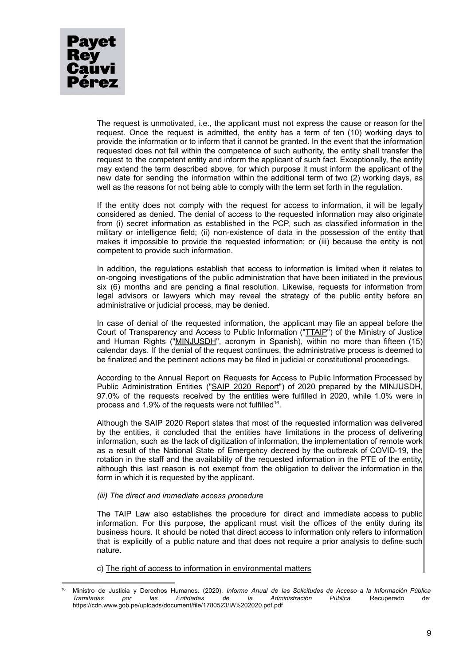The request is unmotivated, i.e., the applicant must not express the cause or reason for the request. Once the request is admitted, the entity has a term of ten (10) working days to provide the information or to inform that it cannot be granted. In the event that the information requested does not fall within the competence of such authority, the entity shall transfer the request to the competent entity and inform the applicant of such fact. Exceptionally, the entity may extend the term described above, for which purpose it must inform the applicant of the new date for sending the information within the additional term of two (2) working days, as well as the reasons for not being able to comply with the term set forth in the regulation.

If the entity does not comply with the request for access to information, it will be legally considered as denied. The denial of access to the requested information may also originate from (i) secret information as established in the PCP, such as classified information in the military or intelligence field; (ii) non-existence of data in the possession of the entity that makes it impossible to provide the requested information; or (iii) because the entity is not competent to provide such information.

In addition, the regulations establish that access to information is limited when it relates to on-ongoing investigations of the public administration that have been initiated in the previous six (6) months and are pending a final resolution. Likewise, requests for information from legal advisors or lawyers which may reveal the strategy of the public entity before an administrative or judicial process, may be denied.

In case of denial of the requested information, the applicant may file an appeal before the Court of Transparency and Access to Public Information ("TTAIP") of the Ministry of Justice and Human Rights ("MINJUSDH", acronym in Spanish), within no more than fifteen (15) calendar days. If the denial of the request continues, the administrative process is deemed to be finalized and the pertinent actions may be filed in judicial or constitutional proceedings.

According to the Annual Report on Requests for Access to Public Information Processed by Public Administration Entities ("SAIP 2020 Report") of 2020 prepared by the MINJUSDH, 97.0% of the requests received by the entities were fulfilled in 2020, while 1.0% were in process and 1.9% of the requests were not fulfilled<sup>16</sup>.

Although the SAIP 2020 Report states that most of the requested information was delivered by the entities, it concluded that the entities have limitations in the process of delivering information, such as the lack of digitization of information, the implementation of remote work as a result of the National State of Emergency decreed by the outbreak of COVID-19, the rotation in the staff and the availability of the requested information in the PTE of the entity, although this last reason is not exempt from the obligation to deliver the information in the form in which it is requested by the applicant.

*(iii) The direct and immediate access procedure*

The TAIP Law also establishes the procedure for direct and immediate access to public information. For this purpose, the applicant must visit the offices of the entity during its business hours. It should be noted that direct access to information only refers to information that is explicitly of a public nature and that does not require a prior analysis to define such nature.

c) The right of access to information in environmental matters

<sup>16</sup> Ministro de Justicia y Derechos Humanos. (2020). *Informe Anual de las Solicitudes de Acceso a la Información Pública Tramitadas por las Entidades de la Administración Pública.* Recuperado de: https://cdn.www.gob.pe/uploads/document/file/1780523/IA%202020.pdf.pdf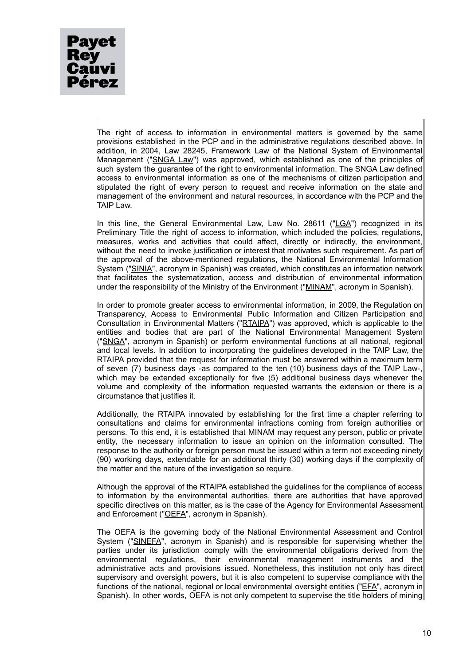The right of access to information in environmental matters is governed by the same provisions established in the PCP and in the administrative regulations described above. In addition, in 2004, Law 28245, Framework Law of the National System of Environmental Management ("SNGA Law") was approved, which established as one of the principles of such system the guarantee of the right to environmental information. The SNGA Law defined access to environmental information as one of the mechanisms of citizen participation and stipulated the right of every person to request and receive information on the state and management of the environment and natural resources, in accordance with the PCP and the TAIP Law.

In this line, the General Environmental Law, Law No. 28611 ("LGA") recognized in its Preliminary Title the right of access to information, which included the policies, regulations, measures, works and activities that could affect, directly or indirectly, the environment, without the need to invoke justification or interest that motivates such requirement. As part of the approval of the above-mentioned regulations, the National Environmental Information System ("SINIA", acronym in Spanish) was created, which constitutes an information network that facilitates the systematization, access and distribution of environmental information under the responsibility of the Ministry of the Environment ("MINAM", acronym in Spanish).

In order to promote greater access to environmental information, in 2009, the Regulation on Transparency, Access to Environmental Public Information and Citizen Participation and Consultation in Environmental Matters ("RTAIPA") was approved, which is applicable to the entities and bodies that are part of the National Environmental Management System ("SNGA", acronym in Spanish) or perform environmental functions at all national, regional and local levels. In addition to incorporating the guidelines developed in the TAIP Law, the RTAIPA provided that the request for information must be answered within a maximum term of seven (7) business days -as compared to the ten (10) business days of the TAIP Law-, which may be extended exceptionally for five (5) additional business days whenever the volume and complexity of the information requested warrants the extension or there is a circumstance that justifies it.

Additionally, the RTAIPA innovated by establishing for the first time a chapter referring to consultations and claims for environmental infractions coming from foreign authorities or persons. To this end, it is established that MINAM may request any person, public or private entity, the necessary information to issue an opinion on the information consulted. The response to the authority or foreign person must be issued within a term not exceeding ninety (90) working days, extendable for an additional thirty (30) working days if the complexity of the matter and the nature of the investigation so require.

Although the approval of the RTAIPA established the guidelines for the compliance of access to information by the environmental authorities, there are authorities that have approved specific directives on this matter, as is the case of the Agency for Environmental Assessment and Enforcement ("OEFA", acronym in Spanish).

The OEFA is the governing body of the National Environmental Assessment and Control System ("SINEFA", acronym in Spanish) and is responsible for supervising whether the parties under its jurisdiction comply with the environmental obligations derived from the environmental regulations, their environmental management instruments and the administrative acts and provisions issued. Nonetheless, this institution not only has direct supervisory and oversight powers, but it is also competent to supervise compliance with the functions of the national, regional or local environmental oversight entities ("EFA", acronym in Spanish). In other words, OEFA is not only competent to supervise the title holders of mining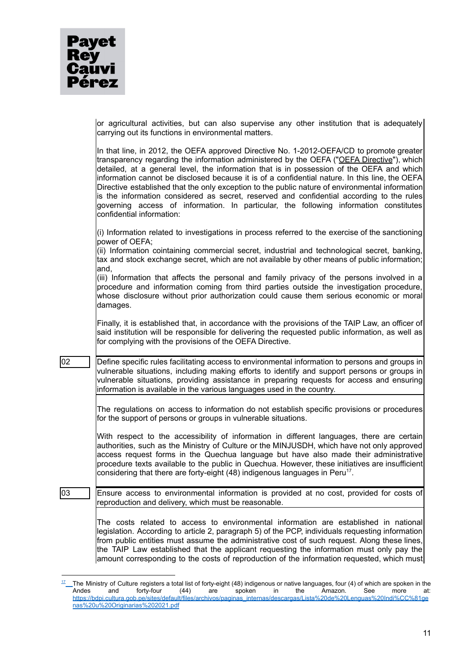| <b>Payet</b>               |
|----------------------------|
| <b>Rey</b><br><b>Cauvi</b> |
| Pérez                      |

|    | or agricultural activities, but can also supervise any other institution that is adequately<br>carrying out its functions in environmental matters.                                                                                                                                                                                                                                                                                                                                                                                                                                                                                                                                                        |
|----|------------------------------------------------------------------------------------------------------------------------------------------------------------------------------------------------------------------------------------------------------------------------------------------------------------------------------------------------------------------------------------------------------------------------------------------------------------------------------------------------------------------------------------------------------------------------------------------------------------------------------------------------------------------------------------------------------------|
|    | In that line, in 2012, the OEFA approved Directive No. 1-2012-OEFA/CD to promote greater<br>transparency regarding the information administered by the OEFA ("OEFA Directive"), which<br>detailed, at a general level, the information that is in possession of the OEFA and which<br>information cannot be disclosed because it is of a confidential nature. In this line, the OEFA<br>Directive established that the only exception to the public nature of environmental information<br>is the information considered as secret, reserved and confidential according to the rules<br>governing access of information. In particular, the following information constitutes<br>confidential information: |
|    | (i) Information related to investigations in process referred to the exercise of the sanctioning<br>power of OEFA;<br>(ii) Information cointaining commercial secret, industrial and technological secret, banking,<br>tax and stock exchange secret, which are not available by other means of public information;                                                                                                                                                                                                                                                                                                                                                                                        |
|    | and,<br>(iii) Information that affects the personal and family privacy of the persons involved in a<br>procedure and information coming from third parties outside the investigation procedure,<br>whose disclosure without prior authorization could cause them serious economic or moral<br>damages.                                                                                                                                                                                                                                                                                                                                                                                                     |
|    | Finally, it is established that, in accordance with the provisions of the TAIP Law, an officer of<br>said institution will be responsible for delivering the requested public information, as well as<br>for complying with the provisions of the OEFA Directive.                                                                                                                                                                                                                                                                                                                                                                                                                                          |
| 02 | Define specific rules facilitating access to environmental information to persons and groups in<br>vulnerable situations, including making efforts to identify and support persons or groups in<br>vulnerable situations, providing assistance in preparing requests for access and ensuring<br>information is available in the various languages used in the country.                                                                                                                                                                                                                                                                                                                                     |
|    | The regulations on access to information do not establish specific provisions or procedures<br>for the support of persons or groups in vulnerable situations.                                                                                                                                                                                                                                                                                                                                                                                                                                                                                                                                              |
|    | With respect to the accessibility of information in different languages, there are certain<br>authorities, such as the Ministry of Culture or the MINJUSDH, which have not only approved<br>access request forms in the Quechua language but have also made their administrative<br>procedure texts available to the public in Quechua. However, these initiatives are insufficient<br>considering that there are forty-eight (48) indigenous languages in Peru <sup>17</sup> .                                                                                                                                                                                                                            |
| 03 | Ensure access to environmental information is provided at no cost, provided for costs of<br>reproduction and delivery, which must be reasonable.                                                                                                                                                                                                                                                                                                                                                                                                                                                                                                                                                           |
|    | The costs related to access to environmental information are established in national<br>legislation. According to article 2, paragraph 5) of the PCP, individuals requesting information<br>from public entities must assume the administrative cost of such request. Along these lines,<br>the TAIP Law established that the applicant requesting the information must only pay the                                                                                                                                                                                                                                                                                                                       |

 $17$  $17$  The Ministry of Culture registers a total list of forty-eight (48) indigenous or native languages, four (4) of which are spoken in the Andes and forty-four (44) are spoken in the Amazon. See more at: [https://bdpi.cultura.gob.pe/sites/default/files/archivos/paginas\\_internas/descargas/Lista%20de%20Lenguas%20Indi%CC%81ge](https://bdpi.cultura.gob.pe/sites/default/files/archivos/paginas_internas/descargas/Lista%20de%20Lenguas%20Indi%CC%81genas%20u%20Originarias%202021.pdf) [nas%20u%20Originarias%202021.pdf](https://bdpi.cultura.gob.pe/sites/default/files/archivos/paginas_internas/descargas/Lista%20de%20Lenguas%20Indi%CC%81genas%20u%20Originarias%202021.pdf)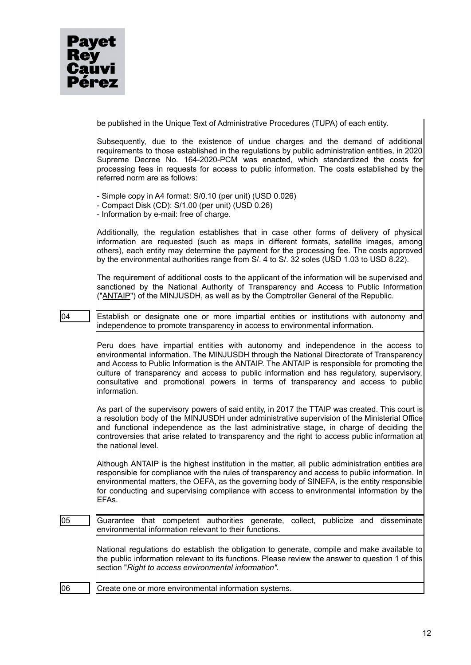

|                 | be published in the Unique Text of Administrative Procedures (TUPA) of each entity.                                                                                                                                                                                                                                                                                                                                                                                            |
|-----------------|--------------------------------------------------------------------------------------------------------------------------------------------------------------------------------------------------------------------------------------------------------------------------------------------------------------------------------------------------------------------------------------------------------------------------------------------------------------------------------|
|                 | Subsequently, due to the existence of undue charges and the demand of additional<br>requirements to those established in the regulations by public administration entities, in 2020<br>Supreme Decree No. 164-2020-PCM was enacted, which standardized the costs for<br>processing fees in requests for access to public information. The costs established by the<br>referred norm are as follows:                                                                            |
|                 | - Simple copy in A4 format: S/0.10 (per unit) (USD 0.026)<br>- Compact Disk (CD): S/1.00 (per unit) (USD 0.26)<br>- Information by e-mail: free of charge.                                                                                                                                                                                                                                                                                                                     |
|                 | Additionally, the regulation establishes that in case other forms of delivery of physical<br>information are requested (such as maps in different formats, satellite images, among<br>others), each entity may determine the payment for the processing fee. The costs approved<br>by the environmental authorities range from S/. 4 to S/. 32 soles (USD 1.03 to USD 8.22).                                                                                                   |
|                 | The requirement of additional costs to the applicant of the information will be supervised and<br>sanctioned by the National Authority of Transparency and Access to Public Information<br>("ANTAIP") of the MINJUSDH, as well as by the Comptroller General of the Republic.                                                                                                                                                                                                  |
| 04              | Establish or designate one or more impartial entities or institutions with autonomy and<br>independence to promote transparency in access to environmental information.                                                                                                                                                                                                                                                                                                        |
|                 | Peru does have impartial entities with autonomy and independence in the access to<br>environmental information. The MINJUSDH through the National Directorate of Transparency<br>and Access to Public Information is the ANTAIP. The ANTAIP is responsible for promoting the<br>culture of transparency and access to public information and has regulatory, supervisory,<br>consultative and promotional powers in terms of transparency and access to public<br>information. |
|                 | As part of the supervisory powers of said entity, in 2017 the TTAIP was created. This court is<br>a resolution body of the MINJUSDH under administrative supervision of the Ministerial Office<br>and functional independence as the last administrative stage, in charge of deciding the<br>controversies that arise related to transparency and the right to access public information at<br>the national level.                                                             |
|                 | Although ANTAIP is the highest institution in the matter, all public administration entities are<br>responsible for compliance with the rules of transparency and access to public information. In<br>environmental matters, the OEFA, as the governing body of SINEFA, is the entity responsible<br>for conducting and supervising compliance with access to environmental information by the<br>EFAs.                                                                        |
| $\overline{05}$ | Guarantee that competent authorities generate, collect, publicize and disseminate<br>environmental information relevant to their functions.                                                                                                                                                                                                                                                                                                                                    |
|                 | National regulations do establish the obligation to generate, compile and make available to<br>the public information relevant to its functions. Please review the answer to question 1 of this<br>section "Right to access environmental information".                                                                                                                                                                                                                        |
| 106             | Create one or more environmental information systems.                                                                                                                                                                                                                                                                                                                                                                                                                          |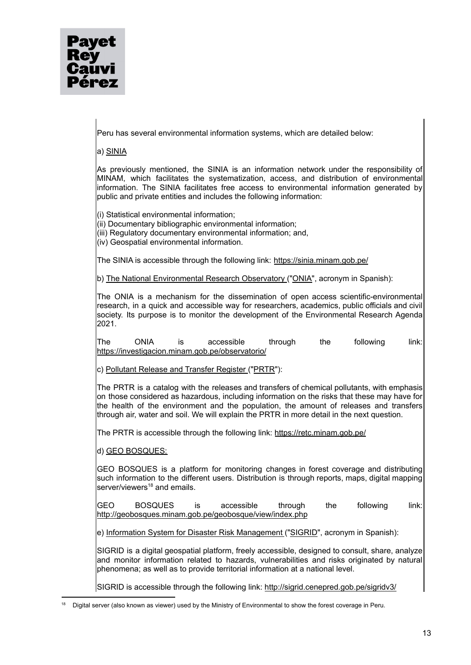

Peru has several environmental information systems, which are detailed below:

a) SINIA

As previously mentioned, the SINIA is an information network under the responsibility of MINAM, which facilitates the systematization, access, and distribution of environmental information. The SINIA facilitates free access to environmental information generated by public and private entities and includes the following information:

(i) Statistical environmental information;

(ii) Documentary bibliographic environmental information;

(iii) Regulatory documentary environmental information; and,

(iv) Geospatial environmental information.

The SINIA is accessible through the following link: <https://sinia.minam.gob.pe/>

b) The National Environmental Research Observatory ("ONIA", acronym in Spanish):

The ONIA is a mechanism for the dissemination of open access scientific-environmental research, in a quick and accessible way for researchers, academics, public officials and civil society. Its purpose is to monitor the development of the Environmental Research Agenda 2021.

The ONIA is accessible through the following link: <https://investigacion.minam.gob.pe/observatorio/>

c) Pollutant Release and Transfer Register ("PRTR"):

The PRTR is a catalog with the releases and transfers of chemical pollutants, with emphasis on those considered as hazardous, including information on the risks that these may have for the health of the environment and the population, the amount of releases and transfers through air, water and soil. We will explain the PRTR in more detail in the next question.

The PRTR is accessible through the following link: <https://retc.minam.gob.pe/>

d) GEO BOSQUES:

GEO BOSQUES is a platform for monitoring changes in forest coverage and distributing such information to the different users. Distribution is through reports, maps, digital mapping server/viewers<sup>18</sup> and emails.

GEO BOSQUES is accessible through the following link: <http://geobosques.minam.gob.pe/geobosque/view/index.php>

e) Information System for Disaster Risk Management ("SIGRID", acronym in Spanish):

SIGRID is a digital geospatial platform, freely accessible, designed to consult, share, analyze and monitor information related to hazards, vulnerabilities and risks originated by natural phenomena; as well as to provide territorial information at a national level.

SIGRID is accessible through the following link: <http://sigrid.cenepred.gob.pe/sigridv3/>

<sup>&</sup>lt;sup>18</sup> Digital server (also known as viewer) used by the Ministry of Environmental to show the forest coverage in Peru.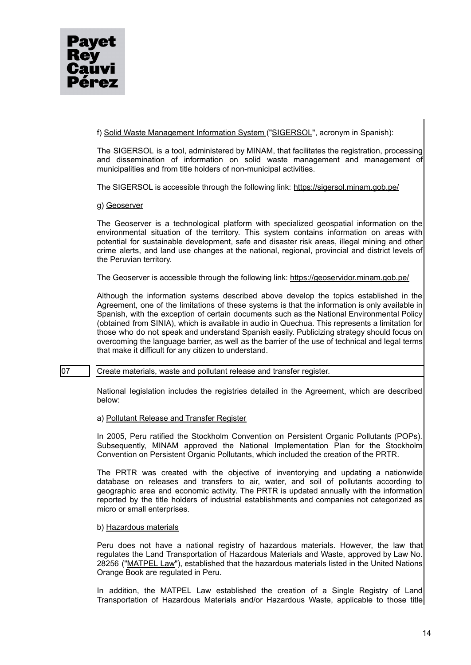f) Solid Waste Management Information System ("SIGERSOL", acronym in Spanish):

The SIGERSOL is a tool, administered by MINAM, that facilitates the registration, processing and dissemination of information on solid waste management and management of municipalities and from title holders of non-municipal activities.

The SIGERSOL is accessible through the following link: <https://sigersol.minam.gob.pe/>

g) Geoserver

The Geoserver is a technological platform with specialized geospatial information on the environmental situation of the territory. This system contains information on areas with potential for sustainable development, safe and disaster risk areas, illegal mining and other crime alerts, and land use changes at the national, regional, provincial and district levels of the Peruvian territory.

The Geoserver is accessible through the following link: <https://geoservidor.minam.gob.pe/>

Although the information systems described above develop the topics established in the Agreement, one of the limitations of these systems is that the information is only available in Spanish, with the exception of certain documents such as the National Environmental Policy (obtained from SINIA), which is available in audio in Quechua. This represents a limitation for those who do not speak and understand Spanish easily. Publicizing strategy should focus on overcoming the language barrier, as well as the barrier of the use of technical and legal terms that make it difficult for any citizen to understand.

# 07 Create materials, waste and pollutant release and transfer register.

National legislation includes the registries detailed in the Agreement, which are described below:

a) Pollutant Release and Transfer Register

In 2005, Peru ratified the Stockholm Convention on Persistent Organic Pollutants (POPs). Subsequently, MINAM approved the National Implementation Plan for the Stockholm Convention on Persistent Organic Pollutants, which included the creation of the PRTR.

The PRTR was created with the objective of inventorying and updating a nationwide database on releases and transfers to air, water, and soil of pollutants according to geographic area and economic activity. The PRTR is updated annually with the information reported by the title holders of industrial establishments and companies not categorized as micro or small enterprises.

b) Hazardous materials

Peru does not have a national registry of hazardous materials. However, the law that regulates the Land Transportation of Hazardous Materials and Waste, approved by Law No. 28256 ("MATPEL Law"), established that the hazardous materials listed in the United Nations Orange Book are regulated in Peru.

In addition, the MATPEL Law established the creation of a Single Registry of Land Transportation of Hazardous Materials and/or Hazardous Waste, applicable to those title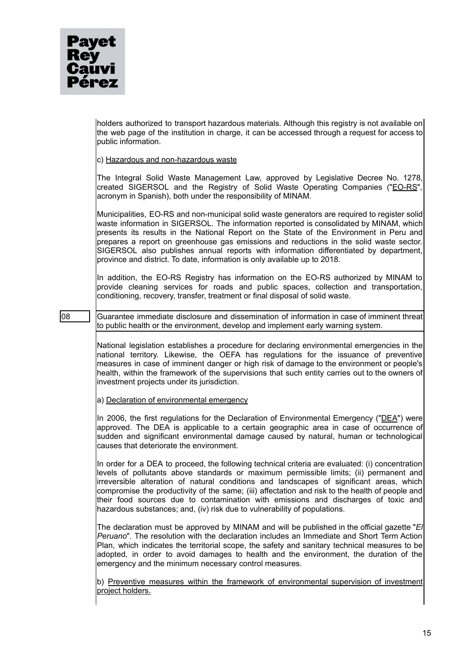

holders authorized to transport hazardous materials. Although this registry is not available on the web page of the institution in charge, it can be accessed through a request for access to public information.

c) Hazardous and non-hazardous waste

The Integral Solid Waste Management Law, approved by Legislative Decree No. 1278, created SIGERSOL and the Registry of Solid Waste Operating Companies ("EO-RS", acronym in Spanish), both under the responsibility of MINAM.

Municipalities, EO-RS and non-municipal solid waste generators are required to register solid waste information in SIGERSOL. The information reported is consolidated by MINAM, which presents its results in the National Report on the State of the Environment in Peru and prepares a report on greenhouse gas emissions and reductions in the solid waste sector. SIGERSOL also publishes annual reports with information differentiated by department, province and district. To date, information is only available up to 2018.

In addition, the EO-RS Registry has information on the EO-RS authorized by MINAM to provide cleaning services for roads and public spaces, collection and transportation, conditioning, recovery, transfer, treatment or final disposal of solid waste.

08 Guarantee immediate disclosure and dissemination of information in case of imminent threat to public health or the environment, develop and implement early warning system.

> National legislation establishes a procedure for declaring environmental emergencies in the national territory. Likewise, the OEFA has regulations for the issuance of preventive measures in case of imminent danger or high risk of damage to the environment or people's health, within the framework of the supervisions that such entity carries out to the owners of investment projects under its jurisdiction.

a) Declaration of environmental emergency

In 2006, the first regulations for the Declaration of Environmental Emergency ("DEA") were approved. The DEA is applicable to a certain geographic area in case of occurrence of sudden and significant environmental damage caused by natural, human or technological causes that deteriorate the environment.

In order for a DEA to proceed, the following technical criteria are evaluated: (i) concentration levels of pollutants above standards or maximum permissible limits; (ii) permanent and irreversible alteration of natural conditions and landscapes of significant areas, which compromise the productivity of the same; (iii) affectation and risk to the health of people and their food sources due to contamination with emissions and discharges of toxic and hazardous substances; and, (iv) risk due to vulnerability of populations.

The declaration must be approved by MINAM and will be published in the official gazette "*El Peruano*". The resolution with the declaration includes an Immediate and Short Term Action Plan, which indicates the territorial scope, the safety and sanitary technical measures to be adopted, in order to avoid damages to health and the environment, the duration of the emergency and the minimum necessary control measures.

b) Preventive measures within the framework of environmental supervision of investment project holders.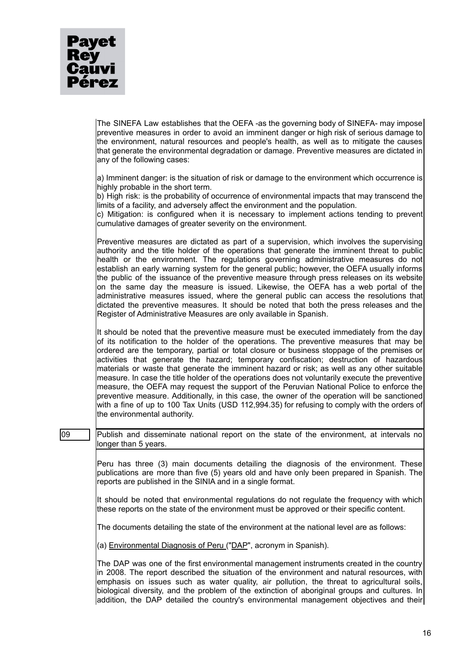The SINEFA Law establishes that the OEFA -as the governing body of SINEFA- may impose preventive measures in order to avoid an imminent danger or high risk of serious damage to the environment, natural resources and people's health, as well as to mitigate the causes that generate the environmental degradation or damage. Preventive measures are dictated in any of the following cases:

a) Imminent danger: is the situation of risk or damage to the environment which occurrence is highly probable in the short term.

b) High risk: is the probability of occurrence of environmental impacts that may transcend the limits of a facility, and adversely affect the environment and the population.

c) Mitigation: is configured when it is necessary to implement actions tending to prevent cumulative damages of greater severity on the environment.

Preventive measures are dictated as part of a supervision, which involves the supervising authority and the title holder of the operations that generate the imminent threat to public health or the environment. The regulations governing administrative measures do not establish an early warning system for the general public; however, the OEFA usually informs the public of the issuance of the preventive measure through press releases on its website on the same day the measure is issued. Likewise, the OEFA has a web portal of the administrative measures issued, where the general public can access the resolutions that dictated the preventive measures. It should be noted that both the press releases and the Register of Administrative Measures are only available in Spanish.

It should be noted that the preventive measure must be executed immediately from the day of its notification to the holder of the operations. The preventive measures that may be ordered are the temporary, partial or total closure or business stoppage of the premises or activities that generate the hazard; temporary confiscation; destruction of hazardous materials or waste that generate the imminent hazard or risk; as well as any other suitable measure. In case the title holder of the operations does not voluntarily execute the preventive measure, the OEFA may request the support of the Peruvian National Police to enforce the preventive measure. Additionally, in this case, the owner of the operation will be sanctioned with a fine of up to 100 Tax Units (USD 112,994.35) for refusing to comply with the orders of the environmental authority.

09 Publish and disseminate national report on the state of the environment, at intervals no longer than 5 years.

> Peru has three (3) main documents detailing the diagnosis of the environment. These publications are more than five (5) years old and have only been prepared in Spanish. The reports are published in the SINIA and in a single format.

> It should be noted that environmental regulations do not regulate the frequency with which these reports on the state of the environment must be approved or their specific content.

The documents detailing the state of the environment at the national level are as follows:

(a) Environmental Diagnosis of Peru ("DAP", acronym in Spanish).

The DAP was one of the first environmental management instruments created in the country in 2008. The report described the situation of the environment and natural resources, with emphasis on issues such as water quality, air pollution, the threat to agricultural soils, biological diversity, and the problem of the extinction of aboriginal groups and cultures. In  $addition$ , the DAP detailed the country's environmental management objectives and their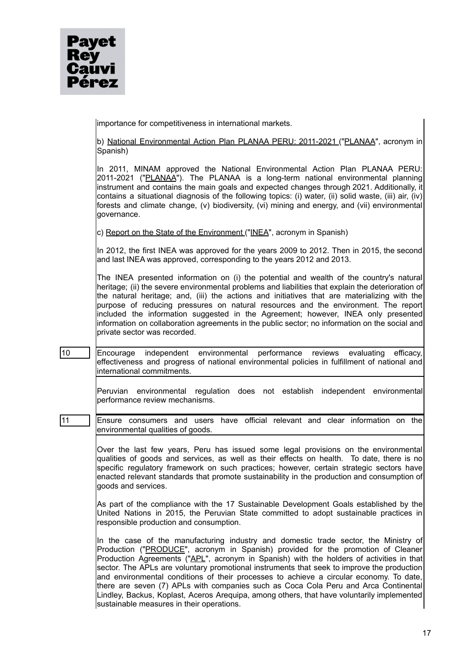

importance for competitiveness in international markets.

b) National Environmental Action Plan PLANAA PERU: 2011-2021 ("PLANAA", acronym in Spanish)

In 2011, MINAM approved the National Environmental Action Plan PLANAA PERU: 2011-2021 ("PLANAA"). The PLANAA is a long-term national environmental planning instrument and contains the main goals and expected changes through 2021. Additionally, it contains a situational diagnosis of the following topics: (i) water, (ii) solid waste, (iii) air, (iv) forests and climate change, (v) biodiversity, (vi) mining and energy, and (vii) environmental governance.

c) Report on the State of the Environment ("INEA", acronym in Spanish)

In 2012, the first INEA was approved for the years 2009 to 2012. Then in 2015, the second and last INEA was approved, corresponding to the years 2012 and 2013.

The INEA presented information on (i) the potential and wealth of the country's natural heritage; (ii) the severe environmental problems and liabilities that explain the deterioration of the natural heritage; and, (iii) the actions and initiatives that are materializing with the purpose of reducing pressures on natural resources and the environment. The report included the information suggested in the Agreement; however, INEA only presented information on collaboration agreements in the public sector; no information on the social and private sector was recorded.

10 Encourage independent environmental performance reviews evaluating efficacy, effectiveness and progress of national environmental policies in fulfillment of national and international commitments.

> Peruvian environmental regulation does not establish independent environmental performance review mechanisms.

11 Ensure consumers and users have official relevant and clear information on the environmental qualities of goods.

> Over the last few years, Peru has issued some legal provisions on the environmental qualities of goods and services, as well as their effects on health. To date, there is no specific regulatory framework on such practices; however, certain strategic sectors have enacted relevant standards that promote sustainability in the production and consumption of goods and services.

> As part of the compliance with the 17 Sustainable Development Goals established by the United Nations in 2015, the Peruvian State committed to adopt sustainable practices in responsible production and consumption.

> In the case of the manufacturing industry and domestic trade sector, the Ministry of Production ("PRODUCE", acronym in Spanish) provided for the promotion of Cleaner Production Agreements ("APL", acronym in Spanish) with the holders of activities in that sector. The APLs are voluntary promotional instruments that seek to improve the production and environmental conditions of their processes to achieve a circular economy. To date, there are seven (7) APLs with companies such as Coca Cola Peru and Arca Continental Lindley, Backus, Koplast, Aceros Arequipa, among others, that have voluntarily implemented sustainable measures in their operations.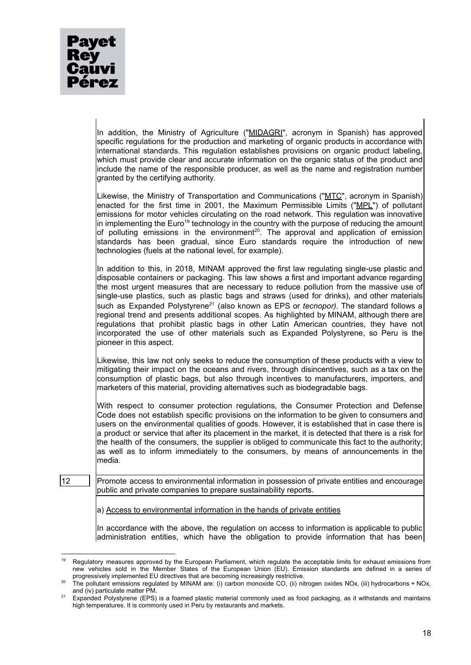$\mathbf{r}$ 

|    | In addition, the Ministry of Agriculture ("MIDAGRI", acronym in Spanish) has approved<br>specific regulations for the production and marketing of organic products in accordance with<br>international standards. This regulation establishes provisions on organic product labeling,<br>which must provide clear and accurate information on the organic status of the product and<br>include the name of the responsible producer, as well as the name and registration number<br>granted by the certifying authority.                                                                                                                                                                                                                                                                                       |
|----|----------------------------------------------------------------------------------------------------------------------------------------------------------------------------------------------------------------------------------------------------------------------------------------------------------------------------------------------------------------------------------------------------------------------------------------------------------------------------------------------------------------------------------------------------------------------------------------------------------------------------------------------------------------------------------------------------------------------------------------------------------------------------------------------------------------|
|    | Likewise, the Ministry of Transportation and Communications ("MTC", acronym in Spanish)<br>enacted for the first time in 2001, the Maximum Permissible Limits ("MPL") of pollutant<br>emissions for motor vehicles circulating on the road network. This regulation was innovative<br>in implementing the Euro <sup>19</sup> technology in the country with the purpose of reducing the amount<br>of polluting emissions in the environment <sup>20</sup> . The approval and application of emission<br>standards has been gradual, since Euro standards require the introduction of new<br>technologies (fuels at the national level, for example).                                                                                                                                                           |
|    | In addition to this, in 2018, MINAM approved the first law regulating single-use plastic and<br>disposable containers or packaging. This law shows a first and important advance regarding<br>the most urgent measures that are necessary to reduce pollution from the massive use of<br>single-use plastics, such as plastic bags and straws (used for drinks), and other materials<br>such as Expanded Polystyrene <sup>21</sup> (also known as EPS or <i>tecnopor</i> ). The standard follows a<br>regional trend and presents additional scopes. As highlighted by MINAM, although there are<br>regulations that prohibit plastic bags in other Latin American countries, they have not<br>incorporated the use of other materials such as Expanded Polystyrene, so Peru is the<br>pioneer in this aspect. |
|    | Likewise, this law not only seeks to reduce the consumption of these products with a view to<br>mitigating their impact on the oceans and rivers, through disincentives, such as a tax on the<br>consumption of plastic bags, but also through incentives to manufacturers, importers, and<br>marketers of this material, providing alternatives such as biodegradable bags.                                                                                                                                                                                                                                                                                                                                                                                                                                   |
|    | With respect to consumer protection regulations, the Consumer Protection and Defense<br>Code does not establish specific provisions on the information to be given to consumers and<br>users on the environmental qualities of goods. However, it is established that in case there is<br>a product or service that after its placement in the market, it is detected that there is a risk for<br>the health of the consumers, the supplier is obliged to communicate this fact to the authority;<br>as well as to inform immediately to the consumers, by means of announcements in the<br>media.                                                                                                                                                                                                             |
| 12 | Promote access to environmental information in possession of private entities and encourage<br>public and private companies to prepare sustainability reports.                                                                                                                                                                                                                                                                                                                                                                                                                                                                                                                                                                                                                                                 |
|    | a) Access to environmental information in the hands of private entities                                                                                                                                                                                                                                                                                                                                                                                                                                                                                                                                                                                                                                                                                                                                        |
|    | In accordance with the above, the regulation on access to information is applicable to public                                                                                                                                                                                                                                                                                                                                                                                                                                                                                                                                                                                                                                                                                                                  |

<sup>&</sup>lt;sup>19</sup> Regulatory measures approved by the European Parliament, which regulate the acceptable limits for exhaust emissions from new vehicles sold in the Member States of the European Union (EU). Emission standards are defined in a series of

administration entities, which have the obligation to provide information that has been

 $\mathbf{r}$ 

<sup>&</sup>lt;sup>20</sup> The pollutant emissions regulated by MINAM are: (i) carbon monoxide CO, (ii) nitrogen oxides NOx, (iii) hydrocarbons + NOx, and (iv) particulate matter PM. progressively implemented EU directives that are becoming increasingly restrictive.

<sup>&</sup>lt;sup>21</sup> Expanded Polystyrene (EPS) is a foamed plastic material commonly used as food packaging, as it withstands and maintains high temperatures. It is commonly used in Peru by restaurants and markets.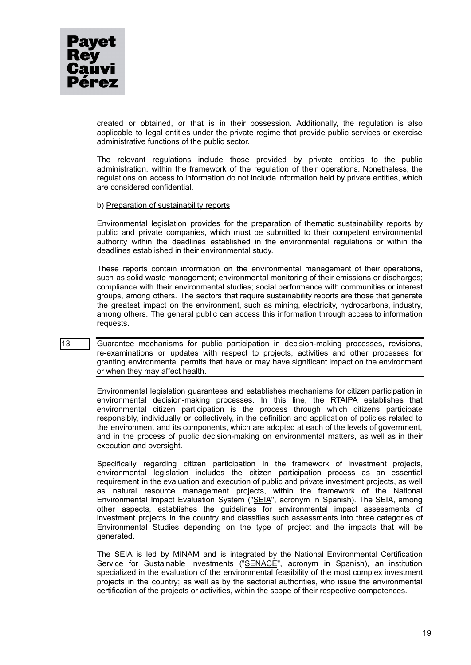

created or obtained, or that is in their possession. Additionally, the regulation is also applicable to legal entities under the private regime that provide public services or exercise administrative functions of the public sector.

The relevant regulations include those provided by private entities to the public administration, within the framework of the regulation of their operations. Nonetheless, the regulations on access to information do not include information held by private entities, which are considered confidential.

b) Preparation of sustainability reports

Environmental legislation provides for the preparation of thematic sustainability reports by public and private companies, which must be submitted to their competent environmental authority within the deadlines established in the environmental regulations or within the deadlines established in their environmental study.

These reports contain information on the environmental management of their operations, such as solid waste management; environmental monitoring of their emissions or discharges; compliance with their environmental studies; social performance with communities or interest groups, among others. The sectors that require sustainability reports are those that generate the greatest impact on the environment, such as mining, electricity, hydrocarbons, industry, among others. The general public can access this information through access to information requests.

13 Guarantee mechanisms for public participation in decision-making processes, revisions, re-examinations or updates with respect to projects, activities and other processes for granting environmental permits that have or may have significant impact on the environment or when they may affect health.

> Environmental legislation guarantees and establishes mechanisms for citizen participation in environmental decision-making processes. In this line, the RTAIPA establishes that environmental citizen participation is the process through which citizens participate responsibly, individually or collectively, in the definition and application of policies related to the environment and its components, which are adopted at each of the levels of government, and in the process of public decision-making on environmental matters, as well as in their execution and oversight.

> Specifically regarding citizen participation in the framework of investment projects, environmental legislation includes the citizen participation process as an essential requirement in the evaluation and execution of public and private investment projects, as well as natural resource management projects, within the framework of the National Environmental Impact Evaluation System ("SEIA", acronym in Spanish). The SEIA, among other aspects, establishes the guidelines for environmental impact assessments of investment projects in the country and classifies such assessments into three categories of Environmental Studies depending on the type of project and the impacts that will be generated.

> The SEIA is led by MINAM and is integrated by the National Environmental Certification Service for Sustainable Investments ("SENACE", acronym in Spanish), an institution specialized in the evaluation of the environmental feasibility of the most complex investment projects in the country; as well as by the sectorial authorities, who issue the environmental certification of the projects or activities, within the scope of their respective competences.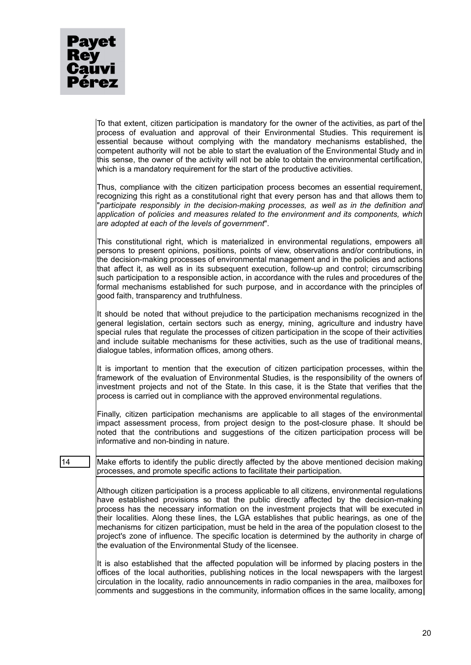To that extent, citizen participation is mandatory for the owner of the activities, as part of the process of evaluation and approval of their Environmental Studies. This requirement is essential because without complying with the mandatory mechanisms established, the competent authority will not be able to start the evaluation of the Environmental Study and in this sense, the owner of the activity will not be able to obtain the environmental certification, which is a mandatory requirement for the start of the productive activities. Thus, compliance with the citizen participation process becomes an essential requirement, recognizing this right as a constitutional right that every person has and that allows them to "*participate responsibly in the decision-making processes, as well as in the definition and application of policies and measures related to the environment and its components, which are adopted at each of the levels of government*". This constitutional right, which is materialized in environmental regulations, empowers all persons to present opinions, positions, points of view, observations and/or contributions, in the decision-making processes of environmental management and in the policies and actions that affect it, as well as in its subsequent execution, follow-up and control; circumscribing such participation to a responsible action, in accordance with the rules and procedures of the formal mechanisms established for such purpose, and in accordance with the principles of good faith, transparency and truthfulness. It should be noted that without prejudice to the participation mechanisms recognized in the general legislation, certain sectors such as energy, mining, agriculture and industry have special rules that regulate the processes of citizen participation in the scope of their activities and include suitable mechanisms for these activities, such as the use of traditional means, dialogue tables, information offices, among others. It is important to mention that the execution of citizen participation processes, within the framework of the evaluation of Environmental Studies, is the responsibility of the owners of investment projects and not of the State. In this case, it is the State that verifies that the process is carried out in compliance with the approved environmental regulations. Finally, citizen participation mechanisms are applicable to all stages of the environmental impact assessment process, from project design to the post-closure phase. It should be noted that the contributions and suggestions of the citizen participation process will be informative and non-binding in nature. 14 Make efforts to identify the public directly affected by the above mentioned decision making processes, and promote specific actions to facilitate their participation.

Although citizen participation is a process applicable to all citizens, environmental regulations have established provisions so that the public directly affected by the decision-making process has the necessary information on the investment projects that will be executed in their localities. Along these lines, the LGA establishes that public hearings, as one of the mechanisms for citizen participation, must be held in the area of the population closest to the project's zone of influence. The specific location is determined by the authority in charge of the evaluation of the Environmental Study of the licensee.

It is also established that the affected population will be informed by placing posters in the offices of the local authorities, publishing notices in the local newspapers with the largest circulation in the locality, radio announcements in radio companies in the area, mailboxes for comments and suggestions in the community, information offices in the same locality, among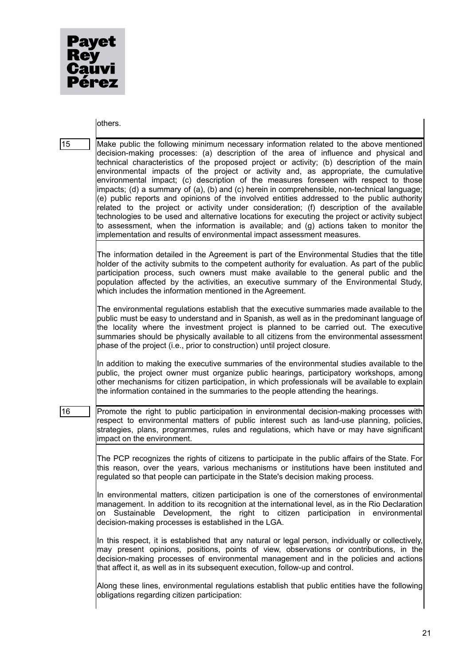

others.

15 **Make public the following minimum necessary information related to the above mentioned** decision-making processes: (a) description of the area of influence and physical and technical characteristics of the proposed project or activity; (b) description of the main environmental impacts of the project or activity and, as appropriate, the cumulative environmental impact; (c) description of the measures foreseen with respect to those impacts; (d) a summary of (a), (b) and (c) herein in comprehensible, non-technical language; (e) public reports and opinions of the involved entities addressed to the public authority related to the project or activity under consideration; (f) description of the available technologies to be used and alternative locations for executing the project or activity subject to assessment, when the information is available; and (g) actions taken to monitor the implementation and results of environmental impact assessment measures. The information detailed in the Agreement is part of the Environmental Studies that the title holder of the activity submits to the competent authority for evaluation. As part of the public participation process, such owners must make available to the general public and the population affected by the activities, an executive summary of the Environmental Study, which includes the information mentioned in the Agreement. The environmental regulations establish that the executive summaries made available to the public must be easy to understand and in Spanish, as well as in the predominant language of the locality where the investment project is planned to be carried out. The executive summaries should be physically available to all citizens from the environmental assessment phase of the project (i.e., prior to construction) until project closure. In addition to making the executive summaries of the environmental studies available to the public, the project owner must organize public hearings, participatory workshops, among other mechanisms for citizen participation, in which professionals will be available to explain the information contained in the summaries to the people attending the hearings. 16 Promote the right to public participation in environmental decision-making processes with respect to environmental matters of public interest such as land-use planning, policies, strategies, plans, programmes, rules and regulations, which have or may have significant impact on the environment. The PCP recognizes the rights of citizens to participate in the public affairs of the State. For this reason, over the years, various mechanisms or institutions have been instituted and regulated so that people can participate in the State's decision making process. In environmental matters, citizen participation is one of the cornerstones of environmental management. In addition to its recognition at the international level, as in the Rio Declaration on Sustainable Development, the right to citizen participation in environmental decision-making processes is established in the LGA. In this respect, it is established that any natural or legal person, individually or collectively, may present opinions, positions, points of view, observations or contributions, in the decision-making processes of environmental management and in the policies and actions that affect it, as well as in its subsequent execution, follow-up and control. Along these lines, environmental regulations establish that public entities have the following obligations regarding citizen participation: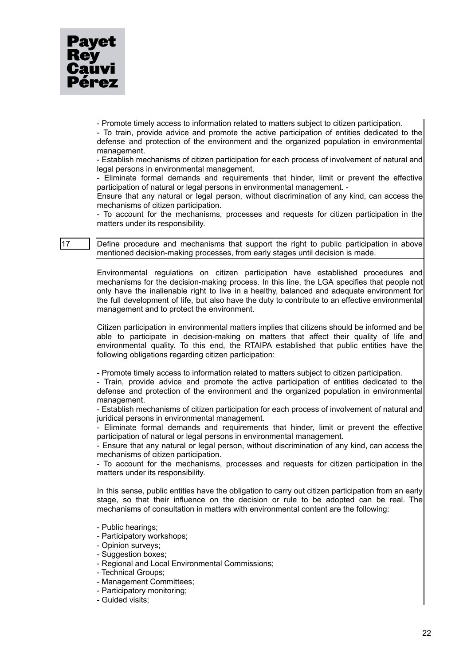

- Promote timely access to information related to matters subject to citizen participation.

- To train, provide advice and promote the active participation of entities dedicated to the defense and protection of the environment and the organized population in environmental management.

- Establish mechanisms of citizen participation for each process of involvement of natural and legal persons in environmental management.

- Eliminate formal demands and requirements that hinder, limit or prevent the effective participation of natural or legal persons in environmental management. -

Ensure that any natural or legal person, without discrimination of any kind, can access the mechanisms of citizen participation.

- To account for the mechanisms, processes and requests for citizen participation in the matters under its responsibility.

17 Define procedure and mechanisms that support the right to public participation in above mentioned decision-making processes, from early stages until decision is made.

> Environmental regulations on citizen participation have established procedures and mechanisms for the decision-making process. In this line, the LGA specifies that people not only have the inalienable right to live in a healthy, balanced and adequate environment for the full development of life, but also have the duty to contribute to an effective environmental management and to protect the environment.

> Citizen participation in environmental matters implies that citizens should be informed and be able to participate in decision-making on matters that affect their quality of life and environmental quality. To this end, the RTAIPA established that public entities have the following obligations regarding citizen participation:

- Promote timely access to information related to matters subject to citizen participation.

- Train, provide advice and promote the active participation of entities dedicated to the defense and protection of the environment and the organized population in environmental management.

- Establish mechanisms of citizen participation for each process of involvement of natural and juridical persons in environmental management.

- Eliminate formal demands and requirements that hinder, limit or prevent the effective participation of natural or legal persons in environmental management.

- Ensure that any natural or legal person, without discrimination of any kind, can access the mechanisms of citizen participation.

- To account for the mechanisms, processes and requests for citizen participation in the matters under its responsibility.

In this sense, public entities have the obligation to carry out citizen participation from an early stage, so that their influence on the decision or rule to be adopted can be real. The mechanisms of consultation in matters with environmental content are the following:

- Public hearings;
- Participatory workshops;
- Opinion surveys;
- Suggestion boxes;
- Regional and Local Environmental Commissions;
- Technical Groups;
- Management Committees;
- Participatory monitoring;
- Guided visits;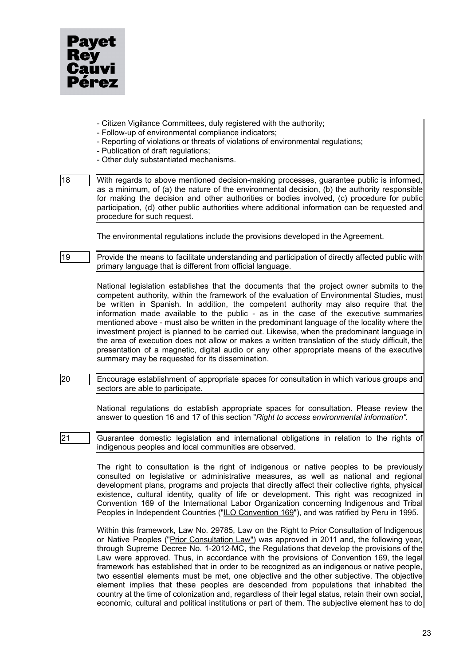

|    | Citizen Vigilance Committees, duly registered with the authority;<br>Follow-up of environmental compliance indicators;<br>- Reporting of violations or threats of violations of environmental regulations;<br>Publication of draft regulations;<br>Other duly substantiated mechanisms.                                                                                                                                                                                                                                                                                                                                                                                                                                                                                                                                                                                       |
|----|-------------------------------------------------------------------------------------------------------------------------------------------------------------------------------------------------------------------------------------------------------------------------------------------------------------------------------------------------------------------------------------------------------------------------------------------------------------------------------------------------------------------------------------------------------------------------------------------------------------------------------------------------------------------------------------------------------------------------------------------------------------------------------------------------------------------------------------------------------------------------------|
| 18 | With regards to above mentioned decision-making processes, guarantee public is informed,<br>as a minimum, of (a) the nature of the environmental decision, (b) the authority responsible<br>for making the decision and other authorities or bodies involved, (c) procedure for public<br>participation, (d) other public authorities where additional information can be requested and<br>procedure for such request.                                                                                                                                                                                                                                                                                                                                                                                                                                                        |
|    | The environmental regulations include the provisions developed in the Agreement.                                                                                                                                                                                                                                                                                                                                                                                                                                                                                                                                                                                                                                                                                                                                                                                              |
| 19 | Provide the means to facilitate understanding and participation of directly affected public with<br>primary language that is different from official language.                                                                                                                                                                                                                                                                                                                                                                                                                                                                                                                                                                                                                                                                                                                |
|    | National legislation establishes that the documents that the project owner submits to the<br>competent authority, within the framework of the evaluation of Environmental Studies, must<br>be written in Spanish. In addition, the competent authority may also require that the<br>information made available to the public - as in the case of the executive summaries<br>mentioned above - must also be written in the predominant language of the locality where the<br>investment project is planned to be carried out. Likewise, when the predominant language in<br>the area of execution does not allow or makes a written translation of the study difficult, the<br>presentation of a magnetic, digital audio or any other appropriate means of the executive<br>summary may be requested for its dissemination.                                                    |
| 20 | Encourage establishment of appropriate spaces for consultation in which various groups and<br>sectors are able to participate.                                                                                                                                                                                                                                                                                                                                                                                                                                                                                                                                                                                                                                                                                                                                                |
|    | National regulations do establish appropriate spaces for consultation. Please review the<br>answer to question 16 and 17 of this section "Right to access environmental information".                                                                                                                                                                                                                                                                                                                                                                                                                                                                                                                                                                                                                                                                                         |
| 21 | Guarantee domestic legislation and international obligations in relation to the rights of<br>indigenous peoples and local communities are observed.                                                                                                                                                                                                                                                                                                                                                                                                                                                                                                                                                                                                                                                                                                                           |
|    | The right to consultation is the right of indigenous or native peoples to be previously<br>consulted on legislative or administrative measures, as well as national and regional<br>development plans, programs and projects that directly affect their collective rights, physical<br>existence, cultural identity, quality of life or development. This right was recognized in<br>Convention 169 of the International Labor Organization concerning Indigenous and Tribal<br>Peoples in Independent Countries ("ILO Convention 169"), and was ratified by Peru in 1995.                                                                                                                                                                                                                                                                                                    |
|    | Within this framework, Law No. 29785, Law on the Right to Prior Consultation of Indigenous<br>or Native Peoples ("Prior Consultation Law") was approved in 2011 and, the following year,<br>through Supreme Decree No. 1-2012-MC, the Regulations that develop the provisions of the<br>Law were approved. Thus, in accordance with the provisions of Convention 169, the legal<br>framework has established that in order to be recognized as an indigenous or native people,<br>two essential elements must be met, one objective and the other subjective. The objective<br>element implies that these peoples are descended from populations that inhabited the<br>country at the time of colonization and, regardless of their legal status, retain their own social,<br>economic, cultural and political institutions or part of them. The subjective element has to do |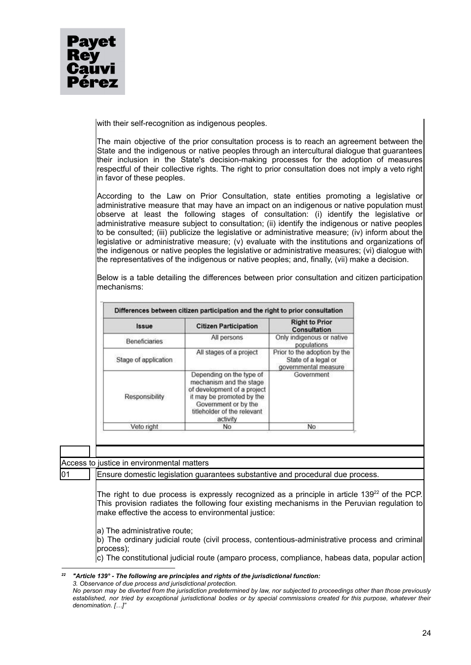

with their self-recognition as indigenous peoples.

The main objective of the prior consultation process is to reach an agreement between the State and the indigenous or native peoples through an intercultural dialogue that guarantees their inclusion in the State's decision-making processes for the adoption of measures respectful of their collective rights. The right to prior consultation does not imply a veto right in favor of these peoples.

According to the Law on Prior Consultation, state entities promoting a legislative or administrative measure that may have an impact on an indigenous or native population must observe at least the following stages of consultation: (i) identify the legislative or administrative measure subject to consultation; (ii) identify the indigenous or native peoples to be consulted; (iii) publicize the legislative or administrative measure; (iv) inform about the legislative or administrative measure; (v) evaluate with the institutions and organizations of the indigenous or native peoples the legislative or administrative measures; (vi) dialogue with the representatives of the indigenous or native peoples; and, finally, (vii) make a decision.

|              |  |  |  |  | Below is a table detailing the differences between prior consultation and citizen participation |  |  |
|--------------|--|--|--|--|-------------------------------------------------------------------------------------------------|--|--|
| Imechanisms: |  |  |  |  |                                                                                                 |  |  |
|              |  |  |  |  |                                                                                                 |  |  |
|              |  |  |  |  |                                                                                                 |  |  |

| Issue                | <b>Citizen Participation</b>                                                                                                                                                       | <b>Right to Prior</b><br>Consultation                                       |
|----------------------|------------------------------------------------------------------------------------------------------------------------------------------------------------------------------------|-----------------------------------------------------------------------------|
| <b>Beneficiaries</b> | All persons                                                                                                                                                                        | Only indigenous or native<br>populations                                    |
| Stage of application | All stages of a project                                                                                                                                                            | Prior to the adoption by the<br>State of a legal or<br>governmental measure |
| Responsibility       | Depending on the type of<br>mechanism and the stage<br>of development of a project<br>it may be promoted by the<br>Government or by the<br>titleholder of the relevant<br>activity | Government                                                                  |
| Veto right           | No                                                                                                                                                                                 | No                                                                          |

# Access to justice in environmental matters

01 Ensure domestic legislation guarantees substantive and procedural due process.

The right to due process is expressly recognized as a principle in article 139 $22$  of the PCP. This provision radiates the following four existing mechanisms in the Peruvian regulation to make effective the access to environmental justice:

a) The administrative route;

b) The ordinary judicial route (civil process, contentious-administrative process and criminal process);

c) The constitutional judicial route (amparo process, compliance, habeas data, popular action

*<sup>22</sup> "Article 139° - The following are principles and rights of the jurisdictional function: 3. Observance of due process and jurisdictional protection.*

No person may be diverted from the jurisdiction predetermined by law, nor subjected to proceedings other than those previously established, nor tried by exceptional jurisdictional bodies or by special commissions created for this purpose, whatever their *denomination. […]"*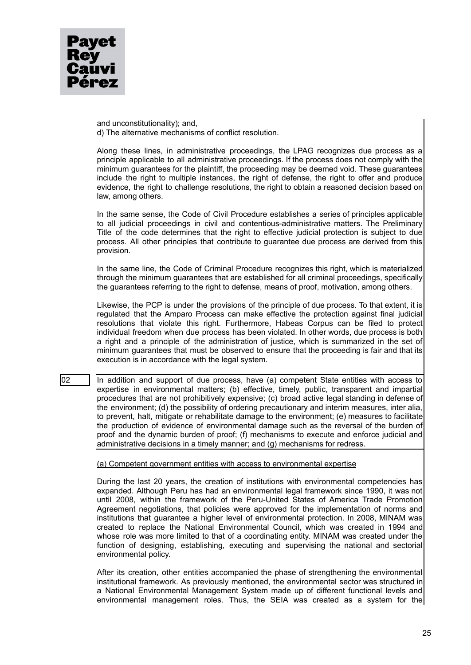

and unconstitutionality); and, d) The alternative mechanisms of conflict resolution.

Along these lines, in administrative proceedings, the LPAG recognizes due process as a principle applicable to all administrative proceedings. If the process does not comply with the minimum guarantees for the plaintiff, the proceeding may be deemed void. These guarantees include the right to multiple instances, the right of defense, the right to offer and produce evidence, the right to challenge resolutions, the right to obtain a reasoned decision based on law, among others.

In the same sense, the Code of Civil Procedure establishes a series of principles applicable to all judicial proceedings in civil and contentious-administrative matters. The Preliminary Title of the code determines that the right to effective judicial protection is subject to due process. All other principles that contribute to guarantee due process are derived from this provision.

In the same line, the Code of Criminal Procedure recognizes this right, which is materialized through the minimum guarantees that are established for all criminal proceedings, specifically the guarantees referring to the right to defense, means of proof, motivation, among others.

Likewise, the PCP is under the provisions of the principle of due process. To that extent, it is regulated that the Amparo Process can make effective the protection against final judicial resolutions that violate this right. Furthermore, Habeas Corpus can be filed to protect individual freedom when due process has been violated. In other words, due process is both a right and a principle of the administration of justice, which is summarized in the set of minimum guarantees that must be observed to ensure that the proceeding is fair and that its execution is in accordance with the legal system.

02 In addition and support of due process, have (a) competent State entities with access to expertise in environmental matters; (b) effective, timely, public, transparent and impartial procedures that are not prohibitively expensive; (c) broad active legal standing in defense of the environment; (d) the possibility of ordering precautionary and interim measures, inter alia, to prevent, halt, mitigate or rehabilitate damage to the environment; (e) measures to facilitate the production of evidence of environmental damage such as the reversal of the burden of proof and the dynamic burden of proof; (f) mechanisms to execute and enforce judicial and administrative decisions in a timely manner; and (g) mechanisms for redress.

(a) Competent government entities with access to environmental expertise

During the last 20 years, the creation of institutions with environmental competencies has expanded. Although Peru has had an environmental legal framework since 1990, it was not until 2008, within the framework of the Peru-United States of America Trade Promotion Agreement negotiations, that policies were approved for the implementation of norms and institutions that guarantee a higher level of environmental protection. In 2008, MINAM was created to replace the National Environmental Council, which was created in 1994 and whose role was more limited to that of a coordinating entity. MINAM was created under the function of designing, establishing, executing and supervising the national and sectorial environmental policy.

After its creation, other entities accompanied the phase of strengthening the environmental institutional framework. As previously mentioned, the environmental sector was structured in a National Environmental Management System made up of different functional levels and environmental management roles. Thus, the SEIA was created as a system for the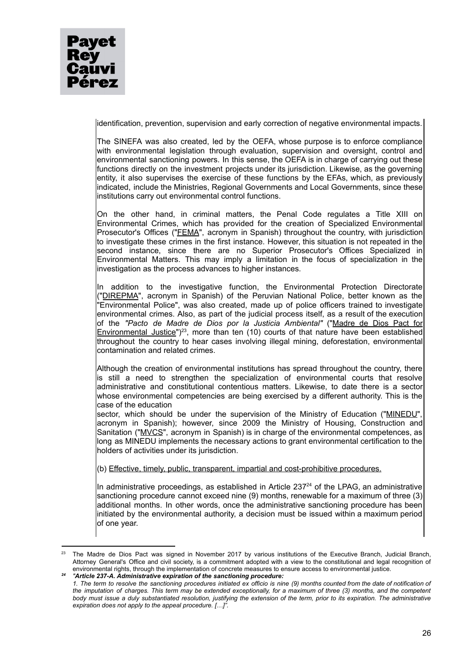

identification, prevention, supervision and early correction of negative environmental impacts.

The SINEFA was also created, led by the OEFA, whose purpose is to enforce compliance with environmental legislation through evaluation, supervision and oversight, control and environmental sanctioning powers. In this sense, the OEFA is in charge of carrying out these functions directly on the investment projects under its jurisdiction. Likewise, as the governing entity, it also supervises the exercise of these functions by the EFAs, which, as previously indicated, include the Ministries, Regional Governments and Local Governments, since these institutions carry out environmental control functions.

On the other hand, in criminal matters, the Penal Code regulates a Title XIII on Environmental Crimes, which has provided for the creation of Specialized Environmental Prosecutor's Offices ("FEMA", acronym in Spanish) throughout the country, with jurisdiction to investigate these crimes in the first instance. However, this situation is not repeated in the second instance, since there are no Superior Prosecutor's Offices Specialized in Environmental Matters. This may imply a limitation in the focus of specialization in the investigation as the process advances to higher instances.

In addition to the investigative function, the Environmental Protection Directorate ("DIREPMA", acronym in Spanish) of the Peruvian National Police, better known as the "Environmental Police", was also created, made up of police officers trained to investigate environmental crimes. Also, as part of the judicial process itself, as a result of the execution of the *"Pacto de Madre de Dios por la Justicia Ambiental"* ("Madre de Dios Pact for Environmental Justice")<sup>23</sup>, more than ten (10) courts of that nature have been established throughout the country to hear cases involving illegal mining, deforestation, environmental contamination and related crimes.

Although the creation of environmental institutions has spread throughout the country, there is still a need to strengthen the specialization of environmental courts that resolve administrative and constitutional contentious matters. Likewise, to date there is a sector whose environmental competencies are being exercised by a different authority. This is the case of the education

sector, which should be under the supervision of the Ministry of Education ("MINEDU", acronym in Spanish); however, since 2009 the Ministry of Housing, Construction and Sanitation ("MVCS", acronym in Spanish) is in charge of the environmental competences, as long as MINEDU implements the necessary actions to grant environmental certification to the holders of activities under its jurisdiction.

(b) Effective, timely, public, transparent, impartial and cost-prohibitive procedures.

In administrative proceedings, as established in Article 237<sup>24</sup> of the LPAG, an administrative sanctioning procedure cannot exceed nine (9) months, renewable for a maximum of three (3) additional months. In other words, once the administrative sanctioning procedure has been initiated by the environmental authority, a decision must be issued within a maximum period of one year.

*<sup>24</sup> "Article 237-A. Administrative expiration of the sanctioning procedure:* <sup>23</sup> The Madre de Dios Pact was signed in November 2017 by various institutions of the Executive Branch, Judicial Branch, Attorney General's Office and civil society, is a commitment adopted with a view to the constitutional and legal recognition of environmental rights, through the implementation of concrete measures to ensure access to environmental justice.

<sup>1.</sup> The term to resolve the sanctioning procedures initiated ex officio is nine (9) months counted from the date of notification of the imputation of charges. This term may be extended exceptionally, for a maximum of three (3) months, and the competent body must issue a duly substantiated resolution, justifying the extension of the term, prior to its expiration. The administrative *expiration does not apply to the appeal procedure. […]".*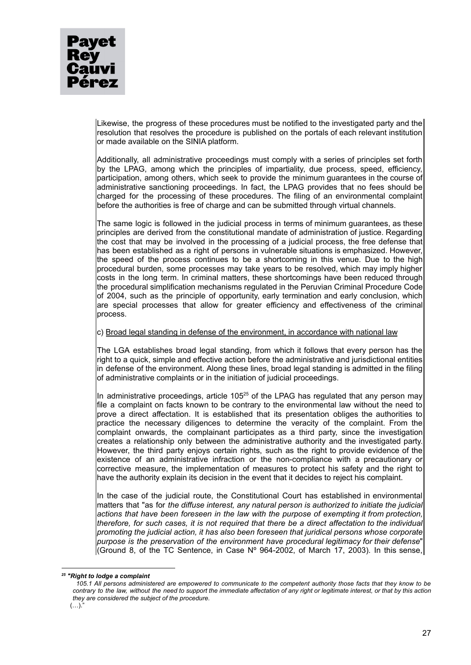

Likewise, the progress of these procedures must be notified to the investigated party and the resolution that resolves the procedure is published on the portals of each relevant institution or made available on the SINIA platform.

Additionally, all administrative proceedings must comply with a series of principles set forth by the LPAG, among which the principles of impartiality, due process, speed, efficiency, participation, among others, which seek to provide the minimum guarantees in the course of administrative sanctioning proceedings. In fact, the LPAG provides that no fees should be charged for the processing of these procedures. The filing of an environmental complaint before the authorities is free of charge and can be submitted through virtual channels.

The same logic is followed in the judicial process in terms of minimum guarantees, as these principles are derived from the constitutional mandate of administration of justice. Regarding the cost that may be involved in the processing of a judicial process, the free defense that has been established as a right of persons in vulnerable situations is emphasized. However, the speed of the process continues to be a shortcoming in this venue. Due to the high procedural burden, some processes may take years to be resolved, which may imply higher costs in the long term. In criminal matters, these shortcomings have been reduced through the procedural simplification mechanisms regulated in the Peruvian Criminal Procedure Code of 2004, such as the principle of opportunity, early termination and early conclusion, which are special processes that allow for greater efficiency and effectiveness of the criminal process.

c) Broad legal standing in defense of the environment, in accordance with national law

The LGA establishes broad legal standing, from which it follows that every person has the right to a quick, simple and effective action before the administrative and jurisdictional entities in defense of the environment. Along these lines, broad legal standing is admitted in the filing of administrative complaints or in the initiation of judicial proceedings.

In administrative proceedings, article  $105^{25}$  of the LPAG has regulated that any person may file a complaint on facts known to be contrary to the environmental law without the need to prove a direct affectation. It is established that its presentation obliges the authorities to practice the necessary diligences to determine the veracity of the complaint. From the complaint onwards, the complainant participates as a third party, since the investigation creates a relationship only between the administrative authority and the investigated party. However, the third party enjoys certain rights, such as the right to provide evidence of the existence of an administrative infraction or the non-compliance with a precautionary or corrective measure, the implementation of measures to protect his safety and the right to have the authority explain its decision in the event that it decides to reject his complaint.

In the case of the judicial route, the Constitutional Court has established in environmental matters that "as for *the diffuse interest, any natural person is authorized to initiate the judicial actions that have been foreseen in the law with the purpose of exempting it from protection, therefore, for such cases, it is not required that there be a direct affectation to the individual promoting the judicial action, it has also been foreseen that juridical persons whose corporate purpose is the preservation of the environment have procedural legitimacy for their defense*" (Ground 8, of the TC Sentence, in Case Nº 964-2002, of March 17, 2003). In this sense,

*<sup>25</sup> "Right to lodge a complaint*

<sup>105.1</sup> All persons administered are empowered to communicate to the competent authority those facts that they know to be contrary to the law, without the need to support the immediate affectation of any right or legitimate interest, or that by this action *they are considered the subject of the procedure.*

 $($ ...)."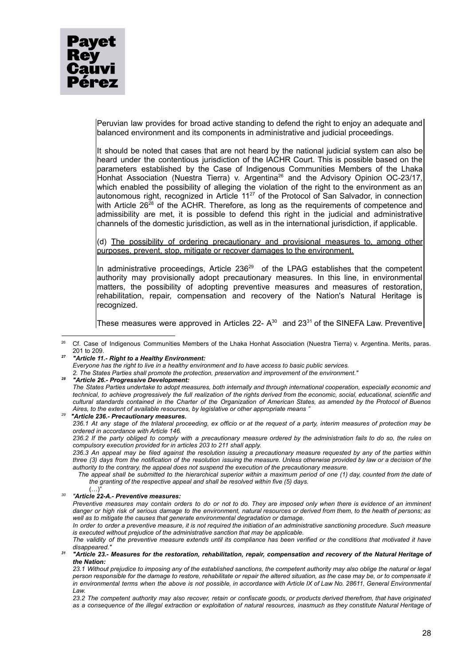

Peruvian law provides for broad active standing to defend the right to enjoy an adequate and balanced environment and its components in administrative and judicial proceedings.

It should be noted that cases that are not heard by the national judicial system can also be heard under the contentious jurisdiction of the IACHR Court. This is possible based on the parameters established by the Case of Indigenous Communities Members of the Lhaka Honhat Association (Nuestra Tierra) v. Argentina<sup>26</sup> and the Advisory Opinion OC-23/17, which enabled the possibility of alleging the violation of the right to the environment as an autonomous right, recognized in Article  $11^{27}$  of the Protocol of San Salvador, in connection with Article 26<sup>28</sup> of the ACHR. Therefore, as long as the requirements of competence and admissibility are met, it is possible to defend this right in the judicial and administrative channels of the domestic jurisdiction, as well as in the international jurisdiction, if applicable.

(d) The possibility of ordering precautionary and provisional measures to, among other purposes, prevent, stop, mitigate or recover damages to the environment.

In administrative proceedings, Article 236<sup>29</sup> of the LPAG establishes that the competent authority may provisionally adopt precautionary measures. In this line, in environmental matters, the possibility of adopting preventive measures and measures of restoration, rehabilitation, repair, compensation and recovery of the Nation's Natural Heritage is recognized.

These measures were approved in Articles 22-  $A^{30}$  and 23<sup>31</sup> of the SINEFA Law. Preventive

*<sup>27</sup> "Article 11.- Right to a Healthy Environment:*

Everyone has the right to live in a healthy environment and to have access to basic public services.

*2. The States Parties shall promote the protection, preservation and improvement of the environment."*

*<sup>28</sup> "Article 26.- Progressive Development:*

The States Parties undertake to adopt measures, both internally and through international cooperation, especially economic and technical, to achieve progressively the full realization of the rights derived from the economic, social, educational, scientific and cultural standards contained in the Charter of the Organization of American States, as amended by the Protocol of Buenos *Aires, to the extent of available resources, by legislative or other appropriate means "*

*<sup>29</sup> "Article 236.- Precautionary measures.*

236.1 At any stage of the trilateral proceeding, ex officio or at the request of a party, interim measures of protection may be *ordered in accordance with Article 146.*

236.2 If the party obliged to comply with a precautionary measure ordered by the administration fails to do so, the rules on *compulsory execution provided for in articles 203 to 211 shall apply.*

236.3 An appeal may be filed against the resolution issuing a precautionary measure requested by any of the parties within three (3) days from the notification of the resolution issuing the measure. Unless otherwise provided by law or a decision of the *authority to the contrary, the appeal does not suspend the execution of the precautionary measure.*

The appeal shall be submitted to the hierarchical superior within a maximum period of one (1) day, counted from the date of *the granting of the respective appeal and shall be resolved within five (5) days.*

*30*

In order to order a preventive measure, it is not required the initiation of an administrative sanctioning procedure. Such measure *is executed without prejudice of the administrative sanction that may be applicable.*

The validity of the preventive measure extends until its compliance has been verified or the conditions that motivated it have *disappeared."*

23.2 The competent authority may also recover, retain or confiscate goods, or products derived therefrom, that have originated as a consequence of the illegal extraction or exploitation of natural resources, inasmuch as they constitute Natural Heritage of

<sup>&</sup>lt;sup>26</sup> Cf. Case of Indigenous Communities Members of the Lhaka Honhat Association (Nuestra Tierra) v. Argentina. Merits, paras. 201 to 209.

 $(\cdot, \cdot)$ "

*<sup>&</sup>quot;Article 22-A.- Preventive measures:* Preventive measures may contain orders to do or not to do. They are imposed only when there is evidence of an imminent danger or high risk of serious damage to the environment, natural resources or derived from them, to the health of persons; as *well as to mitigate the causes that generate environmental degradation or damage.*

<sup>31 &</sup>quot;Article 23.- Measures for the restoration, rehabilitation, repair, compensation and recovery of the Natural Heritage of *the Nation:*

<sup>23.1</sup> Without prejudice to imposing any of the established sanctions, the competent authority may also oblige the natural or legal person responsible for the damage to restore, rehabilitate or repair the altered situation, as the case may be, or to compensate it in environmental terms when the above is not possible, in accordance with Article IX of Law No. 28611, General Environmental *Law.*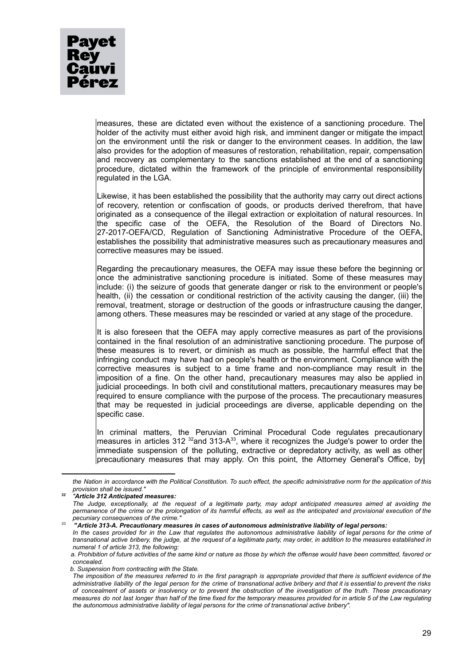measures, these are dictated even without the existence of a sanctioning procedure. The holder of the activity must either avoid high risk, and imminent danger or mitigate the impact on the environment until the risk or danger to the environment ceases. In addition, the law also provides for the adoption of measures of restoration, rehabilitation, repair, compensation and recovery as complementary to the sanctions established at the end of a sanctioning procedure, dictated within the framework of the principle of environmental responsibility regulated in the LGA.

Likewise, it has been established the possibility that the authority may carry out direct actions of recovery, retention or confiscation of goods, or products derived therefrom, that have originated as a consequence of the illegal extraction or exploitation of natural resources. In the specific case of the OEFA, the Resolution of the Board of Directors No. 27-2017-OEFA/CD, Regulation of Sanctioning Administrative Procedure of the OEFA, establishes the possibility that administrative measures such as precautionary measures and corrective measures may be issued.

Regarding the precautionary measures, the OEFA may issue these before the beginning or once the administrative sanctioning procedure is initiated. Some of these measures may include: (i) the seizure of goods that generate danger or risk to the environment or people's health, (ii) the cessation or conditional restriction of the activity causing the danger, (iii) the removal, treatment, storage or destruction of the goods or infrastructure causing the danger, among others. These measures may be rescinded or varied at any stage of the procedure.

It is also foreseen that the OEFA may apply corrective measures as part of the provisions contained in the final resolution of an administrative sanctioning procedure. The purpose of these measures is to revert, or diminish as much as possible, the harmful effect that the infringing conduct may have had on people's health or the environment. Compliance with the corrective measures is subject to a time frame and non-compliance may result in the imposition of a fine. On the other hand, precautionary measures may also be applied in judicial proceedings. In both civil and constitutional matters, precautionary measures may be required to ensure compliance with the purpose of the process. The precautionary measures that may be requested in judicial proceedings are diverse, applicable depending on the specific case.

In criminal matters, the Peruvian Criminal Procedural Code regulates precautionary measures in articles 312  $32$  and 313-A $33$ , where it recognizes the Judge's power to order the immediate suspension of the polluting, extractive or depredatory activity, as well as other precautionary measures that may apply. On this point, the Attorney General's Office, by

*<sup>33</sup>* **"***Article 313-A. Precautionary measures in cases of autonomous administrative liability of legal persons:*

the Nation in accordance with the Political Constitution. To such effect, the specific administrative norm for the application of this *provision shall be issued."*

*<sup>32</sup> "Article 312 Anticipated measures:*

The Judge, exceptionally, at the request of a legitimate party, may adopt anticipated measures aimed at avoiding the permanence of the crime or the prolongation of its harmful effects, as well as the anticipated and provisional execution of the *pecuniary consequences of the crime."*

In the cases provided for in the Law that requlates the autonomous administrative liability of legal persons for the crime of transnational active bribery, the judge, at the request of a legitimate party, may order, in addition to the measures established in *numeral 1 of article 313, the following:*

a. Prohibition of future activities of the same kind or nature as those by which the offense would have been committed, favored or *concealed.*

*b. Suspension from contracting with the State.*

The imposition of the measures referred to in the first paragraph is appropriate provided that there is sufficient evidence of the administrative liability of the legal person for the crime of transnational active bribery and that it is essential to prevent the risks of concealment of assets or insolvency or to prevent the obstruction of the investigation of the truth. These precautionary measures do not last longer than half of the time fixed for the temporary measures provided for in article 5 of the Law regulating *the autonomous administrative liability of legal persons for the crime of transnational active bribery".*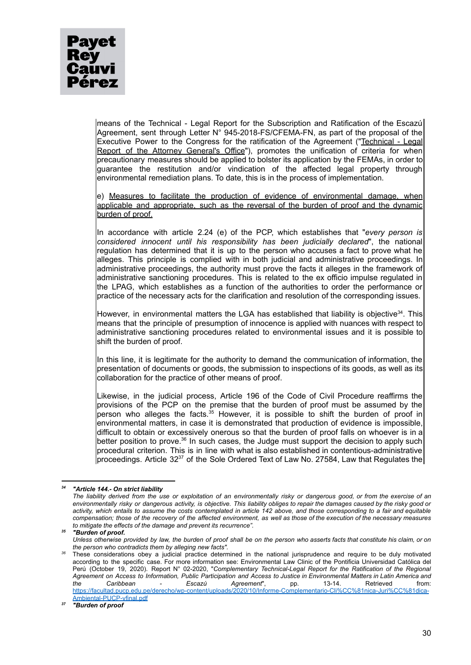means of the Technical - Legal Report for the Subscription and Ratification of the Escazú Agreement, sent through Letter N° 945-2018-FS/CFEMA-FN, as part of the proposal of the Executive Power to the Congress for the ratification of the Agreement ("Technical - Legal Report of the Attorney General's Office"), promotes the unification of criteria for when precautionary measures should be applied to bolster its application by the FEMAs, in order to guarantee the restitution and/or vindication of the affected legal property through environmental remediation plans. To date, this is in the process of implementation.

e) Measures to facilitate the production of evidence of environmental damage, when applicable and appropriate, such as the reversal of the burden of proof and the dynamic burden of proof.

In accordance with article 2.24 (e) of the PCP, which establishes that "*every person is considered innocent until his responsibility has been judicially declared*", the national regulation has determined that it is up to the person who accuses a fact to prove what he alleges. This principle is complied with in both judicial and administrative proceedings. In administrative proceedings, the authority must prove the facts it alleges in the framework of administrative sanctioning procedures. This is related to the ex officio impulse regulated in the LPAG, which establishes as a function of the authorities to order the performance or practice of the necessary acts for the clarification and resolution of the corresponding issues.

However, in environmental matters the LGA has established that liability is objective<sup>34</sup>. This means that the principle of presumption of innocence is applied with nuances with respect to administrative sanctioning procedures related to environmental issues and it is possible to shift the burden of proof.

In this line, it is legitimate for the authority to demand the communication of information, the presentation of documents or goods, the submission to inspections of its goods, as well as its collaboration for the practice of other means of proof.

Likewise, in the judicial process, Article 196 of the Code of Civil Procedure reaffirms the provisions of the PCP on the premise that the burden of proof must be assumed by the person who alleges the facts.<sup>35</sup> However, it is possible to shift the burden of proof in environmental matters, in case it is demonstrated that production of evidence is impossible, difficult to obtain or excessively onerous so that the burden of proof falls on whoever is in a better position to prove.<sup>36</sup> In such cases, the Judge must support the decision to apply such procedural criterion. This is in line with what is also established in contentious-administrative proceedings. Article 32<sup>37</sup> of the Sole Ordered Text of Law No. 27584, Law that Regulates the

*<sup>35</sup> "Burden of proof.*

*<sup>37</sup> "Burden of proof*

*<sup>34</sup> "Article 144.- On strict liability*

The liability derived from the use or exploitation of an environmentally risky or dangerous good, or from the exercise of an environmentally risky or dangerous activity, is objective. This liability obliges to repair the damages caused by the risky good or activity, which entails to assume the costs contemplated in article 142 above, and those corresponding to a fair and equitable compensation; those of the recovery of the affected environment, as well as those of the execution of the necessary measures *to mitigate the effects of the damage and prevent its recurrence".*

Unless otherwise provided by law, the burden of proof shall be on the person who asserts facts that constitute his claim, or on *the person who contradicts them by alleging new facts".*

*<sup>36</sup>* These considerations obey a judicial practice determined in the national jurisprudence and require to be duly motivated according to the specific case. For more information see: Environmental Law Clinic of the Pontificia Universidad Católica del Perú (October 19, 2020). Report N° 02-2020, "*Complementary Technical-Legal Report for the Ratification of the Regional* Agreement on Access to Information, Public Participation and Access to Justice in Environmental Matters in Latin America and<br>the Caribbean - Escazú Agreement'', pp. 13-14. Retrieved from: *the Caribbean - Escazú Agreement*", pp. 13-14. Retrieved from: [https://facultad.pucp.edu.pe/derecho/wp-content/uploads/2020/10/Informe-Complementario-Cli%CC%81nica-Juri%CC%81dica-](https://facultad.pucp.edu.pe/derecho/wp-content/uploads/2020/10/Informe-Complementario-Cli%CC%81nica-Juri%CC%81dica-Ambiental-PUCP-vfinal.pdf)[Ambiental-PUCP-vfinal.pdf](https://facultad.pucp.edu.pe/derecho/wp-content/uploads/2020/10/Informe-Complementario-Cli%CC%81nica-Juri%CC%81dica-Ambiental-PUCP-vfinal.pdf)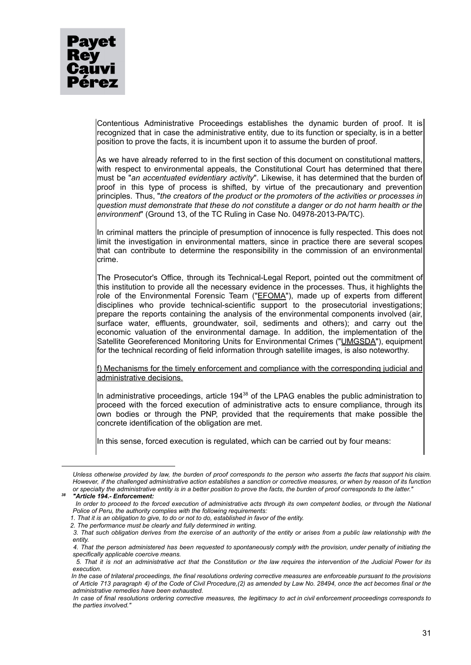

Contentious Administrative Proceedings establishes the dynamic burden of proof. It is recognized that in case the administrative entity, due to its function or specialty, is in a better position to prove the facts, it is incumbent upon it to assume the burden of proof.

As we have already referred to in the first section of this document on constitutional matters, with respect to environmental appeals, the Constitutional Court has determined that there must be "*an accentuated evidentiary activity*". Likewise, it has determined that the burden of proof in this type of process is shifted, by virtue of the precautionary and prevention principles. Thus, "*the creators of the product or the promoters of the activities or processes in question must demonstrate that these do not constitute a danger or do not harm health or the environment*" (Ground 13, of the TC Ruling in Case No. 04978-2013-PA/TC).

In criminal matters the principle of presumption of innocence is fully respected. This does not limit the investigation in environmental matters, since in practice there are several scopes that can contribute to determine the responsibility in the commission of an environmental crime.

The Prosecutor's Office, through its Technical-Legal Report, pointed out the commitment of this institution to provide all the necessary evidence in the processes. Thus, it highlights the role of the Environmental Forensic Team ("**EFOMA**"), made up of experts from different disciplines who provide technical-scientific support to the prosecutorial investigations; prepare the reports containing the analysis of the environmental components involved (air, surface water, effluents, groundwater, soil, sediments and others); and carry out the economic valuation of the environmental damage. In addition, the implementation of the Satellite Georeferenced Monitoring Units for Environmental Crimes ("UMGSDA"), equipment for the technical recording of field information through satellite images, is also noteworthy.

f) Mechanisms for the timely enforcement and compliance with the corresponding judicial and administrative decisions.

In administrative proceedings, article 194<sup>38</sup> of the LPAG enables the public administration to proceed with the forced execution of administrative acts to ensure compliance, through its own bodies or through the PNP, provided that the requirements that make possible the concrete identification of the obligation are met.

In this sense, forced execution is regulated, which can be carried out by four means:

- 1. That it is an obligation to give, to do or not to do, established in favor of the entity.
- *2. The performance must be clearly and fully determined in writing.*

Unless otherwise provided by law, the burden of proof corresponds to the person who asserts the facts that support his claim. However if the challenged administrative action establishes a sanction or corrective measures or when by reason of its function or specialty the administrative entity is in a better position to prove the facts, the burden of proof corresponds to the latter."

*<sup>38</sup> "Article 194.- Enforcement:*

In order to proceed to the forced execution of administrative acts through its own competent bodies, or through the National *Police of Peru, the authority complies with the following requirements:*

<sup>3.</sup> That such obligation derives from the exercise of an authority of the entity or arises from a public law relationship with the *entity.*

<sup>4.</sup> That the person administered has been requested to spontaneously comply with the provision, under penalty of initiating the *specifically applicable coercive means.*

<sup>5.</sup> That it is not an administrative act that the Constitution or the law requires the intervention of the Judicial Power for its *execution.*

In the case of trilateral proceedings, the final resolutions ordering corrective measures are enforceable pursuant to the provisions of Article 713 paragraph 4) of the Code of Civil Procedure, (2) as amended by Law No. 28494, once the act becomes final or the *administrative remedies have been exhausted.*

In case of final resolutions ordering corrective measures, the legitimacy to act in civil enforcement proceedings corresponds to *the parties involved."*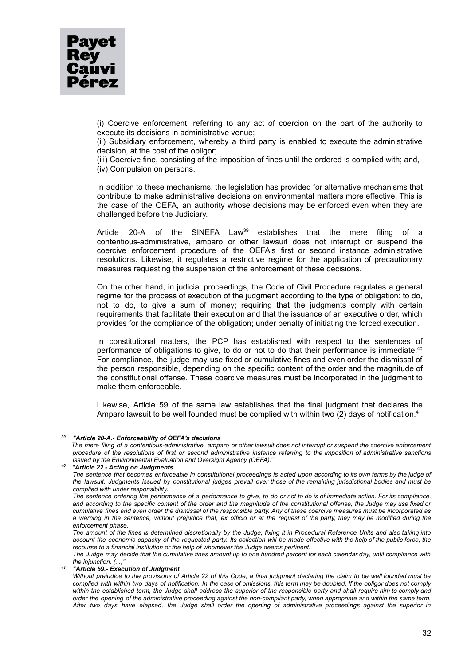(i) Coercive enforcement, referring to any act of coercion on the part of the authority to execute its decisions in administrative venue;

(ii) Subsidiary enforcement, whereby a third party is enabled to execute the administrative decision, at the cost of the obligor;

(iii) Coercive fine, consisting of the imposition of fines until the ordered is complied with; and, (iv) Compulsion on persons.

In addition to these mechanisms, the legislation has provided for alternative mechanisms that contribute to make administrative decisions on environmental matters more effective. This is the case of the OEFA, an authority whose decisions may be enforced even when they are challenged before the Judiciary.

Article 20-A of the SINEFA Law<sup>39</sup> establishes that the mere filing of a contentious-administrative, amparo or other lawsuit does not interrupt or suspend the coercive enforcement procedure of the OEFA's first or second instance administrative resolutions. Likewise, it regulates a restrictive regime for the application of precautionary measures requesting the suspension of the enforcement of these decisions.

On the other hand, in judicial proceedings, the Code of Civil Procedure regulates a general regime for the process of execution of the judgment according to the type of obligation: to do, not to do, to give a sum of money; requiring that the judgments comply with certain requirements that facilitate their execution and that the issuance of an executive order, which provides for the compliance of the obligation; under penalty of initiating the forced execution.

In constitutional matters, the PCP has established with respect to the sentences of performance of obligations to give, to do or not to do that their performance is immediate.<sup>40</sup> For compliance, the judge may use fixed or cumulative fines and even order the dismissal of the person responsible, depending on the specific content of the order and the magnitude of the constitutional offense. These coercive measures must be incorporated in the judgment to make them enforceable.

Likewise, Article 59 of the same law establishes that the final judgment that declares the Amparo lawsuit to be well founded must be complied with within two (2) days of notification.<sup>41</sup>

*<sup>39</sup> "Article 20-A.- Enforceability of OEFA's decisions*

#### *40* "*Article 22.- Acting on Judgments*

*<sup>41</sup> "Article 59.- Execution of Judgment*

The mere filing of a contentious-administrative, amparo or other lawsuit does not interrupt or suspend the coercive enforcement procedure of the resolutions of first or second administrative instance referring to the imposition of administrative sanctions *issued by the Environmental Evaluation and Oversight Agency (OEFA).*"

The sentence that becomes enforceable in constitutional proceedings is acted upon according to its own terms by the judge of the lawsuit. Judaments issued by constitutional judges prevail over those of the remaining jurisdictional bodies and must be *complied with under responsibility.*

The sentence ordering the performance of a performance to give, to do or not to do is of immediate action. For its compliance, and according to the specific content of the order and the magnitude of the constitutional offense, the Judge may use fixed or cumulative fines and even order the dismissal of the responsible party. Any of these coercive measures must be incorporated as a warning in the sentence, without prejudice that, ex officio or at the request of the party, they may be modified during the *enforcement phase.*

The amount of the fines is determined discretionally by the Judge, fixing it in Procedural Reference Units and also taking into account the economic capacity of the requested party. Its collection will be made effective with the help of the public force, the *recourse to a financial institution or the help of whomever the Judge deems pertinent.*

The Judge may decide that the cumulative fines amount up to one hundred percent for each calendar day, until compliance with *the injunction. (...)"*

Without prejudice to the provisions of Article 22 of this Code, a final judgment declaring the claim to be well founded must be complied with within two days of notification. In the case of omissions, this term may be doubled. If the obligor does not comply within the established term, the Judge shall address the superior of the responsible party and shall require him to comply and order the opening of the administrative proceeding against the non-compliant party, when appropriate and within the same term. After two days have elapsed, the Judge shall order the opening of administrative proceedings against the superior in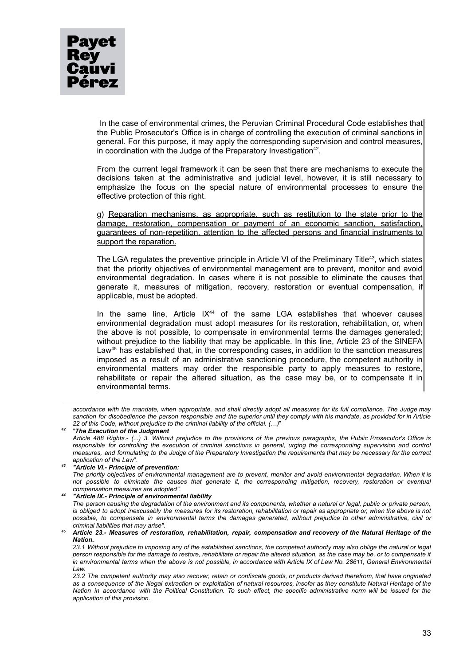In the case of environmental crimes, the Peruvian Criminal Procedural Code establishes that the Public Prosecutor's Office is in charge of controlling the execution of criminal sanctions in general. For this purpose, it may apply the corresponding supervision and control measures, in coordination with the Judge of the Preparatory Investigation $42$ .

From the current legal framework it can be seen that there are mechanisms to execute the decisions taken at the administrative and judicial level, however, it is still necessary to emphasize the focus on the special nature of environmental processes to ensure the effective protection of this right.

g) Reparation mechanisms, as appropriate, such as restitution to the state prior to the damage, restoration, compensation or payment of an economic sanction, satisfaction, guarantees of non-repetition, attention to the affected persons and financial instruments to support the reparation.

The LGA regulates the preventive principle in Article VI of the Preliminary Title<sup>43</sup>, which states that the priority objectives of environmental management are to prevent, monitor and avoid environmental degradation. In cases where it is not possible to eliminate the causes that generate it, measures of mitigation, recovery, restoration or eventual compensation, if applicable, must be adopted.

In the same line, Article  $IX^{44}$  of the same LGA establishes that whoever causes environmental degradation must adopt measures for its restoration, rehabilitation, or, when the above is not possible, to compensate in environmental terms the damages generated; without prejudice to the liability that may be applicable. In this line, Article 23 of the SINEFA Law<sup>45</sup> has established that, in the corresponding cases, in addition to the sanction measures imposed as a result of an administrative sanctioning procedure, the competent authority in environmental matters may order the responsible party to apply measures to restore, rehabilitate or repair the altered situation, as the case may be, or to compensate it in environmental terms.

Anticle 23. Measures of restoration, rehabilitation, repair, compensation and recovery of the Natural Heritage of the *Nation.*

accordance with the mandate, when appropriate, and shall directly adopt all measures for its full compliance. The Judge may sanction for disobedience the person responsible and the superior until they comply with his mandate, as provided for in Article *22 of this Code, without prejudice to the criminal liability of the official. (…)*"

*<sup>42</sup>* "*The Execution of the Judgment* Article 488 Rights.- (...) 3. Without prejudice to the provisions of the previous paragraphs, the Public Prosecutor's Office is responsible for controlling the execution of criminal sanctions in general, urging the corresponding supervision and control measures, and formulating to the Judge of the Preparatory Investigation the requirements that may be necessary for the correct *application of the Law*".

*<sup>43</sup> "Article VI.- Principle of prevention:*

The priority objectives of environmental management are to prevent, monitor and avoid environmental degradation. When it is not possible to eliminate the causes that generate it. the corresponding mitigation, recovery restoration or eventual *compensation measures are adopted".*

*<sup>44</sup> "Article IX.- Principle of environmental liability* The person causing the degradation of the environment and its components, whether a natural or legal, public or private person, is obliged to adopt inexcusably the measures for its restoration, rehabilitation or repair as appropriate or, when the above is not possible, to compensate in environmental terms the damages generated, without prejudice to other administrative, civil or *criminal liabilities that may arise".*

<sup>23.1</sup> Without prejudice to imposing any of the established sanctions, the competent authority may also oblige the natural or legal person responsible for the damage to restore, rehabilitate or repair the altered situation, as the case may be, or to compensate it in environmental terms when the above is not possible, in accordance with Article IX of Law No. 28611. General Environmental *Law.*

<sup>23.2</sup> The competent authority may also recover, retain or confiscate goods, or products derived therefrom, that have originated as a consequence of the illegal extraction or exploitation of natural resources, insofar as they constitute Natural Heritage of the Nation in accordance with the Political Constitution. To such effect, the specific administrative norm will be issued for the *application of this provision.*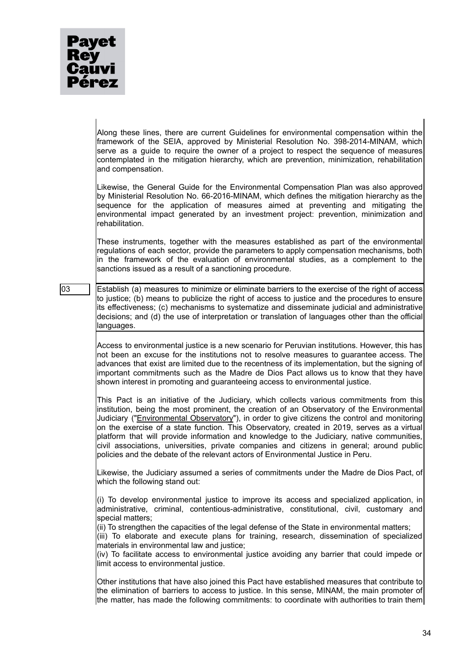

Along these lines, there are current Guidelines for environmental compensation within the framework of the SEIA, approved by Ministerial Resolution No. 398-2014-MINAM, which serve as a guide to require the owner of a project to respect the sequence of measures contemplated in the mitigation hierarchy, which are prevention, minimization, rehabilitation and compensation.

Likewise, the General Guide for the Environmental Compensation Plan was also approved by Ministerial Resolution No. 66-2016-MINAM, which defines the mitigation hierarchy as the sequence for the application of measures aimed at preventing and mitigating the environmental impact generated by an investment project: prevention, minimization and rehabilitation.

These instruments, together with the measures established as part of the environmental regulations of each sector, provide the parameters to apply compensation mechanisms, both in the framework of the evaluation of environmental studies, as a complement to the sanctions issued as a result of a sanctioning procedure.

03 Establish (a) measures to minimize or eliminate barriers to the exercise of the right of access to justice; (b) means to publicize the right of access to justice and the procedures to ensure its effectiveness; (c) mechanisms to systematize and disseminate judicial and administrative decisions; and (d) the use of interpretation or translation of languages other than the official languages.

> Access to environmental justice is a new scenario for Peruvian institutions. However, this has not been an excuse for the institutions not to resolve measures to guarantee access. The advances that exist are limited due to the recentness of its implementation, but the signing of important commitments such as the Madre de Dios Pact allows us to know that they have shown interest in promoting and guaranteeing access to environmental justice.

> This Pact is an initiative of the Judiciary, which collects various commitments from this institution, being the most prominent, the creation of an Observatory of the Environmental Judiciary ("Environmental Observatory"), in order to give citizens the control and monitoring on the exercise of a state function. This Observatory, created in 2019, serves as a virtual platform that will provide information and knowledge to the Judiciary, native communities, civil associations, universities, private companies and citizens in general; around public policies and the debate of the relevant actors of Environmental Justice in Peru.

> Likewise, the Judiciary assumed a series of commitments under the Madre de Dios Pact, of which the following stand out:

> (i) To develop environmental justice to improve its access and specialized application, in administrative, criminal, contentious-administrative, constitutional, civil, customary and special matters;

> (ii) To strengthen the capacities of the legal defense of the State in environmental matters; (iii) To elaborate and execute plans for training, research, dissemination of specialized materials in environmental law and justice;

> (iv) To facilitate access to environmental justice avoiding any barrier that could impede or limit access to environmental justice.

> Other institutions that have also joined this Pact have established measures that contribute to the elimination of barriers to access to justice. In this sense, MINAM, the main promoter of the matter, has made the following commitments: to coordinate with authorities to train them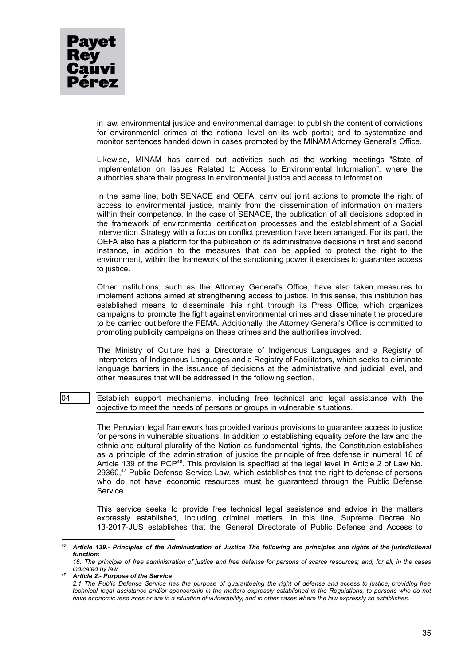

|    | in law, environmental justice and environmental damage; to publish the content of convictions<br>for environmental crimes at the national level on its web portal; and to systematize and<br>monitor sentences handed down in cases promoted by the MINAM Attorney General's Office.<br>Likewise, MINAM has carried out activities such as the working meetings "State of<br>Implementation on Issues Related to Access to Environmental Information", where the                                                                                                                                                                                                                                                                                                                             |
|----|----------------------------------------------------------------------------------------------------------------------------------------------------------------------------------------------------------------------------------------------------------------------------------------------------------------------------------------------------------------------------------------------------------------------------------------------------------------------------------------------------------------------------------------------------------------------------------------------------------------------------------------------------------------------------------------------------------------------------------------------------------------------------------------------|
|    | authorities share their progress in environmental justice and access to information.                                                                                                                                                                                                                                                                                                                                                                                                                                                                                                                                                                                                                                                                                                         |
|    | In the same line, both SENACE and OEFA, carry out joint actions to promote the right of<br>access to environmental justice, mainly from the dissemination of information on matters<br>within their competence. In the case of SENACE, the publication of all decisions adopted in<br>the framework of environmental certification processes and the establishment of a Social<br>Intervention Strategy with a focus on conflict prevention have been arranged. For its part, the<br>OEFA also has a platform for the publication of its administrative decisions in first and second<br>instance, in addition to the measures that can be applied to protect the right to the<br>environment, within the framework of the sanctioning power it exercises to guarantee access<br>to justice. |
|    | Other institutions, such as the Attorney General's Office, have also taken measures to<br>implement actions aimed at strengthening access to justice. In this sense, this institution has<br>established means to disseminate this right through its Press Office, which organizes<br>campaigns to promote the fight against environmental crimes and disseminate the procedure<br>to be carried out before the FEMA. Additionally, the Attorney General's Office is committed to<br>promoting publicity campaigns on these crimes and the authorities involved.                                                                                                                                                                                                                             |
|    | The Ministry of Culture has a Directorate of Indigenous Languages and a Registry of<br>Interpreters of Indigenous Languages and a Registry of Facilitators, which seeks to eliminate<br>language barriers in the issuance of decisions at the administrative and judicial level, and<br>other measures that will be addressed in the following section.                                                                                                                                                                                                                                                                                                                                                                                                                                      |
| 04 | Establish support mechanisms, including free technical and legal assistance with the<br>objective to meet the needs of persons or groups in vulnerable situations.                                                                                                                                                                                                                                                                                                                                                                                                                                                                                                                                                                                                                           |
|    | The Peruvian legal framework has provided various provisions to guarantee access to justice<br>for persons in vulnerable situations. In addition to establishing equality before the law and the<br>ethnic and cultural plurality of the Nation as fundamental rights, the Constitution establishes<br>as a principle of the administration of justice the principle of free defense in numeral 16 of<br>Article 139 of the PCP <sup>46</sup> . This provision is specified at the legal level in Article 2 of Law No.<br>29360, <sup>47</sup> Public Defense Service Law, which establishes that the right to defense of persons<br>who do not have economic resources must be guaranteed through the Public Defense<br>Service.                                                            |
|    | This service seeks to provide free technical legal assistance and advice in the matters<br>expressly established, including criminal matters. In this line, Supreme Decree No.<br>[13-2017-JUS establishes that the General Directorate of Public Defense and Access to                                                                                                                                                                                                                                                                                                                                                                                                                                                                                                                      |

<sup>&</sup>lt;sup>46</sup> Article 139.- Principles of the Administration of Justice The following are principles and rights of the jurisdictional *function:*

*<sup>47</sup> Article 2.- Purpose of the Service*

<sup>16.</sup> The principle of free administration of justice and free defense for persons of scarce resources; and, for all, in the cases *indicated by law.*

<sup>2.1</sup> The Public Defense Service has the purpose of guaranteeing the right of defense and access to justice, providing free technical legal assistance and/or sponsorship in the matters expressly established in the Regulations, to persons who do not have economic resources or are in a situation of vulnerability, and in other cases where the law expressly so establishes.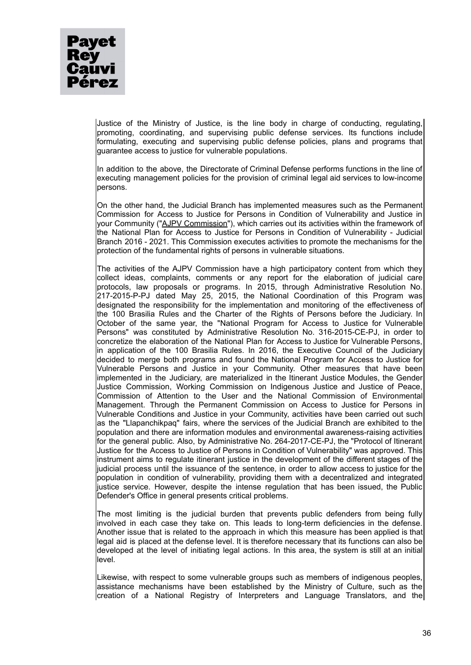Justice of the Ministry of Justice, is the line body in charge of conducting, regulating, promoting, coordinating, and supervising public defense services. Its functions include formulating, executing and supervising public defense policies, plans and programs that guarantee access to justice for vulnerable populations.

In addition to the above, the Directorate of Criminal Defense performs functions in the line of executing management policies for the provision of criminal legal aid services to low-income persons.

On the other hand, the Judicial Branch has implemented measures such as the Permanent Commission for Access to Justice for Persons in Condition of Vulnerability and Justice in your Community ("AJPV Commission"), which carries out its activities within the framework of the National Plan for Access to Justice for Persons in Condition of Vulnerability - Judicial Branch 2016 - 2021. This Commission executes activities to promote the mechanisms for the protection of the fundamental rights of persons in vulnerable situations.

The activities of the AJPV Commission have a high participatory content from which they collect ideas, complaints, comments or any report for the elaboration of judicial care protocols, law proposals or programs. In 2015, through Administrative Resolution No. 217-2015-P-PJ dated May 25, 2015, the National Coordination of this Program was designated the responsibility for the implementation and monitoring of the effectiveness of the 100 Brasilia Rules and the Charter of the Rights of Persons before the Judiciary. In October of the same year, the "National Program for Access to Justice for Vulnerable Persons" was constituted by Administrative Resolution No. 316-2015-CE-PJ, in order to concretize the elaboration of the National Plan for Access to Justice for Vulnerable Persons, in application of the 100 Brasilia Rules. In 2016, the Executive Council of the Judiciary decided to merge both programs and found the National Program for Access to Justice for Vulnerable Persons and Justice in your Community. Other measures that have been implemented in the Judiciary, are materialized in the Itinerant Justice Modules, the Gender Justice Commission, Working Commission on Indigenous Justice and Justice of Peace, Commission of Attention to the User and the National Commission of Environmental Management. Through the Permanent Commission on Access to Justice for Persons in Vulnerable Conditions and Justice in your Community, activities have been carried out such as the "Llapanchikpaq" fairs, where the services of the Judicial Branch are exhibited to the population and there are information modules and environmental awareness-raising activities for the general public. Also, by Administrative No. 264-2017-CE-PJ, the "Protocol of Itinerant Justice for the Access to Justice of Persons in Condition of Vulnerability" was approved. This instrument aims to regulate itinerant justice in the development of the different stages of the judicial process until the issuance of the sentence, in order to allow access to justice for the population in condition of vulnerability, providing them with a decentralized and integrated justice service. However, despite the intense regulation that has been issued, the Public Defender's Office in general presents critical problems.

The most limiting is the judicial burden that prevents public defenders from being fully involved in each case they take on. This leads to long-term deficiencies in the defense. Another issue that is related to the approach in which this measure has been applied is that legal aid is placed at the defense level. It is therefore necessary that its functions can also be developed at the level of initiating legal actions. In this area, the system is still at an initial level.

Likewise, with respect to some vulnerable groups such as members of indigenous peoples, assistance mechanisms have been established by the Ministry of Culture, such as the creation of a National Registry of Interpreters and Language Translators, and the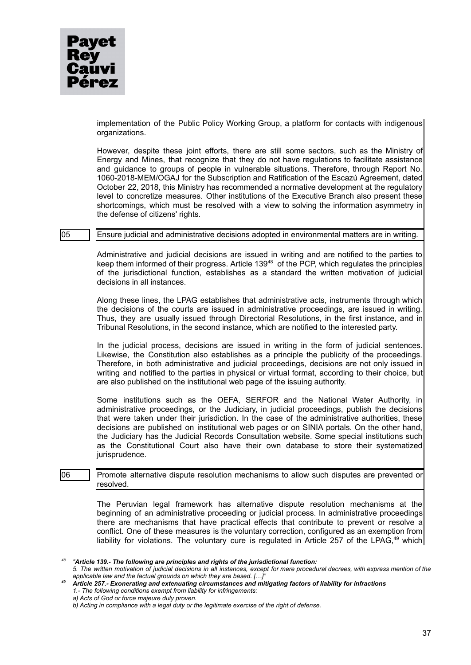

implementation of the Public Policy Working Group, a platform for contacts with indigenous organizations.

However, despite these joint efforts, there are still some sectors, such as the Ministry of Energy and Mines, that recognize that they do not have regulations to facilitate assistance and guidance to groups of people in vulnerable situations. Therefore, through Report No. 1060-2018-MEM/OGAJ for the Subscription and Ratification of the Escazú Agreement, dated October 22, 2018, this Ministry has recommended a normative development at the regulatory level to concretize measures. Other institutions of the Executive Branch also present these shortcomings, which must be resolved with a view to solving the information asymmetry in the defense of citizens' rights.

05 Ensure judicial and administrative decisions adopted in environmental matters are in writing.

Administrative and judicial decisions are issued in writing and are notified to the parties to keep them informed of their progress. Article 139<sup>48</sup> of the PCP, which regulates the principles of the jurisdictional function, establishes as a standard the written motivation of judicial decisions in all instances.

Along these lines, the LPAG establishes that administrative acts, instruments through which the decisions of the courts are issued in administrative proceedings, are issued in writing. Thus, they are usually issued through Directorial Resolutions, in the first instance, and in Tribunal Resolutions, in the second instance, which are notified to the interested party.

In the judicial process, decisions are issued in writing in the form of judicial sentences. Likewise, the Constitution also establishes as a principle the publicity of the proceedings. Therefore, in both administrative and judicial proceedings, decisions are not only issued in writing and notified to the parties in physical or virtual format, according to their choice, but are also published on the institutional web page of the issuing authority.

Some institutions such as the OEFA, SERFOR and the National Water Authority, in administrative proceedings, or the Judiciary, in judicial proceedings, publish the decisions that were taken under their jurisdiction. In the case of the administrative authorities, these decisions are published on institutional web pages or on SINIA portals. On the other hand, the Judiciary has the Judicial Records Consultation website. Some special institutions such as the Constitutional Court also have their own database to store their systematized liurisprudence.

06 Promote alternative dispute resolution mechanisms to allow such disputes are prevented or resolved.

> The Peruvian legal framework has alternative dispute resolution mechanisms at the beginning of an administrative proceeding or judicial process. In administrative proceedings there are mechanisms that have practical effects that contribute to prevent or resolve a conflict. One of these measures is the voluntary correction, configured as an exemption from liability for violations. The voluntary cure is regulated in Article 257 of the LPAG,<sup>49</sup> which

*<sup>48</sup> "Article 139.- The following are principles and rights of the jurisdictional function:*

<sup>5.</sup> The written motivation of judicial decisions in all instances, except for mere procedural decrees, with express mention of the *applicable law and the factual grounds on which they are based. […]"*

*<sup>49</sup> Article 257.- Exonerating and extenuating circumstances and mitigating factors of liability for infractions*

*<sup>1.-</sup> The following conditions exempt from liability for infringements: a) Acts of God or force majeure duly proven.*

*b) Acting in compliance with a legal duty or the legitimate exercise of the right of defense.*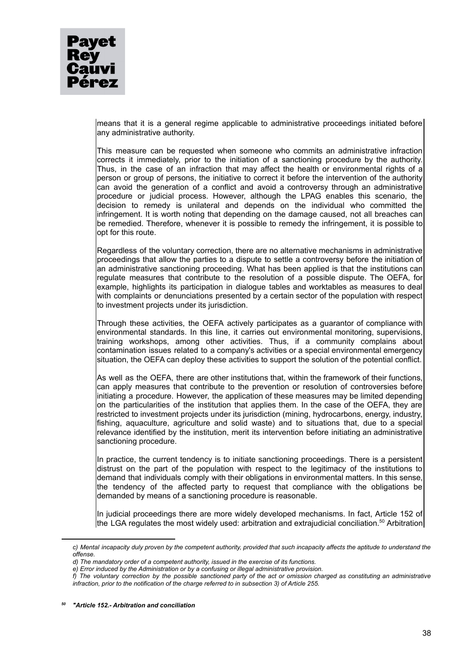

means that it is a general regime applicable to administrative proceedings initiated before any administrative authority.

This measure can be requested when someone who commits an administrative infraction corrects it immediately, prior to the initiation of a sanctioning procedure by the authority. Thus, in the case of an infraction that may affect the health or environmental rights of a person or group of persons, the initiative to correct it before the intervention of the authority can avoid the generation of a conflict and avoid a controversy through an administrative procedure or judicial process. However, although the LPAG enables this scenario, the decision to remedy is unilateral and depends on the individual who committed the infringement. It is worth noting that depending on the damage caused, not all breaches can be remedied. Therefore, whenever it is possible to remedy the infringement, it is possible to opt for this route.

Regardless of the voluntary correction, there are no alternative mechanisms in administrative proceedings that allow the parties to a dispute to settle a controversy before the initiation of an administrative sanctioning proceeding. What has been applied is that the institutions can regulate measures that contribute to the resolution of a possible dispute. The OEFA, for example, highlights its participation in dialogue tables and worktables as measures to deal with complaints or denunciations presented by a certain sector of the population with respect to investment projects under its jurisdiction.

Through these activities, the OEFA actively participates as a guarantor of compliance with environmental standards. In this line, it carries out environmental monitoring, supervisions, training workshops, among other activities. Thus, if a community complains about contamination issues related to a company's activities or a special environmental emergency situation, the OEFA can deploy these activities to support the solution of the potential conflict.

As well as the OEFA, there are other institutions that, within the framework of their functions, can apply measures that contribute to the prevention or resolution of controversies before initiating a procedure. However, the application of these measures may be limited depending on the particularities of the institution that applies them. In the case of the OEFA, they are restricted to investment projects under its jurisdiction (mining, hydrocarbons, energy, industry, fishing, aquaculture, agriculture and solid waste) and to situations that, due to a special relevance identified by the institution, merit its intervention before initiating an administrative sanctioning procedure.

In practice, the current tendency is to initiate sanctioning proceedings. There is a persistent distrust on the part of the population with respect to the legitimacy of the institutions to demand that individuals comply with their obligations in environmental matters. In this sense, the tendency of the affected party to request that compliance with the obligations be demanded by means of a sanctioning procedure is reasonable.

In judicial proceedings there are more widely developed mechanisms. In fact, Article 152 of the LGA regulates the most widely used: arbitration and extrajudicial conciliation.<sup>50</sup> Arbitration

c) Mental incapacity duly proven by the competent authority, provided that such incapacity affects the aptitude to understand the *offense.*

*d) The mandatory order of a competent authority, issued in the exercise of its functions.*

*e) Error induced by the Administration or by a confusing or illegal administrative provision.*

 $\hat{\eta}$  The voluntary correction by the possible sanctioned party of the act or omission charged as constituting an administrative *infraction, prior to the notification of the charge referred to in subsection 3) of Article 255.*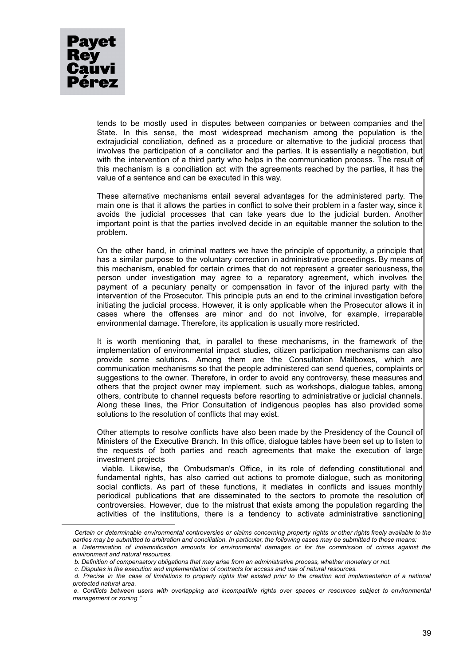tends to be mostly used in disputes between companies or between companies and the State. In this sense, the most widespread mechanism among the population is the extrajudicial conciliation, defined as a procedure or alternative to the judicial process that involves the participation of a conciliator and the parties. It is essentially a negotiation, but with the intervention of a third party who helps in the communication process. The result of this mechanism is a conciliation act with the agreements reached by the parties, it has the value of a sentence and can be executed in this way.

These alternative mechanisms entail several advantages for the administered party. The main one is that it allows the parties in conflict to solve their problem in a faster way, since it avoids the judicial processes that can take years due to the judicial burden. Another important point is that the parties involved decide in an equitable manner the solution to the problem.

On the other hand, in criminal matters we have the principle of opportunity, a principle that has a similar purpose to the voluntary correction in administrative proceedings. By means of this mechanism, enabled for certain crimes that do not represent a greater seriousness, the person under investigation may agree to a reparatory agreement, which involves the payment of a pecuniary penalty or compensation in favor of the injured party with the intervention of the Prosecutor. This principle puts an end to the criminal investigation before initiating the judicial process. However, it is only applicable when the Prosecutor allows it in cases where the offenses are minor and do not involve, for example, irreparable environmental damage. Therefore, its application is usually more restricted.

It is worth mentioning that, in parallel to these mechanisms, in the framework of the implementation of environmental impact studies, citizen participation mechanisms can also provide some solutions. Among them are the Consultation Mailboxes, which are communication mechanisms so that the people administered can send queries, complaints or suggestions to the owner. Therefore, in order to avoid any controversy, these measures and others that the project owner may implement, such as workshops, dialogue tables, among others, contribute to channel requests before resorting to administrative or judicial channels. Along these lines, the Prior Consultation of indigenous peoples has also provided some solutions to the resolution of conflicts that may exist.

Other attempts to resolve conflicts have also been made by the Presidency of the Council of Ministers of the Executive Branch. In this office, dialogue tables have been set up to listen to the requests of both parties and reach agreements that make the execution of large investment projects

viable. Likewise, the Ombudsman's Office, in its role of defending constitutional and fundamental rights, has also carried out actions to promote dialogue, such as monitoring social conflicts. As part of these functions, it mediates in conflicts and issues monthly periodical publications that are disseminated to the sectors to promote the resolution of controversies. However, due to the mistrust that exists among the population regarding the activities of the institutions, there is a tendency to activate administrative sanctioning

Certain or determinable environmental controversies or claims concerning property rights or other rights freely available to the parties may be submitted to arbitration and conciliation. In particular, the following cases may be submitted to these means:

a. Determination of indemnification amounts for environmental damages or for the commission of crimes against the *environment and natural resources.*

b. Definition of compensatory obligations that may arise from an administrative process, whether monetary or not

*c. Disputes in the execution and implementation of contracts for access and use of natural resources.*

d. Precise in the case of limitations to property rights that existed prior to the creation and implementation of a national *protected natural area.*

<sup>.&</sup>lt;br>e. Conflicts between users with overlapping and incompatible rights over spaces or resources subject to environmental *management or zoning "*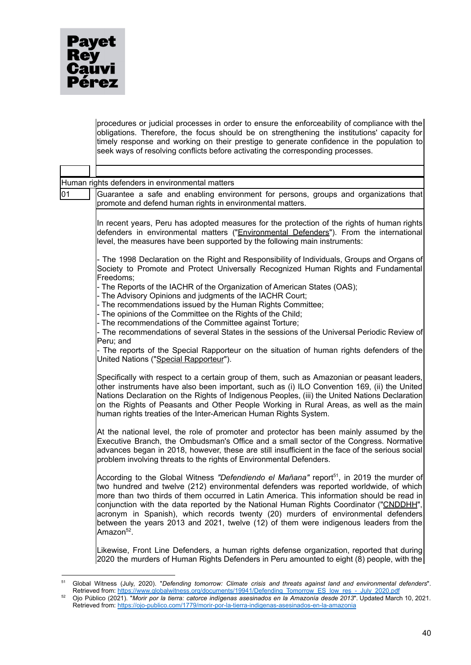

procedures or judicial processes in order to ensure the enforceability of compliance with the obligations. Therefore, the focus should be on strengthening the institutions' capacity for timely response and working on their prestige to generate confidence in the population to seek ways of resolving conflicts before activating the corresponding processes.

|    | Human rights defenders in environmental matters                                                                                                                                                                                                                                                                                                                                                                                                                                                                                                                                               |
|----|-----------------------------------------------------------------------------------------------------------------------------------------------------------------------------------------------------------------------------------------------------------------------------------------------------------------------------------------------------------------------------------------------------------------------------------------------------------------------------------------------------------------------------------------------------------------------------------------------|
| 01 | Guarantee a safe and enabling environment for persons, groups and organizations that<br>promote and defend human rights in environmental matters.                                                                                                                                                                                                                                                                                                                                                                                                                                             |
|    | In recent years, Peru has adopted measures for the protection of the rights of human rights<br>defenders in environmental matters ("Environmental Defenders"). From the international<br>level, the measures have been supported by the following main instruments:                                                                                                                                                                                                                                                                                                                           |
|    | - The 1998 Declaration on the Right and Responsibility of Individuals, Groups and Organs of<br>Society to Promote and Protect Universally Recognized Human Rights and Fundamental<br>Freedoms;                                                                                                                                                                                                                                                                                                                                                                                                |
|    | - The Reports of the IACHR of the Organization of American States (OAS);<br>- The Advisory Opinions and judgments of the IACHR Court;<br>- The recommendations issued by the Human Rights Committee;<br>- The opinions of the Committee on the Rights of the Child;                                                                                                                                                                                                                                                                                                                           |
|    | - The recommendations of the Committee against Torture;<br>- The recommendations of several States in the sessions of the Universal Periodic Review of<br>Peru; and                                                                                                                                                                                                                                                                                                                                                                                                                           |
|    | - The reports of the Special Rapporteur on the situation of human rights defenders of the<br>United Nations ("Special Rapporteur").                                                                                                                                                                                                                                                                                                                                                                                                                                                           |
|    | Specifically with respect to a certain group of them, such as Amazonian or peasant leaders,<br>other instruments have also been important, such as (i) ILO Convention 169, (ii) the United<br>Nations Declaration on the Rights of Indigenous Peoples, (iii) the United Nations Declaration<br>on the Rights of Peasants and Other People Working in Rural Areas, as well as the main<br>human rights treaties of the Inter-American Human Rights System.                                                                                                                                     |
|    | At the national level, the role of promoter and protector has been mainly assumed by the<br>Executive Branch, the Ombudsman's Office and a small sector of the Congress. Normative<br>advances began in 2018, however, these are still insufficient in the face of the serious social<br>problem involving threats to the rights of Environmental Defenders.                                                                                                                                                                                                                                  |
|    | According to the Global Witness "Defendiendo el Mañana" report <sup>51</sup> , in 2019 the murder of<br>two hundred and twelve (212) environmental defenders was reported worldwide, of which<br>more than two thirds of them occurred in Latin America. This information should be read in<br>conjunction with the data reported by the National Human Rights Coordinator ("CNDDHH",<br>acronym in Spanish), which records twenty (20) murders of environmental defenders<br>between the years 2013 and 2021, twelve (12) of them were indigenous leaders from the<br>Amazon <sup>52</sup> . |
|    | Likewise, Front Line Defenders, a human rights defense organization, reported that during<br>2020 the murders of Human Rights Defenders in Peru amounted to eight (8) people, with the                                                                                                                                                                                                                                                                                                                                                                                                        |

<sup>51</sup> Global Witness (July, 2020). "*Defending tomorrow: Climate crisis and threats against land and environmental defenders*". Retrieved from: [https://www.globalwitness.org/documents/19941/Defending\\_Tomorrow\\_ES\\_low\\_res\\_-\\_July\\_2020.pdf](https://www.globalwitness.org/documents/19941/Defending_Tomorrow_ES_low_res_-_July_2020.pdf)

<sup>52</sup> Ojo Público (2021). "*Morir por la tierra: catorce indígenas asesinados en la Amazonía desde 2013*". Updated March 10, 2021. Retrieved from: <https://ojo-publico.com/1779/morir-por-la-tierra-indigenas-asesinados-en-la-amazonia>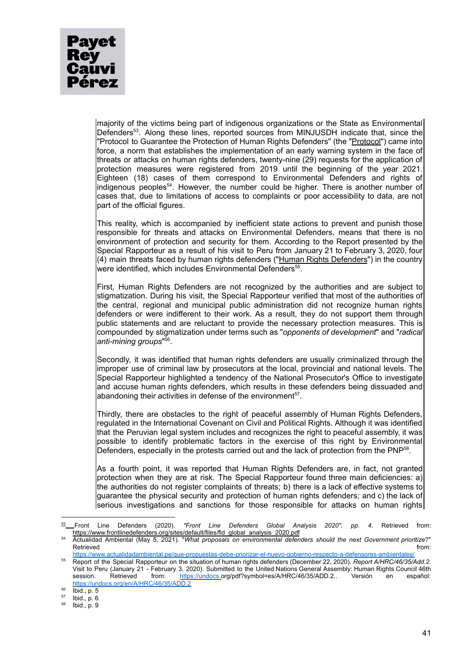majority of the victims being part of indigenous organizations or the State as Environmental Defenders<sup>53</sup>. Along these lines, reported sources from MINJUSDH indicate that, since the "Protocol to Guarantee the Protection of Human Rights Defenders" (the "Protocol") came into force, a norm that establishes the implementation of an early warning system in the face of threats or attacks on human rights defenders, twenty-nine (29) requests for the application of protection measures were registered from 2019 until the beginning of the year 2021. Eighteen (18) cases of them correspond to Environmental Defenders and rights of indigenous peoples<sup>54</sup>. However, the number could be higher. There is another number of cases that, due to limitations of access to complaints or poor accessibility to data, are not part of the official figures.

This reality, which is accompanied by inefficient state actions to prevent and punish those responsible for threats and attacks on Environmental Defenders, means that there is no environment of protection and security for them. According to the Report presented by the Special Rapporteur as a result of his visit to Peru from January 21 to February 3, 2020, four (4) main threats faced by human rights defenders ("Human Rights Defenders") in the country were identified, which includes Environmental Defenders<sup>55</sup>.

First, Human Rights Defenders are not recognized by the authorities and are subject to stigmatization. During his visit, the Special Rapporteur verified that most of the authorities of the central, regional and municipal public administration did not recognize human rights defenders or were indifferent to their work. As a result, they do not support them through public statements and are reluctant to provide the necessary protection measures. This is compounded by stigmatization under terms such as "*opponents of development*" and "*radical anti-mining groups*" 56 .

Secondly, it was identified that human rights defenders are usually criminalized through the improper use of criminal law by prosecutors at the local, provincial and national levels. The Special Rapporteur highlighted a tendency of the National Prosecutor's Office to investigate and accuse human rights defenders, which results in these defenders being dissuaded and abandoning their activities in defense of the environment<sup>57</sup>.

Thirdly, there are obstacles to the right of peaceful assembly of Human Rights Defenders, regulated in the International Covenant on Civil and Political Rights. Although it was identified that the Peruvian legal system includes and recognizes the right to peaceful assembly, it was possible to identify problematic factors in the exercise of this right by Environmental Defenders, especially in the protests carried out and the lack of protection from the PNP<sup>58</sup>.

As a fourth point, it was reported that Human Rights Defenders are, in fact, not granted protection when they are at risk. The Special Rapporteur found three main deficiencies: a) the authorities do not register complaints of threats; b) there is a lack of effective systems to guarantee the physical security and protection of human rights defenders; and c) the lack of serious investigations and sanctions for those responsible for attacks on human rights

<sup>5</sup>[3](https://www.frontlinedefenders.org/sites/default/files/fld_global_analysis_2020.pdf) Front Line Defenders (2020). *"Front Line Defenders Global Analysis 2020", pp. 4.* Retrieved from: -<br>[https://www.frontlinedefenders.org/sites/default/files/fld\\_global\\_analysis\\_2020.pdf](https://www.frontlinedefenders.org/sites/default/files/fld_global_analysis_2020.pdf)

<sup>54</sup> Actualidad Ambiental (May 5, 2021). "*What proposals on environmental defenders should the next Government prioritize*?" Retrieved from: the contract of the contract of the contract of the contract of the contract of the contract of the contract of the contract of the contract of the contract of the contract of the contract of the contract o

<sup>55</sup> Report of the Special Rapporteur on the situation of human rights defenders (December 22, 2020). *Report A/HRC/46/35/Add.2.* Visit to Peru (January 21 - February 3, 2020). Submitted to the United Nations General Assembly: Human Rights Council 46th session. Retrieved from: [https://undocs.o](https://undocs.org/pdf?symbol=es/A/HRC/46/35/ADD.2)rg/pdf?symbol=es/A/HRC/46/35/ADD.2.. Versión en español: <https://undocs.org/en/A/HRC/46/35/ADD.2> <https://www.actualidadambiental.pe/que-propuestas-debe-priorizar-el-nuevo-gobierno-respecto-a-defensores-ambientales/>

<sup>56</sup> Ibid., p. 5

<sup>57</sup> Ibid., p. 6

<sup>58</sup> Ibid., p. 9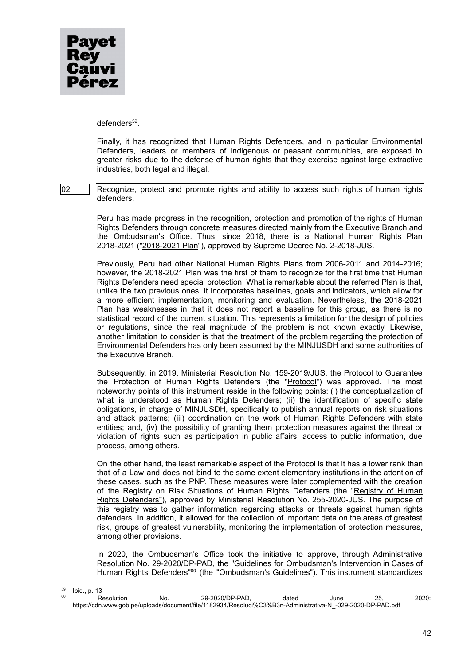

defenders 59 .

Finally, it has recognized that Human Rights Defenders, and in particular Environmental Defenders, leaders or members of indigenous or peasant communities, are exposed to greater risks due to the defense of human rights that they exercise against large extractive industries, both legal and illegal.

02 Recognize, protect and promote rights and ability to access such rights of human rights defenders.

> Peru has made progress in the recognition, protection and promotion of the rights of Human Rights Defenders through concrete measures directed mainly from the Executive Branch and the Ombudsman's Office. Thus, since 2018, there is a National Human Rights Plan 2018-2021 ("2018-2021 Plan"), approved by Supreme Decree No. 2-2018-JUS.

> Previously, Peru had other National Human Rights Plans from 2006-2011 and 2014-2016; however, the 2018-2021 Plan was the first of them to recognize for the first time that Human Rights Defenders need special protection. What is remarkable about the referred Plan is that, unlike the two previous ones, it incorporates baselines, goals and indicators, which allow for a more efficient implementation, monitoring and evaluation. Nevertheless, the 2018-2021 Plan has weaknesses in that it does not report a baseline for this group, as there is no statistical record of the current situation. This represents a limitation for the design of policies or regulations, since the real magnitude of the problem is not known exactly. Likewise, another limitation to consider is that the treatment of the problem regarding the protection of Environmental Defenders has only been assumed by the MINJUSDH and some authorities of the Executive Branch.

> Subsequently, in 2019, Ministerial Resolution No. 159-2019/JUS, the Protocol to Guarantee the Protection of Human Rights Defenders (the "Protocol") was approved. The most noteworthy points of this instrument reside in the following points: (i) the conceptualization of what is understood as Human Rights Defenders; (ii) the identification of specific state obligations, in charge of MINJUSDH, specifically to publish annual reports on risk situations and attack patterns; (iii) coordination on the work of Human Rights Defenders with state entities; and, (iv) the possibility of granting them protection measures against the threat or violation of rights such as participation in public affairs, access to public information, due process, among others.

> On the other hand, the least remarkable aspect of the Protocol is that it has a lower rank than that of a Law and does not bind to the same extent elementary institutions in the attention of these cases, such as the PNP. These measures were later complemented with the creation of the Registry on Risk Situations of Human Rights Defenders (the "Registry of Human Rights Defenders"), approved by Ministerial Resolution No. 255-2020-JUS. The purpose of this registry was to gather information regarding attacks or threats against human rights defenders. In addition, it allowed for the collection of important data on the areas of greatest risk, groups of greatest vulnerability, monitoring the implementation of protection measures, among other provisions.

> In 2020, the Ombudsman's Office took the initiative to approve, through Administrative Resolution No. 29-2020/DP-PAD, the "Guidelines for Ombudsman's Intervention in Cases of Human Rights Defenders"<sup>60</sup> (the "<u>Ombudsman's Guidelines</u>"). This instrument standardizes

 $59$ Ibid., p. 13

Resolution No. 29-2020/DP-PAD, dated June 25, 2020: https://cdn.www.gob.pe/uploads/document/file/1182934/Resoluci%C3%B3n-Administrativa-N\_-029-2020-DP-PAD.pdf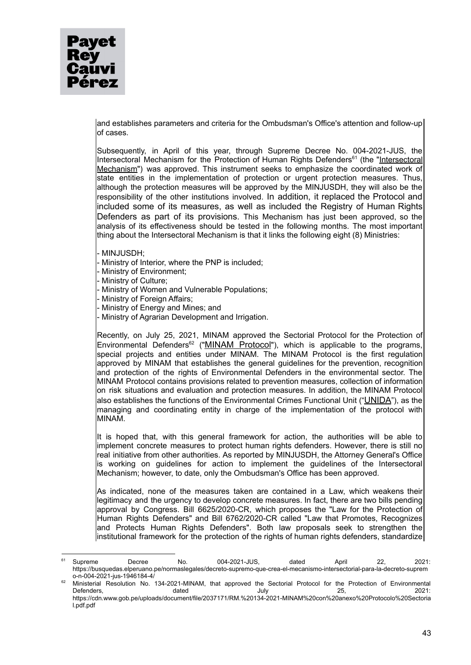

and establishes parameters and criteria for the Ombudsman's Office's attention and follow-up of cases.

Subsequently, in April of this year, through Supreme Decree No. 004-2021-JUS, the Intersectoral Mechanism for the Protection of Human Rights Defenders<sup>61</sup> (the "Intersectoral Mechanism") was approved. This instrument seeks to emphasize the coordinated work of state entities in the implementation of protection or urgent protection measures. Thus, although the protection measures will be approved by the MINJUSDH, they will also be the responsibility of the other institutions involved. In addition, it replaced the Protocol and included some of its measures, as well as included the Registry of Human Rights Defenders as part of its provisions. This Mechanism has just been approved, so the analysis of its effectiveness should be tested in the following months. The most important thing about the Intersectoral Mechanism is that it links the following eight (8) Ministries:

- MINJUSDH;

- Ministry of Interior, where the PNP is included;

- Ministry of Environment;

- Ministry of Culture;

- Ministry of Women and Vulnerable Populations;
- Ministry of Foreign Affairs;
- Ministry of Energy and Mines; and
- Ministry of Agrarian Development and Irrigation.

Recently, on July 25, 2021, MINAM approved the Sectorial Protocol for the Protection of Environmental Defenders<sup>62</sup> ("MINAM Protocol"), which is applicable to the programs, special projects and entities under MINAM. The MINAM Protocol is the first regulation approved by MINAM that establishes the general guidelines for the prevention, recognition and protection of the rights of Environmental Defenders in the environmental sector. The MINAM Protocol contains provisions related to prevention measures, collection of information on risk situations and evaluation and protection measures. In addition, the MINAM Protocol also establishes the functions of the Environmental Crimes Functional Unit ("UNIDA"), as the managing and coordinating entity in charge of the implementation of the protocol with MINAM.

It is hoped that, with this general framework for action, the authorities will be able to implement concrete measures to protect human rights defenders. However, there is still no real initiative from other authorities. As reported by MINJUSDH, the Attorney General's Office is working on guidelines for action to implement the guidelines of the Intersectoral Mechanism; however, to date, only the Ombudsman's Office has been approved.

As indicated, none of the measures taken are contained in a Law, which weakens their legitimacy and the urgency to develop concrete measures. In fact, there are two bills pending approval by Congress. Bill 6625/2020-CR, which proposes the "Law for the Protection of Human Rights Defenders" and Bill 6762/2020-CR called "Law that Promotes, Recognizes and Protects Human Rights Defenders". Both law proposals seek to strengthen the institutional framework for the protection of the rights of human rights defenders, standardize

<sup>&</sup>lt;sup>61</sup> Supreme Decree No. 004-2021-JUS, dated April 22, 2021: https://busquedas.elperuano.pe/normaslegales/decreto-supremo-que-crea-el-mecanismo-intersectorial-para-la-decreto-suprem o-n-004-2021-jus-1946184-4/

<sup>62</sup> Ministerial Resolution No. 134-2021-MINAM, that approved the Sectorial Protocol for the Protection of Environmental<br>Defenders, dated July 25, 2021: Defenders, dated July 25, 2021: https://cdn.www.gob.pe/uploads/document/file/2037171/RM.%20134-2021-MINAM%20con%20anexo%20Protocolo%20Sectoria l.pdf.pdf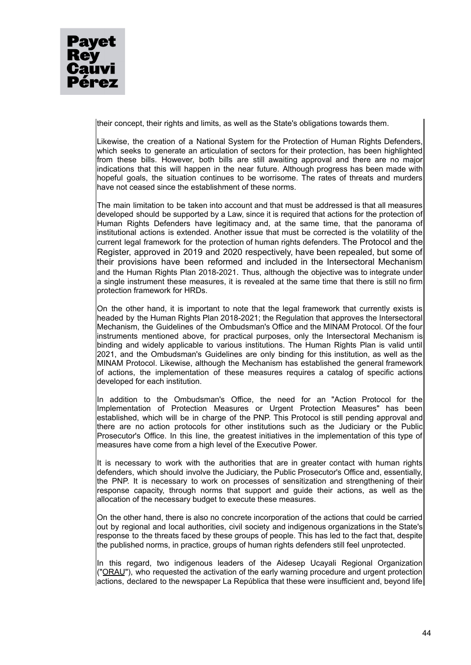

their concept, their rights and limits, as well as the State's obligations towards them.

Likewise, the creation of a National System for the Protection of Human Rights Defenders, which seeks to generate an articulation of sectors for their protection, has been highlighted from these bills. However, both bills are still awaiting approval and there are no major indications that this will happen in the near future. Although progress has been made with hopeful goals, the situation continues to be worrisome. The rates of threats and murders have not ceased since the establishment of these norms.

The main limitation to be taken into account and that must be addressed is that all measures developed should be supported by a Law, since it is required that actions for the protection of Human Rights Defenders have legitimacy and, at the same time, that the panorama of institutional actions is extended. Another issue that must be corrected is the volatility of the current legal framework for the protection of human rights defenders. The Protocol and the Register, approved in 2019 and 2020 respectively, have been repealed, but some of their provisions have been reformed and included in the Intersectoral Mechanism and the Human Rights Plan 2018-2021. Thus, although the objective was to integrate under a single instrument these measures, it is revealed at the same time that there is still no firm protection framework for HRDs.

On the other hand, it is important to note that the legal framework that currently exists is headed by the Human Rights Plan 2018-2021; the Regulation that approves the Intersectoral Mechanism, the Guidelines of the Ombudsman's Office and the MINAM Protocol. Of the four instruments mentioned above, for practical purposes, only the Intersectoral Mechanism is binding and widely applicable to various institutions. The Human Rights Plan is valid until 2021, and the Ombudsman's Guidelines are only binding for this institution, as well as the MINAM Protocol. Likewise, although the Mechanism has established the general framework of actions, the implementation of these measures requires a catalog of specific actions developed for each institution.

In addition to the Ombudsman's Office, the need for an "Action Protocol for the Implementation of Protection Measures or Urgent Protection Measures" has been established, which will be in charge of the PNP. This Protocol is still pending approval and there are no action protocols for other institutions such as the Judiciary or the Public Prosecutor's Office. In this line, the greatest initiatives in the implementation of this type of measures have come from a high level of the Executive Power.

It is necessary to work with the authorities that are in greater contact with human rights defenders, which should involve the Judiciary, the Public Prosecutor's Office and, essentially, the PNP. It is necessary to work on processes of sensitization and strengthening of their response capacity, through norms that support and guide their actions, as well as the allocation of the necessary budget to execute these measures.

On the other hand, there is also no concrete incorporation of the actions that could be carried out by regional and local authorities, civil society and indigenous organizations in the State's response to the threats faced by these groups of people. This has led to the fact that, despite the published norms, in practice, groups of human rights defenders still feel unprotected.

In this regard, two indigenous leaders of the Aidesep Ucayali Regional Organization ("ORAU"), who requested the activation of the early warning procedure and urgent protection  $l$  actions, declared to the newspaper La República that these were insufficient and, beyond life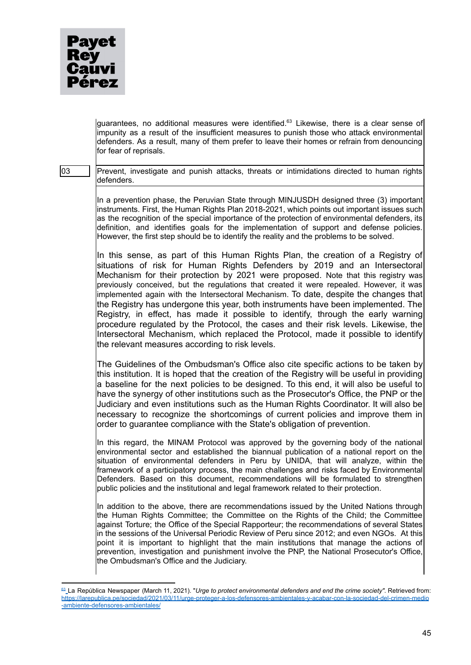

guarantees, no additional measures were identified.<sup>63</sup> Likewise, there is a clear sense of impunity as a result of the insufficient measures to punish those who attack environmental defenders. As a result, many of them prefer to leave their homes or refrain from denouncing for fear of reprisals.

# $\vert$   $\vert$  Prevent, investigate and punish attacks, threats or intimidations directed to human rights defenders.

In a prevention phase, the Peruvian State through MINJUSDH designed three (3) important instruments. First, the Human Rights Plan 2018-2021, which points out important issues such as the recognition of the special importance of the protection of environmental defenders, its definition, and identifies goals for the implementation of support and defense policies. However, the first step should be to identify the reality and the problems to be solved.

In this sense, as part of this Human Rights Plan, the creation of a Registry of situations of risk for Human Rights Defenders by 2019 and an Intersectoral Mechanism for their protection by 2021 were proposed. Note that this registry was previously conceived, but the regulations that created it were repealed. However, it was implemented again with the Intersectoral Mechanism. To date, despite the changes that the Registry has undergone this year, both instruments have been implemented. The Registry, in effect, has made it possible to identify, through the early warning procedure regulated by the Protocol, the cases and their risk levels. Likewise, the Intersectoral Mechanism, which replaced the Protocol, made it possible to identify the relevant measures according to risk levels.

The Guidelines of the Ombudsman's Office also cite specific actions to be taken by this institution. It is hoped that the creation of the Registry will be useful in providing a baseline for the next policies to be designed. To this end, it will also be useful to have the synergy of other institutions such as the Prosecutor's Office, the PNP or the Judiciary and even institutions such as the Human Rights Coordinator. It will also be necessary to recognize the shortcomings of current policies and improve them in order to guarantee compliance with the State's obligation of prevention.

In this regard, the MINAM Protocol was approved by the governing body of the national environmental sector and established the biannual publication of a national report on the situation of environmental defenders in Peru by UNIDA, that will analyze, within the framework of a participatory process, the main challenges and risks faced by Environmental Defenders. Based on this document, recommendations will be formulated to strengthen public policies and the institutional and legal framework related to their protection.

In addition to the above, there are recommendations issued by the United Nations through the Human Rights Committee; the Committee on the Rights of the Child; the Committee against Torture; the Office of the Special Rapporteur; the recommendations of several States in the sessions of the Universal Periodic Review of Peru since 2012; and even NGOs. At this point it is important to highlight that the main institutions that manage the actions of prevention, investigation and punishment involve the PNP, the National Prosecutor's Office, the Ombudsman's Office and the Judiciary.

<sup>6</sup>[3](https://larepublica.pe/sociedad/2021/03/11/urge-proteger-a-los-defensores-ambientales-y-acabar-con-la-sociedad-del-crimen-medio-ambiente-defensores-ambientales/) La República Newspaper (March 11, 2021). "*Urge to protect environmental defenders and end the crime society"*. Retrieved from: [https://larepublica.pe/sociedad/2021/03/11/urge-proteger-a-los-defensores-ambientales-y-acabar-con-la-sociedad-del-crimen-medio](https://larepublica.pe/sociedad/2021/03/11/urge-proteger-a-los-defensores-ambientales-y-acabar-con-la-sociedad-del-crimen-medio-ambiente-defensores-ambientales/) [-ambiente-defensores-ambientales/](https://larepublica.pe/sociedad/2021/03/11/urge-proteger-a-los-defensores-ambientales-y-acabar-con-la-sociedad-del-crimen-medio-ambiente-defensores-ambientales/)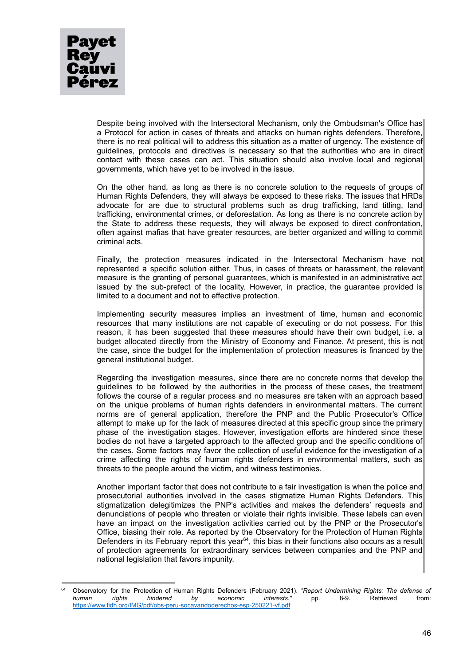Despite being involved with the Intersectoral Mechanism, only the Ombudsman's Office has a Protocol for action in cases of threats and attacks on human rights defenders. Therefore, there is no real political will to address this situation as a matter of urgency. The existence of guidelines, protocols and directives is necessary so that the authorities who are in direct contact with these cases can act. This situation should also involve local and regional governments, which have yet to be involved in the issue.

On the other hand, as long as there is no concrete solution to the requests of groups of Human Rights Defenders, they will always be exposed to these risks. The issues that HRDs advocate for are due to structural problems such as drug trafficking, land titling, land trafficking, environmental crimes, or deforestation. As long as there is no concrete action by the State to address these requests, they will always be exposed to direct confrontation, often against mafias that have greater resources, are better organized and willing to commit criminal acts.

Finally, the protection measures indicated in the Intersectoral Mechanism have not represented a specific solution either. Thus, in cases of threats or harassment, the relevant measure is the granting of personal guarantees, which is manifested in an administrative act issued by the sub-prefect of the locality. However, in practice, the guarantee provided is limited to a document and not to effective protection.

Implementing security measures implies an investment of time, human and economic resources that many institutions are not capable of executing or do not possess. For this reason, it has been suggested that these measures should have their own budget, i.e. a budget allocated directly from the Ministry of Economy and Finance. At present, this is not the case, since the budget for the implementation of protection measures is financed by the general institutional budget.

Regarding the investigation measures, since there are no concrete norms that develop the guidelines to be followed by the authorities in the process of these cases, the treatment follows the course of a regular process and no measures are taken with an approach based on the unique problems of human rights defenders in environmental matters. The current norms are of general application, therefore the PNP and the Public Prosecutor's Office attempt to make up for the lack of measures directed at this specific group since the primary phase of the investigation stages. However, investigation efforts are hindered since these bodies do not have a targeted approach to the affected group and the specific conditions of the cases. Some factors may favor the collection of useful evidence for the investigation of a crime affecting the rights of human rights defenders in environmental matters, such as threats to the people around the victim, and witness testimonies.

Another important factor that does not contribute to a fair investigation is when the police and prosecutorial authorities involved in the cases stigmatize Human Rights Defenders. This stigmatization delegitimizes the PNP's activities and makes the defenders' requests and denunciations of people who threaten or violate their rights invisible. These labels can even have an impact on the investigation activities carried out by the PNP or the Prosecutor's Office, biasing their role. As reported by the Observatory for the Protection of Human Rights Defenders in its February report this year<sup>64</sup>, this bias in their functions also occurs as a result of protection agreements for extraordinary services between companies and the PNP and national legislation that favors impunity.

<sup>64</sup> Observatory for the Protection of Human Rights Defenders (February 2021). *"Report Undermining Rights: The defense of human rights hindered by economic interests."* pp. 8-9. Retrieved from: <https://www.fidh.org/IMG/pdf/obs-peru-socavandoderechos-esp-250221-vf.pdf>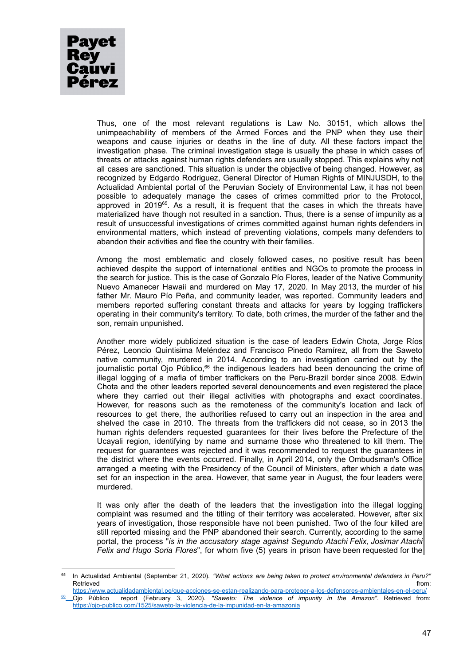Thus, one of the most relevant regulations is Law No. 30151, which allows the unimpeachability of members of the Armed Forces and the PNP when they use their weapons and cause injuries or deaths in the line of duty. All these factors impact the investigation phase. The criminal investigation stage is usually the phase in which cases of threats or attacks against human rights defenders are usually stopped. This explains why not all cases are sanctioned. This situation is under the objective of being changed. However, as recognized by Edgardo Rodriguez, General Director of Human Rights of MINJUSDH, to the Actualidad Ambiental portal of the Peruvian Society of Environmental Law, it has not been possible to adequately manage the cases of crimes committed prior to the Protocol, approved in 2019<sup>65</sup>. As a result, it is frequent that the cases in which the threats have materialized have though not resulted in a sanction. Thus, there is a sense of impunity as a result of unsuccessful investigations of crimes committed against human rights defenders in environmental matters, which instead of preventing violations, compels many defenders to abandon their activities and flee the country with their families.

Among the most emblematic and closely followed cases, no positive result has been achieved despite the support of international entities and NGOs to promote the process in the search for justice. This is the case of Gonzalo Pío Flores, leader of the Native Community Nuevo Amanecer Hawaii and murdered on May 17, 2020. In May 2013, the murder of his father Mr. Mauro Pío Peña, and community leader, was reported. Community leaders and members reported suffering constant threats and attacks for years by logging traffickers operating in their community's territory. To date, both crimes, the murder of the father and the son, remain unpunished.

Another more widely publicized situation is the case of leaders Edwin Chota, Jorge Ríos Pérez, Leoncio Quintisima Meléndez and Francisco Pinedo Ramírez, all from the Saweto native community, murdered in 2014. According to an investigation carried out by the journalistic portal Ojo Público,<sup>66</sup> the indigenous leaders had been denouncing the crime of illegal logging of a mafia of timber traffickers on the Peru-Brazil border since 2008. Edwin Chota and the other leaders reported several denouncements and even registered the place where they carried out their illegal activities with photographs and exact coordinates. However, for reasons such as the remoteness of the community's location and lack of resources to get there, the authorities refused to carry out an inspection in the area and shelved the case in 2010. The threats from the traffickers did not cease, so in 2013 the human rights defenders requested guarantees for their lives before the Prefecture of the Ucayali region, identifying by name and surname those who threatened to kill them. The request for guarantees was rejected and it was recommended to request the guarantees in the district where the events occurred. Finally, in April 2014, only the Ombudsman's Office arranged a meeting with the Presidency of the Council of Ministers, after which a date was set for an inspection in the area. However, that same year in August, the four leaders were murdered.

It was only after the death of the leaders that the investigation into the illegal logging complaint was resumed and the titling of their territory was accelerated. However, after six years of investigation, those responsible have not been punished. Two of the four killed are still reported missing and the PNP abandoned their search. Currently, according to the same portal, the process "*is in the accusatory stage against Segundo Atachi Felix, Josimar Atachi Felix and Hugo Soria Flores*", for whom five (5) years in prison have been requested for the

<sup>65</sup> In Actualidad Ambiental (September 21, 2020). *"What actions are being taken to protect environmental defenders in Peru?"* Retrieved from: the contract of the contract of the contract of the contract of the contract of the contract of the contract of the contract of the contract of the contract of the contract of the contract of the contract o

<sup>6</sup>[6](https://ojo-publico.com/1525/saweto-la-violencia-de-la-impunidad-en-la-amazonia) Ojo Público report (February 3, 2020). *"Saweto: The violence of impunity in the Amazon"*. Retrieved from: <https://ojo-publico.com/1525/saweto-la-violencia-de-la-impunidad-en-la-amazonia> <https://www.actualidadambiental.pe/que-acciones-se-estan-realizando-para-proteger-a-los-defensores-ambientales-en-el-peru/>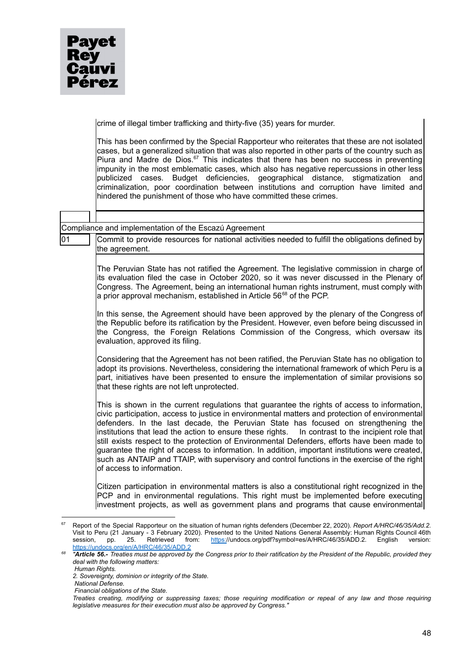

crime of illegal timber trafficking and thirty-five (35) years for murder.

This has been confirmed by the Special Rapporteur who reiterates that these are not isolated cases, but a generalized situation that was also reported in other parts of the country such as Piura and Madre de Dios. $67$  This indicates that there has been no success in preventing impunity in the most emblematic cases, which also has negative repercussions in other less publicized cases. Budget deficiencies, geographical distance, stigmatization and criminalization, poor coordination between institutions and corruption have limited and hindered the punishment of those who have committed these crimes.

Compliance and implementation of the Escazú Agreement 01 **Commit to provide resources for national activities needed to fulfill the obligations defined by** the agreement. The Peruvian State has not ratified the Agreement. The legislative commission in charge of its evaluation filed the case in October 2020, so it was never discussed in the Plenary of Congress. The Agreement, being an international human rights instrument, must comply with a prior approval mechanism, established in Article 56<sup>68</sup> of the PCP. In this sense, the Agreement should have been approved by the plenary of the Congress of the Republic before its ratification by the President. However, even before being discussed in the Congress, the Foreign Relations Commission of the Congress, which oversaw its evaluation, approved its filing. Considering that the Agreement has not been ratified, the Peruvian State has no obligation to adopt its provisions. Nevertheless, considering the international framework of which Peru is a part, initiatives have been presented to ensure the implementation of similar provisions so that these rights are not left unprotected. This is shown in the current regulations that guarantee the rights of access to information, civic participation, access to justice in environmental matters and protection of environmental defenders. In the last decade, the Peruvian State has focused on strengthening the institutions that lead the action to ensure these rights. In contrast to the incipient role that still exists respect to the protection of Environmental Defenders, efforts have been made to guarantee the right of access to information. In addition, important institutions were created, such as ANTAIP and TTAIP, with supervisory and control functions in the exercise of the right of access to information. Citizen participation in environmental matters is also a constitutional right recognized in the PCP and in environmental regulations. This right must be implemented before executing investment projects, as well as government plans and programs that cause environmental

*Financial obligations of the State.*

<sup>67</sup> Report of the Special Rapporteur on the situation of human rights defenders (December 22, 2020). *Report A/HRC/46/35/Add.2.* Visit to Peru (21 January - 3 February 2020). Presented to the United Nations General Assembly: Human Rights Council 46th session, pp. 25. Retrieved from: [https:/](https://undocs.org/pdf?symbol=es/A/HRC/46/35/ADD.2)/undocs.org/pdf?symbol=es/A/HRC/46/35/ADD.2. English version: <https://undocs.org/en/A/HRC/46/35/ADD.2>

*<sup>68</sup>* "Article 56.- Treaties must be approved by the Congress prior to their ratification by the President of the Republic, provided they *deal with the following matters:*

*Human Rights.*

*<sup>2.</sup> Sovereignty, dominion or integrity of the State.*

*National Defense.*

Treaties creating, modifying or suppressing taxes; those requiring modification or repeal of any law and those requiring *legislative measures for their execution must also be approved by Congress."*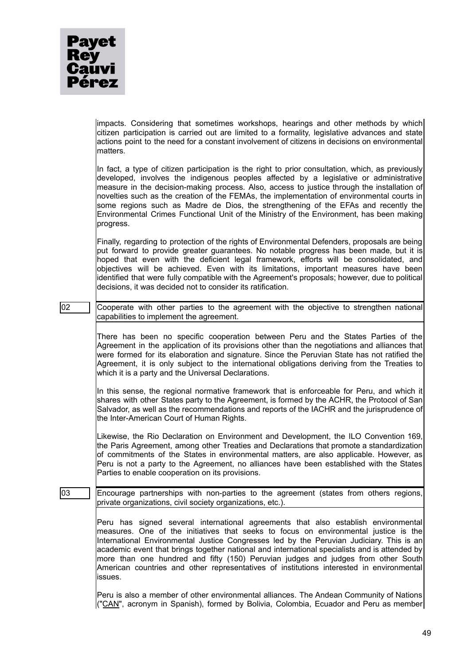

|                 | impacts. Considering that sometimes workshops, hearings and other methods by which<br>citizen participation is carried out are limited to a formality, legislative advances and state<br>actions point to the need for a constant involvement of citizens in decisions on environmental<br>matters.                                                                                                                                                                                                                                                                                     |
|-----------------|-----------------------------------------------------------------------------------------------------------------------------------------------------------------------------------------------------------------------------------------------------------------------------------------------------------------------------------------------------------------------------------------------------------------------------------------------------------------------------------------------------------------------------------------------------------------------------------------|
|                 | In fact, a type of citizen participation is the right to prior consultation, which, as previously<br>developed, involves the indigenous peoples affected by a legislative or administrative<br>measure in the decision-making process. Also, access to justice through the installation of<br>novelties such as the creation of the FEMAs, the implementation of environmental courts in<br>some regions such as Madre de Dios, the strengthening of the EFAs and recently the<br>Environmental Crimes Functional Unit of the Ministry of the Environment, has been making<br>progress. |
|                 | Finally, regarding to protection of the rights of Environmental Defenders, proposals are being<br>put forward to provide greater guarantees. No notable progress has been made, but it is<br>hoped that even with the deficient legal framework, efforts will be consolidated, and<br>objectives will be achieved. Even with its limitations, important measures have been<br>identified that were fully compatible with the Agreement's proposals; however, due to political<br>decisions, it was decided not to consider its ratification.                                            |
| $ 02\rangle$    | Cooperate with other parties to the agreement with the objective to strengthen national<br>capabilities to implement the agreement.                                                                                                                                                                                                                                                                                                                                                                                                                                                     |
|                 | There has been no specific cooperation between Peru and the States Parties of the<br>Agreement in the application of its provisions other than the negotiations and alliances that<br>were formed for its elaboration and signature. Since the Peruvian State has not ratified the<br>Agreement, it is only subject to the international obligations deriving from the Treaties to<br>which it is a party and the Universal Declarations.                                                                                                                                               |
|                 | In this sense, the regional normative framework that is enforceable for Peru, and which it<br>shares with other States party to the Agreement, is formed by the ACHR, the Protocol of San<br>Salvador, as well as the recommendations and reports of the IACHR and the jurisprudence of<br>the Inter-American Court of Human Rights.                                                                                                                                                                                                                                                    |
|                 | Likewise, the Rio Declaration on Environment and Development, the ILO Convention 169,<br>the Paris Agreement, among other Treaties and Declarations that promote a standardization<br>of commitments of the States in environmental matters, are also applicable. However, as<br>Peru is not a party to the Agreement, no alliances have been established with the States<br>Parties to enable cooperation on its provisions.                                                                                                                                                           |
| $\overline{03}$ | Encourage partnerships with non-parties to the agreement (states from others regions,<br>private organizations, civil society organizations, etc.).                                                                                                                                                                                                                                                                                                                                                                                                                                     |
|                 | Peru has signed several international agreements that also establish environmental<br>measures. One of the initiatives that seeks to focus on environmental justice is the<br>International Environmental Justice Congresses led by the Peruvian Judiciary. This is an<br>academic event that brings together national and international specialists and is attended by<br>more than one hundred and fifty (150) Peruvian judges and judges from other South<br>American countries and other representatives of institutions interested in environmental<br>issues.                     |
|                 | Peru is also a member of other environmental alliances. The Andean Community of Nations<br>("CAN", acronym in Spanish), formed by Bolivia, Colombia, Ecuador and Peru as member                                                                                                                                                                                                                                                                                                                                                                                                         |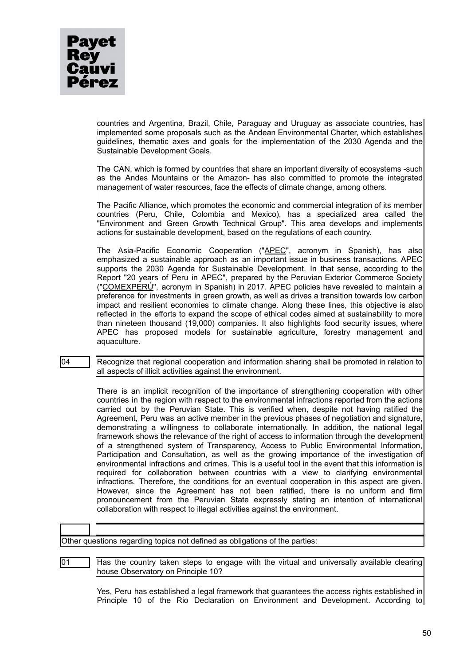

|    | countries and Argentina, Brazil, Chile, Paraguay and Uruguay as associate countries, has<br>implemented some proposals such as the Andean Environmental Charter, which establishes<br>guidelines, thematic axes and goals for the implementation of the 2030 Agenda and the<br>Sustainable Development Goals.                                                                                                                                                                                                                                                                                                                                                                                                                                                                                                                                                                                                                                   |
|----|-------------------------------------------------------------------------------------------------------------------------------------------------------------------------------------------------------------------------------------------------------------------------------------------------------------------------------------------------------------------------------------------------------------------------------------------------------------------------------------------------------------------------------------------------------------------------------------------------------------------------------------------------------------------------------------------------------------------------------------------------------------------------------------------------------------------------------------------------------------------------------------------------------------------------------------------------|
|    | The CAN, which is formed by countries that share an important diversity of ecosystems -such<br>as the Andes Mountains or the Amazon- has also committed to promote the integrated<br>management of water resources, face the effects of climate change, among others.                                                                                                                                                                                                                                                                                                                                                                                                                                                                                                                                                                                                                                                                           |
|    | The Pacific Alliance, which promotes the economic and commercial integration of its member<br>countries (Peru, Chile, Colombia and Mexico), has a specialized area called the<br>"Environment and Green Growth Technical Group". This area develops and implements<br>actions for sustainable development, based on the regulations of each country.                                                                                                                                                                                                                                                                                                                                                                                                                                                                                                                                                                                            |
|    | The Asia-Pacific Economic Cooperation ("APEC", acronym in Spanish), has also<br>emphasized a sustainable approach as an important issue in business transactions. APEC<br>supports the 2030 Agenda for Sustainable Development. In that sense, according to the<br>Report "20 years of Peru in APEC", prepared by the Peruvian Exterior Commerce Society<br>("COMEXPERÚ", acronym in Spanish) in 2017. APEC policies have revealed to maintain a<br>preference for investments in green growth, as well as drives a transition towards low carbon<br>impact and resilient economies to climate change. Along these lines, this objective is also<br>reflected in the efforts to expand the scope of ethical codes aimed at sustainability to more<br>than nineteen thousand (19,000) companies. It also highlights food security issues, where<br>APEC has proposed models for sustainable agriculture, forestry management and<br>aquaculture. |
| 04 | Recognize that regional cooperation and information sharing shall be promoted in relation to<br>all aspects of illicit activities against the environment.                                                                                                                                                                                                                                                                                                                                                                                                                                                                                                                                                                                                                                                                                                                                                                                      |
|    | There is an implicit recognition of the importance of strengthening cooperation with other<br>countries in the region with respect to the environmental infractions reported from the actions<br>carried out by the Peruvian State. This is verified when, despite not having ratified the<br>Agreement, Peru was an active member in the previous phases of negotiation and signature,<br>demonstrating a willingness to collaborate internationally. In addition, the national legal<br>framework shows the relevance of the right of access to information through the development                                                                                                                                                                                                                                                                                                                                                           |

framework shows the relevance of the right of access to information through the development of a strengthened system of Transparency, Access to Public Environmental Information, Participation and Consultation, as well as the growing importance of the investigation of environmental infractions and crimes. This is a useful tool in the event that this information is required for collaboration between countries with a view to clarifying environmental infractions. Therefore, the conditions for an eventual cooperation in this aspect are given. However, since the Agreement has not been ratified, there is no uniform and firm pronouncement from the Peruvian State expressly stating an intention of international collaboration with respect to illegal activities against the environment.

Other questions regarding topics not defined as obligations of the parties:

01 Has the country taken steps to engage with the virtual and universally available clearing house Observatory on Principle 10?

Yes, Peru has established a legal framework that guarantees the access rights established in Principle 10 of the Rio Declaration on Environment and Development. According to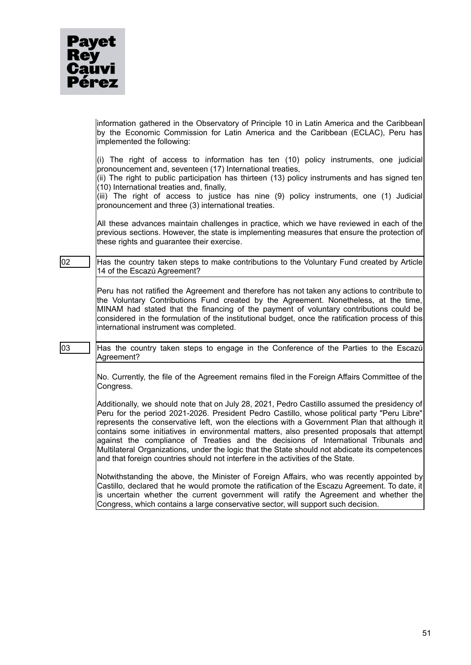

information gathered in the Observatory of Principle 10 in Latin America and the Caribbean by the Economic Commission for Latin America and the Caribbean (ECLAC), Peru has implemented the following:

(i) The right of access to information has ten (10) policy instruments, one judicial pronouncement and, seventeen (17) International treaties,

(ii) The right to public participation has thirteen (13) policy instruments and has signed ten (10) International treaties and, finally,

(iii) The right of access to justice has nine (9) policy instruments, one (1) Judicial pronouncement and three (3) international treaties.

All these advances maintain challenges in practice, which we have reviewed in each of the previous sections. However, the state is implementing measures that ensure the protection of these rights and guarantee their exercise.

02 Has the country taken steps to make contributions to the Voluntary Fund created by Article 14 of the Escazú Agreement?

> Peru has not ratified the Agreement and therefore has not taken any actions to contribute to the Voluntary Contributions Fund created by the Agreement. Nonetheless, at the time, MINAM had stated that the financing of the payment of voluntary contributions could be considered in the formulation of the institutional budget, once the ratification process of this international instrument was completed.

03 Has the country taken steps to engage in the Conference of the Parties to the Escazú Agreement?

> No. Currently, the file of the Agreement remains filed in the Foreign Affairs Committee of the Congress.

> Additionally, we should note that on July 28, 2021, Pedro Castillo assumed the presidency of Peru for the period 2021-2026. President Pedro Castillo, whose political party "Peru Libre" represents the conservative left, won the elections with a Government Plan that although it contains some initiatives in environmental matters, also presented proposals that attempt against the compliance of Treaties and the decisions of International Tribunals and Multilateral Organizations, under the logic that the State should not abdicate its competences and that foreign countries should not interfere in the activities of the State.

> Notwithstanding the above, the Minister of Foreign Affairs, who was recently appointed by Castillo, declared that he would promote the ratification of the Escazu Agreement. To date, it is uncertain whether the current government will ratify the Agreement and whether the Congress, which contains a large conservative sector, will support such decision.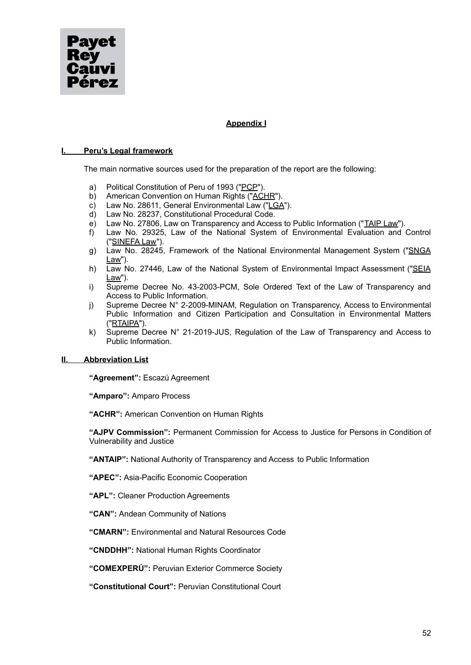

# **Appendix I**

## **I. Peru's Legal framework**

The main normative sources used for the preparation of the report are the following:

- a) Political Constitution of Peru of 1993 ("PCP").
- b) American Convention on Human Rights ("ACHR").
- c) Law No. 28611, General Environmental Law ("LGA").
- d) Law No. 28237, Constitutional Procedural Code.
- e) Law No. 27806, Law on Transparency and Access to Public Information ("TAIP Law").
- f) Law No. 29325, Law of the National System of Environmental Evaluation and Control ("SINEFA Law").
- g) Law No. 28245, Framework of the National Environmental Management System ("SNGA Law").
- h) Law No. 27446, Law of the National System of Environmental Impact Assessment ("SEIA Law").
- i) Supreme Decree No. 43-2003-PCM, Sole Ordered Text of the Law of Transparency and Access to Public Information.
- j) Supreme Decree N° 2-2009-MINAM, Regulation on Transparency, Access to Environmental Public Information and Citizen Participation and Consultation in Environmental Matters ("RTAIPA").
- k) Supreme Decree N° 21-2019-JUS, Regulation of the Law of Transparency and Access to Public Information.

# **II. Abbreviation List**

**"Agreement":** Escazú Agreement

**"Amparo":** Amparo Process

**"ACHR":** American Convention on Human Rights

**"AJPV Commission":** Permanent Commission for Access to Justice for Persons in Condition of Vulnerability and Justice

**"ANTAIP":** National Authority of Transparency and Access to Public Information

**"APEC":** Asia-Pacific Economic Cooperation

**"APL":** Cleaner Production Agreements

**"CAN":** Andean Community of Nations

**"CMARN":** Environmental and Natural Resources Code

**"CNDDHH":** National Human Rights Coordinator

**"COMEXPERÚ":** Peruvian Exterior Commerce Society

**"Constitutional Court":** Peruvian Constitutional Court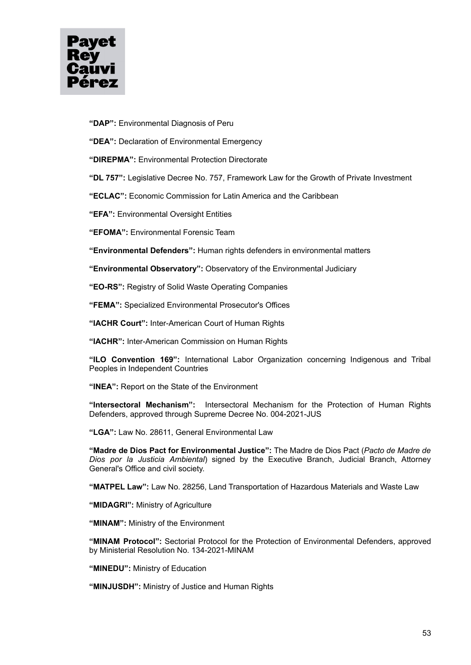

**"DAP":** Environmental Diagnosis of Peru

**"DEA":** Declaration of Environmental Emergency

**"DIREPMA":** Environmental Protection Directorate

**"DL 757":** Legislative Decree No. 757, Framework Law for the Growth of Private Investment

**"ECLAC":** Economic Commission for Latin America and the Caribbean

**"EFA":** Environmental Oversight Entities

**"EFOMA":** Environmental Forensic Team

**"Environmental Defenders":** Human rights defenders in environmental matters

**"Environmental Observatory":** Observatory of the Environmental Judiciary

**"EO-RS":** Registry of Solid Waste Operating Companies

**"FEMA":** Specialized Environmental Prosecutor's Offices

**"IACHR Court":** Inter-American Court of Human Rights

**"IACHR":** Inter-American Commission on Human Rights

**"ILO Convention 169":** International Labor Organization concerning Indigenous and Tribal Peoples in Independent Countries

**"INEA":** Report on the State of the Environment

**"Intersectoral Mechanism":** Intersectoral Mechanism for the Protection of Human Rights Defenders, approved through Supreme Decree No. 004-2021-JUS

**"LGA":** Law No. 28611, General Environmental Law

**"Madre de Dios Pact for Environmental Justice":** The Madre de Dios Pact (*Pacto de Madre de Dios por la Justicia Ambiental*) signed by the Executive Branch, Judicial Branch, Attorney General's Office and civil society.

**"MATPEL Law":** Law No. 28256, Land Transportation of Hazardous Materials and Waste Law

**"MIDAGRI":** Ministry of Agriculture

**"MINAM":** Ministry of the Environment

**"MINAM Protocol":** Sectorial Protocol for the Protection of Environmental Defenders, approved by Ministerial Resolution No. 134-2021-MINAM

**"MINEDU":** Ministry of Education

**"MINJUSDH":** Ministry of Justice and Human Rights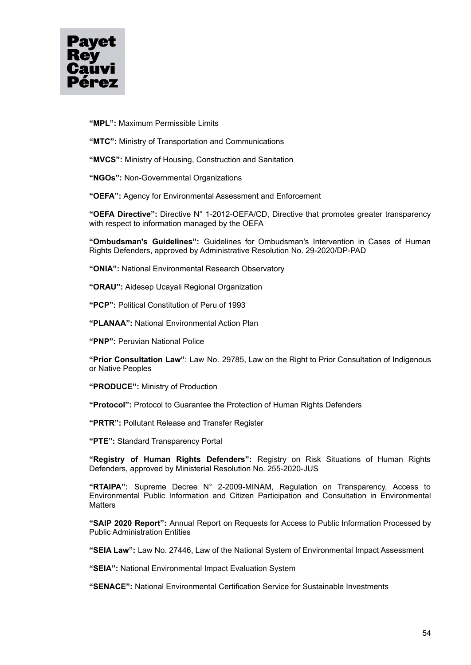

**"MPL":** Maximum Permissible Limits

**"MTC":** Ministry of Transportation and Communications

**"MVCS":** Ministry of Housing, Construction and Sanitation

**"NGOs":** Non-Governmental Organizations

**"OEFA":** Agency for Environmental Assessment and Enforcement

**"OEFA Directive":** Directive N° 1-2012-OEFA/CD, Directive that promotes greater transparency with respect to information managed by the OEFA

**"Ombudsman's Guidelines":** Guidelines for Ombudsman's Intervention in Cases of Human Rights Defenders, approved by Administrative Resolution No. 29-2020/DP-PAD

**"ONIA":** National Environmental Research Observatory

**"ORAU":** Aidesep Ucayali Regional Organization

**"PCP":** Political Constitution of Peru of 1993

**"PLANAA":** National Environmental Action Plan

**"PNP":** Peruvian National Police

**"Prior Consultation Law"**: Law No. 29785, Law on the Right to Prior Consultation of Indigenous or Native Peoples

**"PRODUCE":** Ministry of Production

**"Protocol":** Protocol to Guarantee the Protection of Human Rights Defenders

**"PRTR":** Pollutant Release and Transfer Register

**"PTE":** Standard Transparency Portal

**"Registry of Human Rights Defenders":** Registry on Risk Situations of Human Rights Defenders, approved by Ministerial Resolution No. 255-2020-JUS

**"RTAIPA":** Supreme Decree N° 2-2009-MINAM, Regulation on Transparency, Access to Environmental Public Information and Citizen Participation and Consultation in Environmental **Matters** 

**"SAIP 2020 Report":** Annual Report on Requests for Access to Public Information Processed by Public Administration Entities

**"SEIA Law":** Law No. 27446, Law of the National System of Environmental Impact Assessment

**"SEIA":** National Environmental Impact Evaluation System

**"SENACE":** National Environmental Certification Service for Sustainable Investments